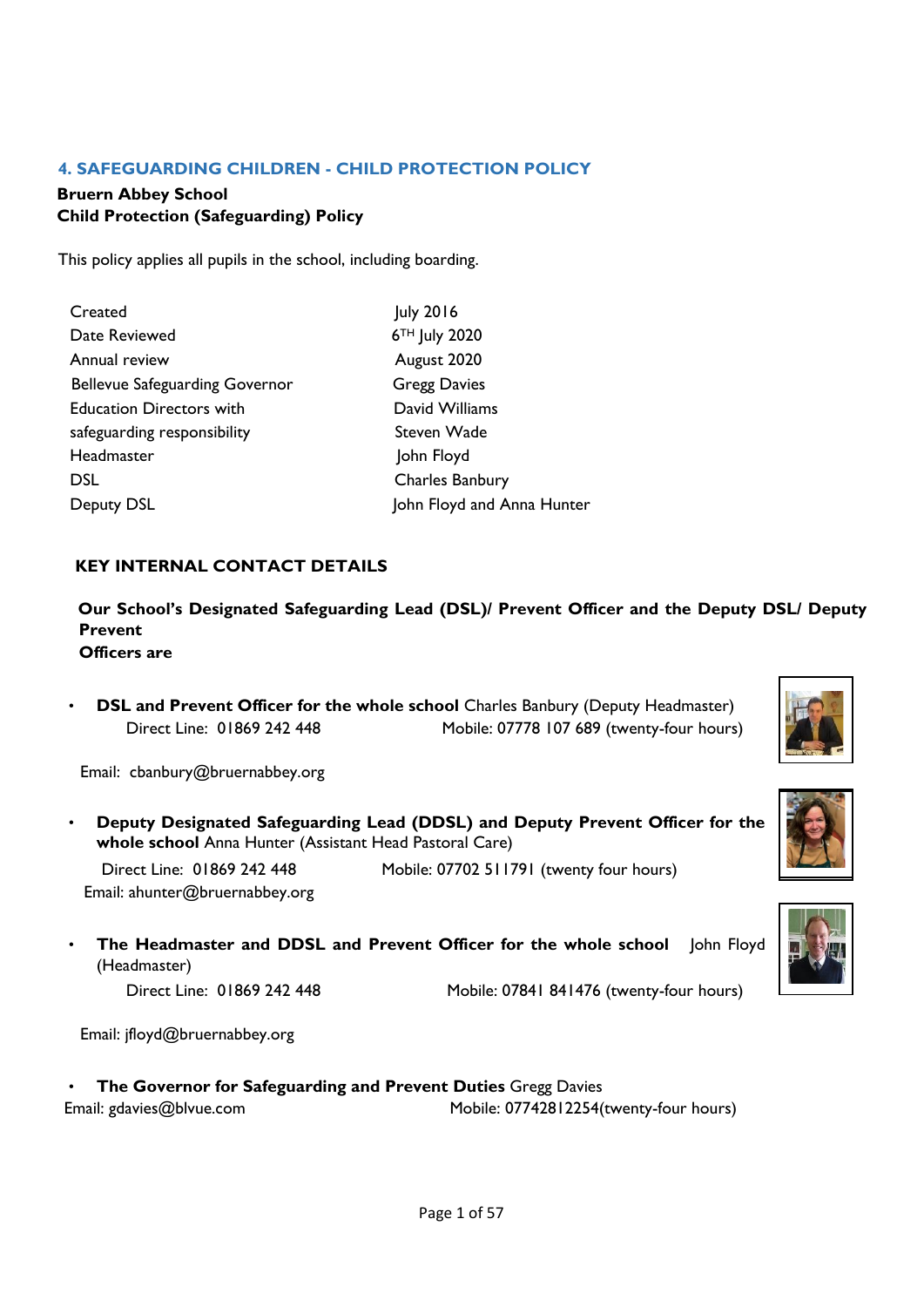# **4. SAFEGUARDING CHILDREN - CHILD PROTECTION POLICY**

# **Bruern Abbey School Child Protection (Safeguarding) Policy**

This policy applies all pupils in the school, including boarding.

| Created                               | July 2016                  |
|---------------------------------------|----------------------------|
| Date Reviewed                         | 6TH July 2020              |
| Annual review                         | August 2020                |
| <b>Bellevue Safeguarding Governor</b> | <b>Gregg Davies</b>        |
| <b>Education Directors with</b>       | David Williams             |
| safeguarding responsibility           | Steven Wade                |
| <b>Headmaster</b>                     | John Floyd                 |
| <b>DSL</b>                            | Charles Banbury            |
| Deputy DSL                            | John Floyd and Anna Hunter |

# <span id="page-0-0"></span>**KEY INTERNAL CONTACT DETAILS**

**Our School's Designated Safeguarding Lead (DSL)/ Prevent Officer and the Deputy DSL/ Deputy Prevent Officers are** 

**DSL and Prevent Officer for the whole school** Charles Banbury (Deputy Headmaster) Direct Line: 01869 242 448 Mobile: 07778 107 689 (twenty-four hours)

Email: cbanbury@bruernabbey.org

• **Deputy Designated Safeguarding Lead (DDSL) and Deputy Prevent Officer for the whole school** Anna Hunter (Assistant Head Pastoral Care)

 Direct Line: 01869 242 448 Mobile: 07702 511791 (twenty four hours) Email: ahunter@bruernabbey.org

• **The Headmaster and DDSL and Prevent Officer for the whole school** John Floyd (Headmaster)

Direct Line: 01869 242 448 Mobile: 07841 841476 (twenty-four hours)

Email: jfloyd@bruernabbey.org

### • **The Governor for Safeguarding and Prevent Duties** Gregg Davies

Email: gdavies@blvue.com Mobile: 07742812254(twenty-four hours)





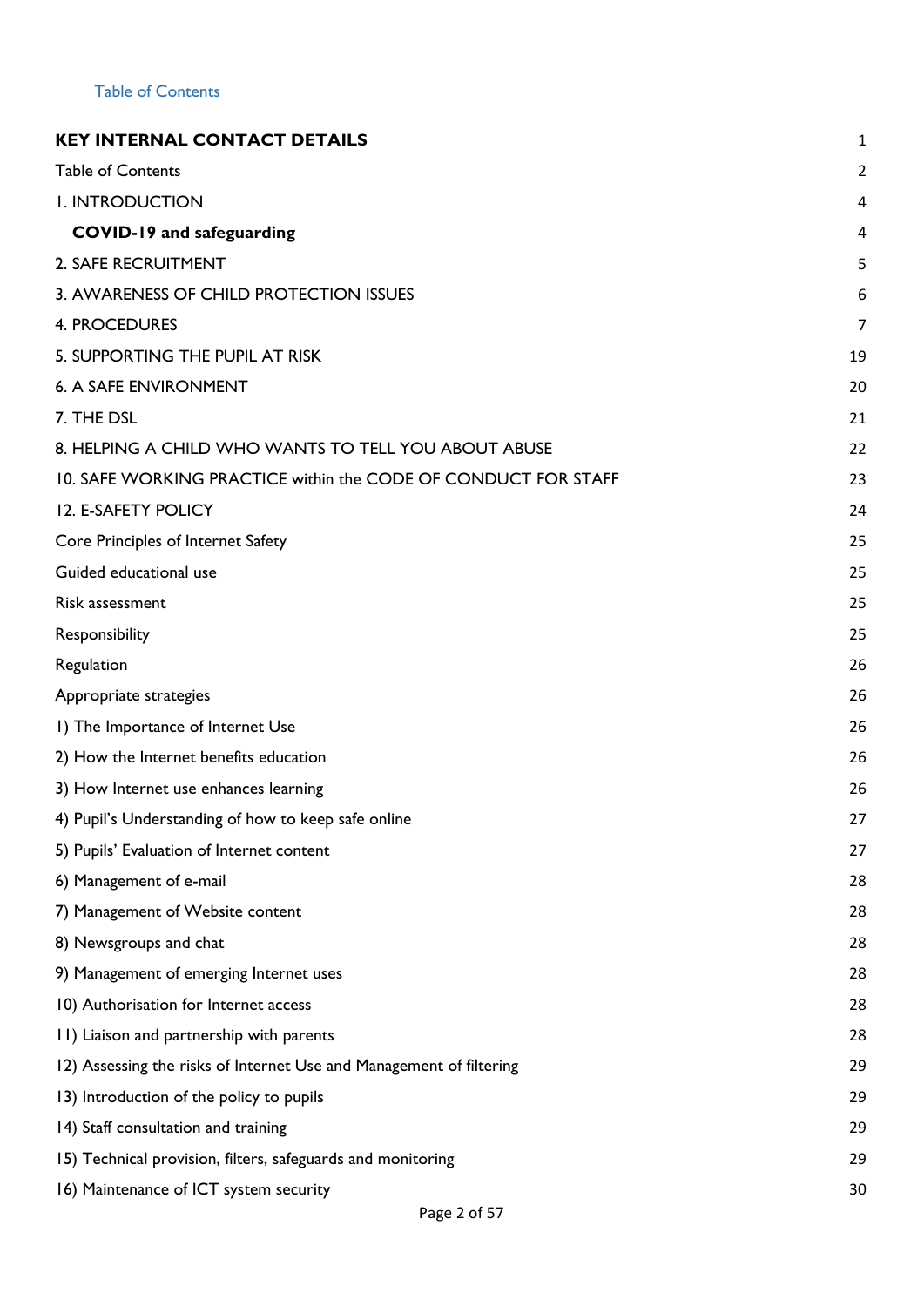### <span id="page-1-0"></span>Table of Contents

| <b>KEY INTERNAL CONTACT DETAILS</b>                                 | <u>1</u> |
|---------------------------------------------------------------------|----------|
| <b>Table of Contents</b>                                            | 2        |
| <b>I. INTRODUCTION</b>                                              | 4        |
| <b>COVID-19 and safeguarding</b>                                    | 4        |
| 2. SAFE RECRUITMENT                                                 | 5        |
| 3. AWARENESS OF CHILD PROTECTION ISSUES                             | 6        |
| <b>4. PROCEDURES</b>                                                | 7        |
| 5. SUPPORTING THE PUPIL AT RISK                                     | 19       |
| <b>6. A SAFE ENVIRONMENT</b>                                        | 20       |
| 7. THE DSL                                                          | 21       |
| 8. HELPING A CHILD WHO WANTS TO TELL YOU ABOUT ABUSE                | 22       |
| 10. SAFE WORKING PRACTICE within the CODE OF CONDUCT FOR STAFF      | 23       |
| <b>12. E-SAFETY POLICY</b>                                          | 24       |
| Core Principles of Internet Safety                                  | 25       |
| Guided educational use                                              | 25       |
| Risk assessment                                                     | 25       |
| Responsibility                                                      | 25       |
| Regulation                                                          | 26       |
| Appropriate strategies                                              | 26       |
| I) The Importance of Internet Use                                   | 26       |
| 2) How the Internet benefits education                              | 26       |
| 3) How Internet use enhances learning                               | 26       |
| 4) Pupil's Understanding of how to keep safe online                 | 27       |
| 5) Pupils' Evaluation of Internet content                           | 27       |
| 6) Management of e-mail                                             | 28       |
| 7) Management of Website content                                    | 28       |
| 8) Newsgroups and chat                                              | 28       |
| 9) Management of emerging Internet uses                             | 28       |
| 10) Authorisation for Internet access                               | 28       |
| 11) Liaison and partnership with parents                            | 28       |
| 12) Assessing the risks of Internet Use and Management of filtering | 29       |
| 13) Introduction of the policy to pupils                            | 29       |
| 14) Staff consultation and training                                 | 29       |
| 15) Technical provision, filters, safeguards and monitoring         | 29       |
| 16) Maintenance of ICT system security                              | 30       |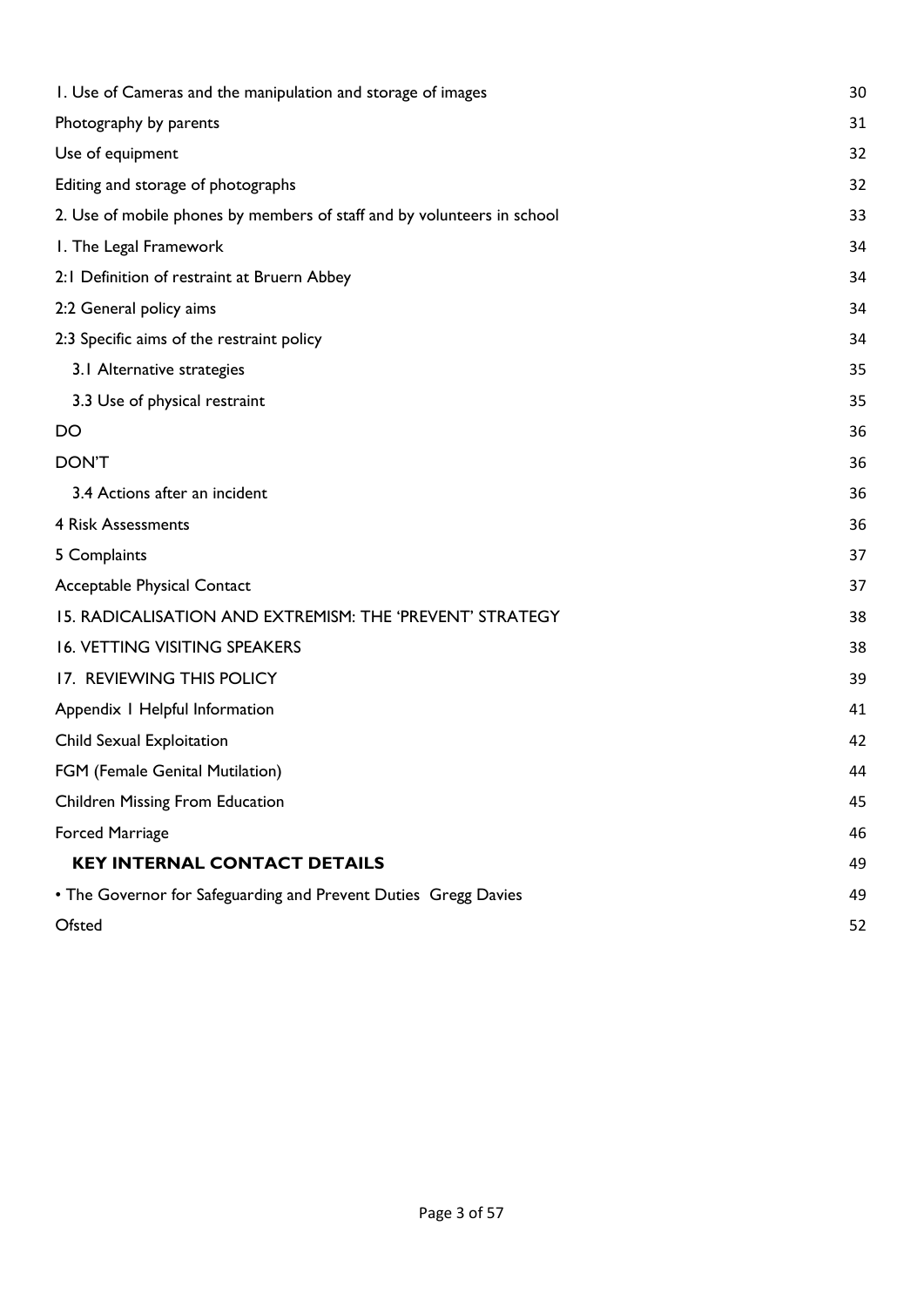| I. Use of Cameras and the manipulation and storage of images            | 30 |
|-------------------------------------------------------------------------|----|
| Photography by parents                                                  | 31 |
| Use of equipment                                                        | 32 |
| Editing and storage of photographs                                      | 32 |
| 2. Use of mobile phones by members of staff and by volunteers in school | 33 |
| I. The Legal Framework                                                  | 34 |
| 2:1 Definition of restraint at Bruern Abbey                             | 34 |
| 2:2 General policy aims                                                 | 34 |
| 2:3 Specific aims of the restraint policy                               | 34 |
| 3.1 Alternative strategies                                              | 35 |
| 3.3 Use of physical restraint                                           | 35 |
| <b>DO</b>                                                               | 36 |
| <b>DON'T</b>                                                            | 36 |
| 3.4 Actions after an incident                                           | 36 |
| <b>4 Risk Assessments</b>                                               | 36 |
| 5 Complaints                                                            | 37 |
| <b>Acceptable Physical Contact</b>                                      | 37 |
| 15. RADICALISATION AND EXTREMISM: THE 'PREVENT' STRATEGY                | 38 |
| <b>16. VETTING VISITING SPEAKERS</b>                                    | 38 |
| 17. REVIEWING THIS POLICY                                               | 39 |
| Appendix I Helpful Information                                          | 41 |
| Child Sexual Exploitation                                               | 42 |
| FGM (Female Genital Mutilation)                                         | 44 |
| <b>Children Missing From Education</b>                                  | 45 |
| <b>Forced Marriage</b>                                                  | 46 |
| <b>KEY INTERNAL CONTACT DETAILS</b>                                     | 49 |
| • The Governor for Safeguarding and Prevent Duties Gregg Davies         | 49 |
| Ofsted                                                                  | 52 |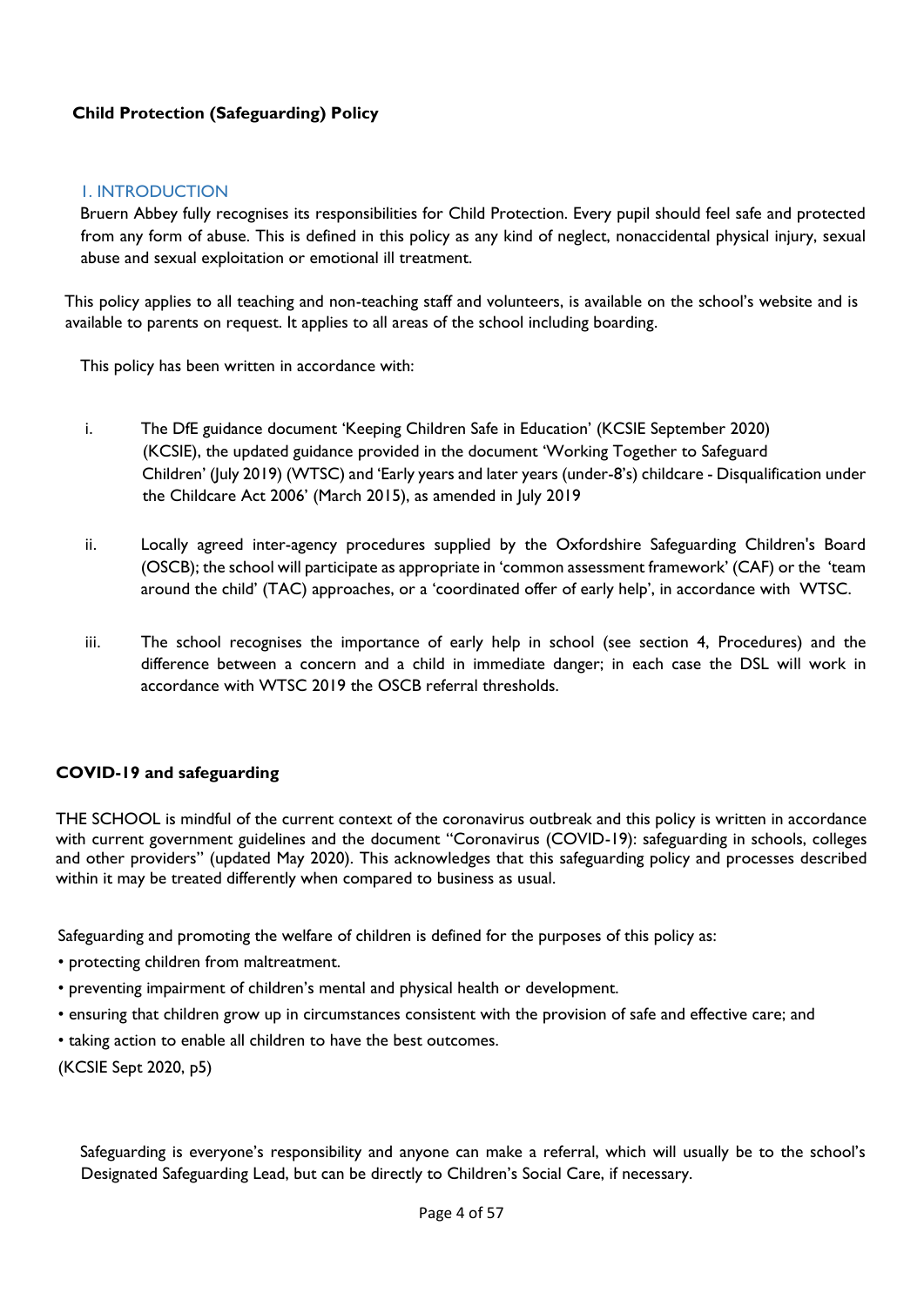# **Child Protection (Safeguarding) Policy**

#### <span id="page-3-0"></span>1. INTRODUCTION

Bruern Abbey fully recognises its responsibilities for Child Protection. Every pupil should feel safe and protected from any form of abuse. This is defined in this policy as any kind of neglect, nonaccidental physical injury, sexual abuse and sexual exploitation or emotional ill treatment.

This policy applies to all teaching and non-teaching staff and volunteers, is available on the school's website and is available to parents on request. It applies to all areas of the school including boarding.

This policy has been written in accordance with:

- i. The DfE guidance document 'Keeping Children Safe in Education' (KCSIE September 2020) (KCSIE), the updated guidance provided in the document 'Working Together to Safeguard Children' (July 2019) (WTSC) and 'Early years and later years (under-8's) childcare - Disqualification under the Childcare Act 2006' (March 2015), as amended in July 2019
- ii. Locally agreed inter-agency procedures supplied by the Oxfordshire Safeguarding Children's Board (OSCB); the school will participate as appropriate in 'common assessment framework' (CAF) or the 'team around the child' (TAC) approaches, or a 'coordinated offer of early help', in accordance with WTSC.
- iii. The school recognises the importance of early help in school (see section 4, Procedures) and the difference between a concern and a child in immediate danger; in each case the DSL will work in accordance with WTSC 2019 the OSCB referral thresholds.

### <span id="page-3-1"></span>**COVID-19 and safeguarding**

THE SCHOOL is mindful of the current context of the coronavirus outbreak and this policy is written in accordance with current government guidelines and the document "Coronavirus (COVID-19): safeguarding in schools, colleges and other providers" (updated May 2020). This acknowledges that this safeguarding policy and processes described within it may be treated differently when compared to business as usual.

Safeguarding and promoting the welfare of children is defined for the purposes of this policy as:

- protecting children from maltreatment.
- preventing impairment of children's mental and physical health or development.
- ensuring that children grow up in circumstances consistent with the provision of safe and effective care; and
- taking action to enable all children to have the best outcomes.

(KCSIE Sept 2020, p5)

Safeguarding is everyone's responsibility and anyone can make a referral, which will usually be to the school's Designated Safeguarding Lead, but can be directly to Children's Social Care, if necessary.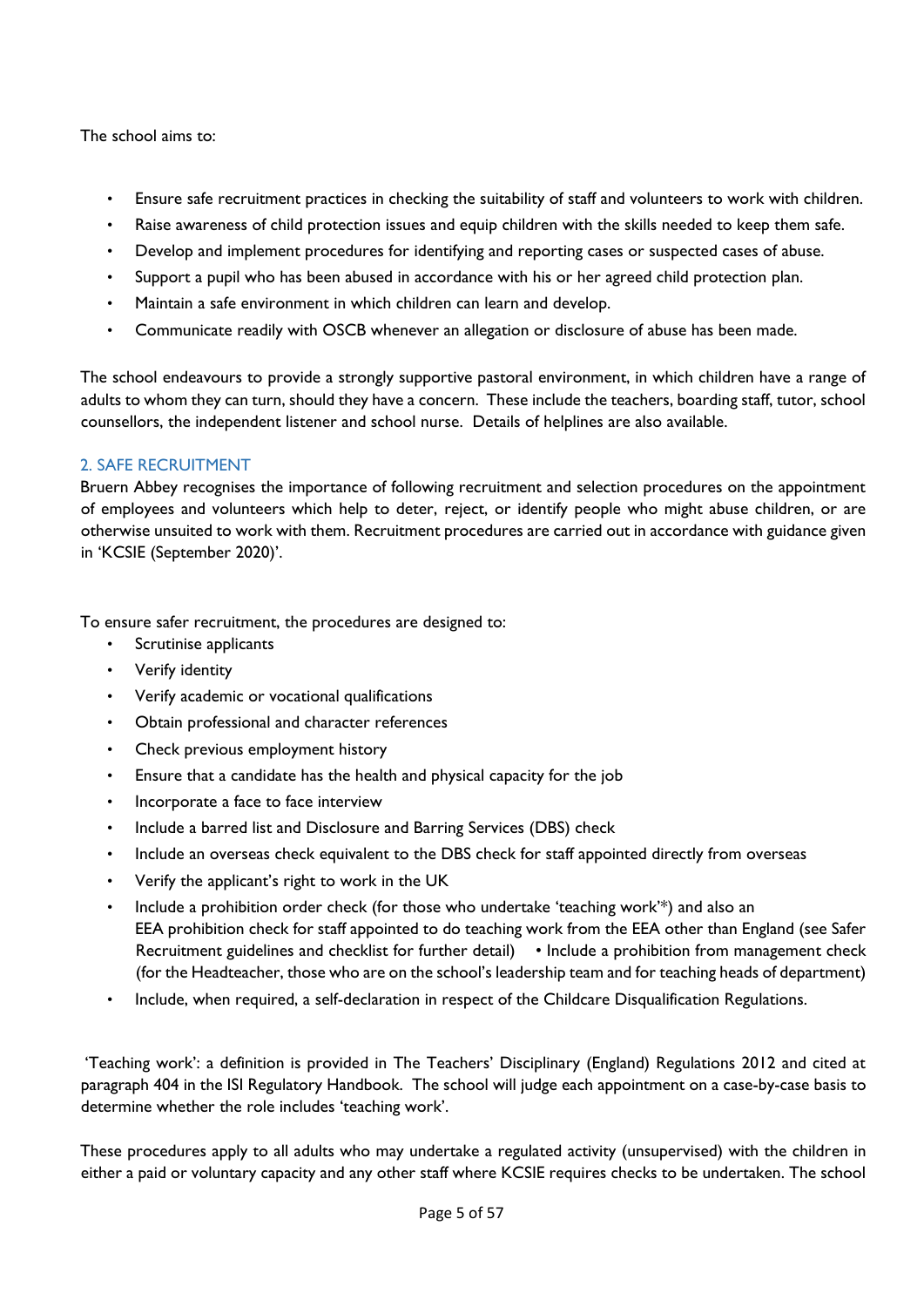The school aims to:

- Ensure safe recruitment practices in checking the suitability of staff and volunteers to work with children.
- Raise awareness of child protection issues and equip children with the skills needed to keep them safe.
- Develop and implement procedures for identifying and reporting cases or suspected cases of abuse.
- Support a pupil who has been abused in accordance with his or her agreed child protection plan.
- Maintain a safe environment in which children can learn and develop.
- Communicate readily with OSCB whenever an allegation or disclosure of abuse has been made.

The school endeavours to provide a strongly supportive pastoral environment, in which children have a range of adults to whom they can turn, should they have a concern. These include the teachers, boarding staff, tutor, school counsellors, the independent listener and school nurse. Details of helplines are also available.

### <span id="page-4-0"></span>2. SAFE RECRUITMENT

Bruern Abbey recognises the importance of following recruitment and selection procedures on the appointment of employees and volunteers which help to deter, reject, or identify people who might abuse children, or are otherwise unsuited to work with them. Recruitment procedures are carried out in accordance with guidance given in 'KCSIE (September 2020)'.

To ensure safer recruitment, the procedures are designed to:

- Scrutinise applicants
- Verify identity
- Verify academic or vocational qualifications
- Obtain professional and character references
- Check previous employment history
- Ensure that a candidate has the health and physical capacity for the job
- Incorporate a face to face interview
- Include a barred list and Disclosure and Barring Services (DBS) check
- Include an overseas check equivalent to the DBS check for staff appointed directly from overseas
- Verify the applicant's right to work in the UK
- Include a prohibition order check (for those who undertake 'teaching work'\*) and also an EEA prohibition check for staff appointed to do teaching work from the EEA other than England (see Safer Recruitment guidelines and checklist for further detail) • Include a prohibition from management check (for the Headteacher, those who are on the school's leadership team and for teaching heads of department)
- Include, when required, a self-declaration in respect of the Childcare Disqualification Regulations.

'Teaching work': a definition is provided in The Teachers' Disciplinary (England) Regulations 2012 and cited at paragraph 404 in the ISI Regulatory Handbook. The school will judge each appointment on a case-by-case basis to determine whether the role includes 'teaching work'.

These procedures apply to all adults who may undertake a regulated activity (unsupervised) with the children in either a paid or voluntary capacity and any other staff where KCSIE requires checks to be undertaken. The school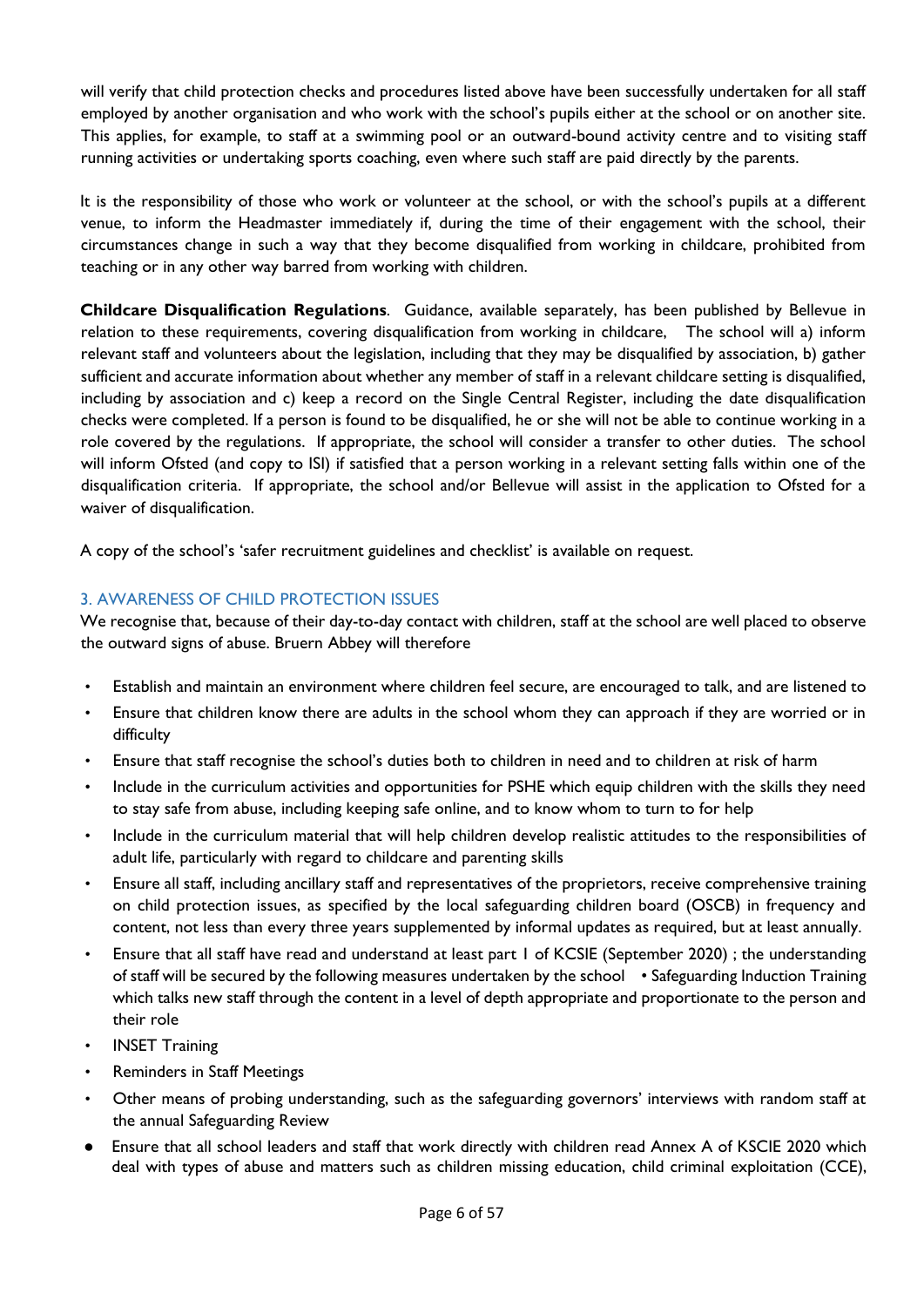will verify that child protection checks and procedures listed above have been successfully undertaken for all staff employed by another organisation and who work with the school's pupils either at the school or on another site. This applies, for example, to staff at a swimming pool or an outward-bound activity centre and to visiting staff running activities or undertaking sports coaching, even where such staff are paid directly by the parents.

It is the responsibility of those who work or volunteer at the school, or with the school's pupils at a different venue, to inform the Headmaster immediately if, during the time of their engagement with the school, their circumstances change in such a way that they become disqualified from working in childcare, prohibited from teaching or in any other way barred from working with children.

**Childcare Disqualification Regulations**. Guidance, available separately, has been published by Bellevue in relation to these requirements, covering disqualification from working in childcare, The school will a) inform relevant staff and volunteers about the legislation, including that they may be disqualified by association, b) gather sufficient and accurate information about whether any member of staff in a relevant childcare setting is disqualified, including by association and c) keep a record on the Single Central Register, including the date disqualification checks were completed. If a person is found to be disqualified, he or she will not be able to continue working in a role covered by the regulations. If appropriate, the school will consider a transfer to other duties. The school will inform Ofsted (and copy to ISI) if satisfied that a person working in a relevant setting falls within one of the disqualification criteria. If appropriate, the school and/or Bellevue will assist in the application to Ofsted for a waiver of disqualification.

A copy of the school's 'safer recruitment guidelines and checklist' is available on request.

### <span id="page-5-0"></span>3. AWARENESS OF CHILD PROTECTION ISSUES

We recognise that, because of their day-to-day contact with children, staff at the school are well placed to observe the outward signs of abuse. Bruern Abbey will therefore

- Establish and maintain an environment where children feel secure, are encouraged to talk, and are listened to
- Ensure that children know there are adults in the school whom they can approach if they are worried or in difficulty
- Ensure that staff recognise the school's duties both to children in need and to children at risk of harm
- Include in the curriculum activities and opportunities for PSHE which equip children with the skills they need to stay safe from abuse, including keeping safe online, and to know whom to turn to for help
- Include in the curriculum material that will help children develop realistic attitudes to the responsibilities of adult life, particularly with regard to childcare and parenting skills
- Ensure all staff, including ancillary staff and representatives of the proprietors, receive comprehensive training on child protection issues, as specified by the local safeguarding children board (OSCB) in frequency and content, not less than every three years supplemented by informal updates as required, but at least annually.
- Ensure that all staff have read and understand at least part 1 of KCSIE (September 2020) ; the understanding of staff will be secured by the following measures undertaken by the school • Safeguarding Induction Training which talks new staff through the content in a level of depth appropriate and proportionate to the person and their role
- INSET Training
- Reminders in Staff Meetings
- Other means of probing understanding, such as the safeguarding governors' interviews with random staff at the annual Safeguarding Review
- Ensure that all school leaders and staff that work directly with children read Annex A of KSCIE 2020 which deal with types of abuse and matters such as children missing education, child criminal exploitation (CCE),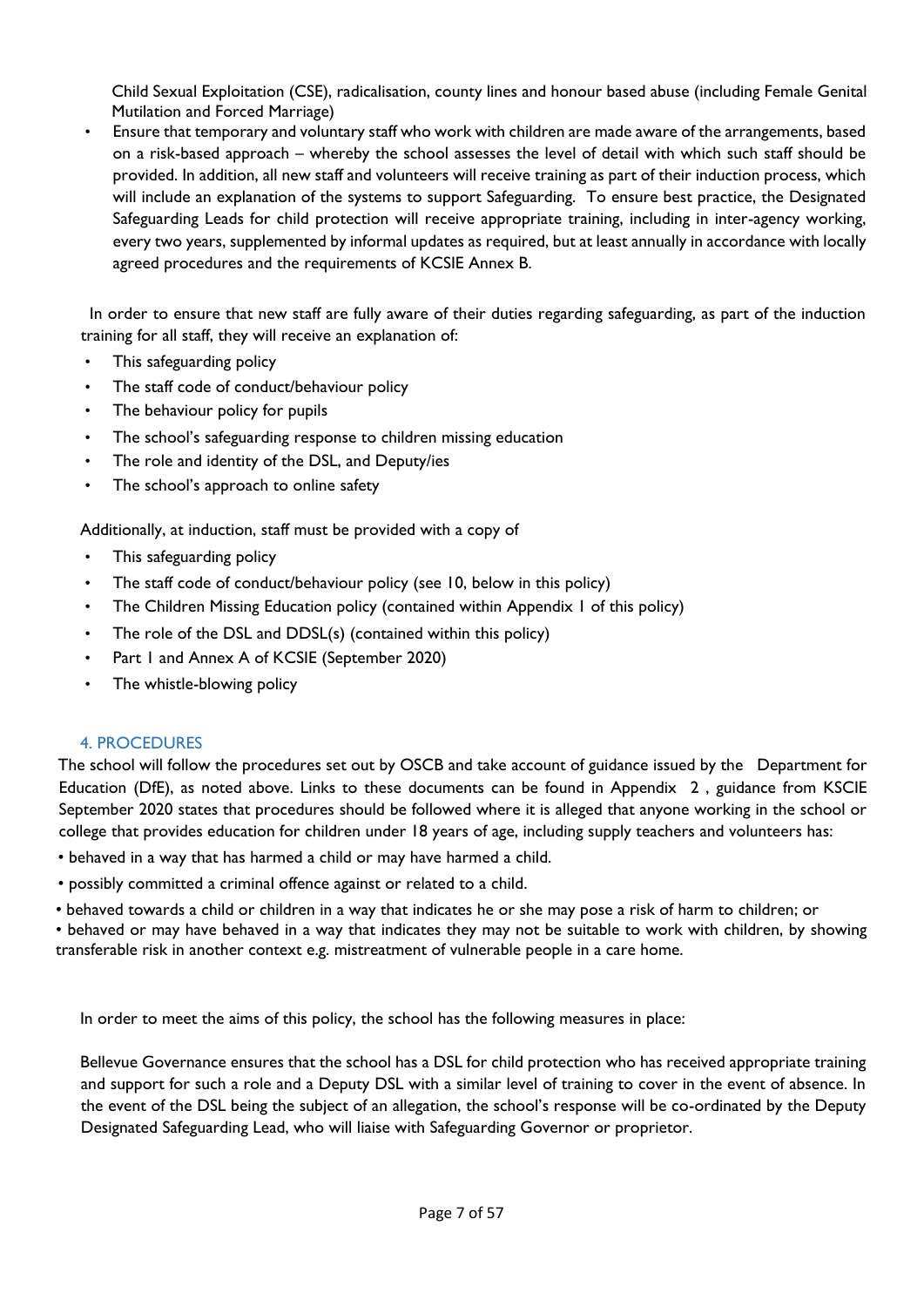Child Sexual Exploitation (CSE), radicalisation, county lines and honour based abuse (including Female Genital Mutilation and Forced Marriage)

• Ensure that temporary and voluntary staff who work with children are made aware of the arrangements, based on a risk-based approach – whereby the school assesses the level of detail with which such staff should be provided. In addition, all new staff and volunteers will receive training as part of their induction process, which will include an explanation of the systems to support Safeguarding. To ensure best practice, the Designated Safeguarding Leads for child protection will receive appropriate training, including in inter-agency working, every two years, supplemented by informal updates as required, but at least annually in accordance with locally agreed procedures and the requirements of KCSIE Annex B.

 In order to ensure that new staff are fully aware of their duties regarding safeguarding, as part of the induction training for all staff, they will receive an explanation of:

- This safeguarding policy
- The staff code of conduct/behaviour policy
- The behaviour policy for pupils
- The school's safeguarding response to children missing education
- The role and identity of the DSL, and Deputy/ies
- The school's approach to online safety

Additionally, at induction, staff must be provided with a copy of

- This safeguarding policy
- The staff code of conduct/behaviour policy (see 10, below in this policy)
- The Children Missing Education policy (contained within Appendix 1 of this policy)
- The role of the DSL and DDSL(s) (contained within this policy)
- Part 1 and Annex A of KCSIE (September 2020)
- The whistle-blowing policy

### <span id="page-6-0"></span>4. PROCEDURES

The school will follow the procedures set out by OSCB and take account of guidance issued by the Department for Education (DfE), as noted above. Links to these documents can be found in Appendix 2 , guidance from KSCIE September 2020 states that procedures should be followed where it is alleged that anyone working in the school or college that provides education for children under 18 years of age, including supply teachers and volunteers has:

- behaved in a way that has harmed a child or may have harmed a child.
- possibly committed a criminal offence against or related to a child.
- behaved towards a child or children in a way that indicates he or she may pose a risk of harm to children; or

• behaved or may have behaved in a way that indicates they may not be suitable to work with children, by showing transferable risk in another context e.g. mistreatment of vulnerable people in a care home.

In order to meet the aims of this policy, the school has the following measures in place:

Bellevue Governance ensures that the school has a DSL for child protection who has received appropriate training and support for such a role and a Deputy DSL with a similar level of training to cover in the event of absence. In the event of the DSL being the subject of an allegation, the school's response will be co-ordinated by the Deputy Designated Safeguarding Lead, who will liaise with Safeguarding Governor or proprietor.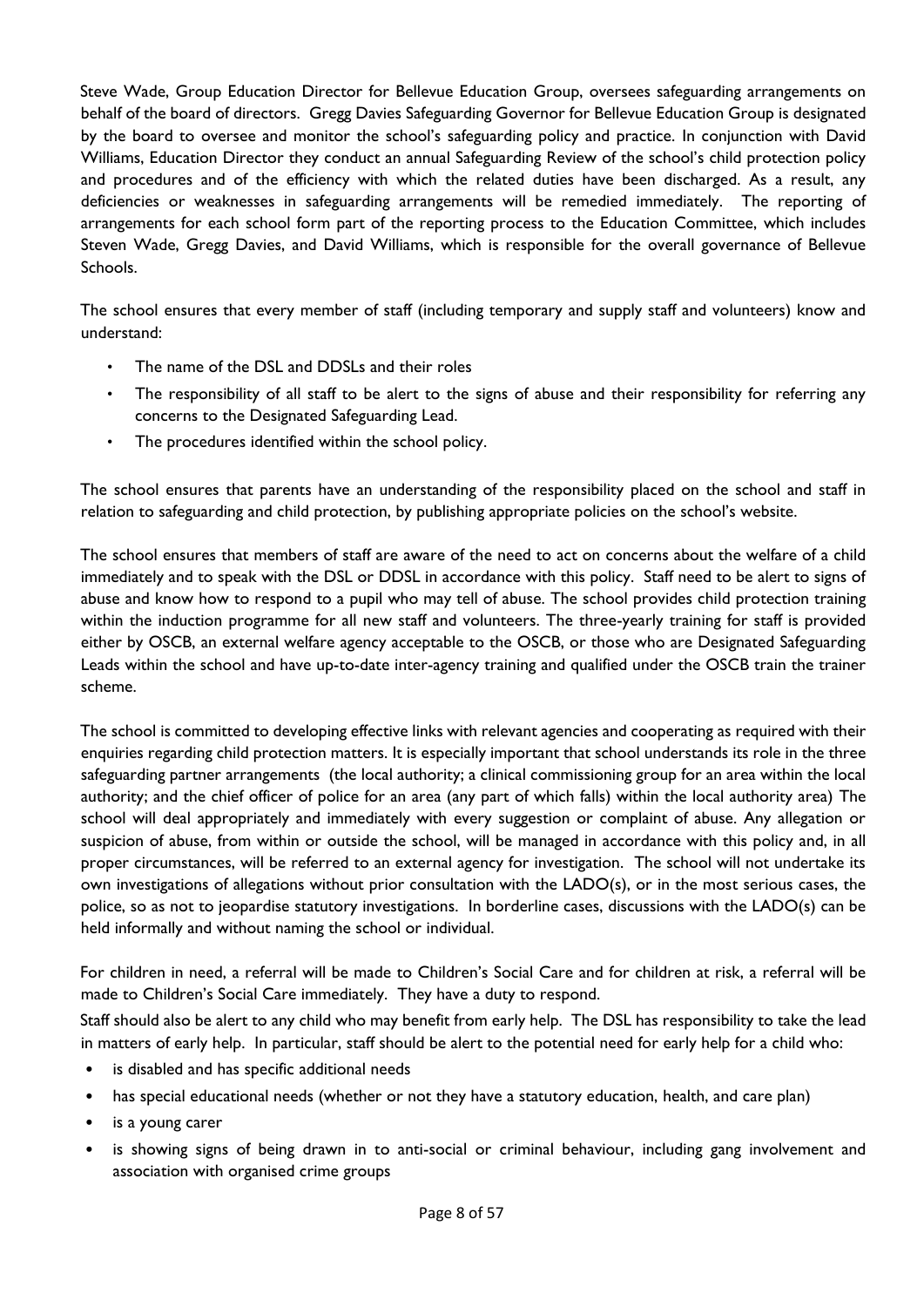Steve Wade, Group Education Director for Bellevue Education Group, oversees safeguarding arrangements on behalf of the board of directors. Gregg Davies Safeguarding Governor for Bellevue Education Group is designated by the board to oversee and monitor the school's safeguarding policy and practice. In conjunction with David Williams, Education Director they conduct an annual Safeguarding Review of the school's child protection policy and procedures and of the efficiency with which the related duties have been discharged. As a result, any deficiencies or weaknesses in safeguarding arrangements will be remedied immediately. The reporting of arrangements for each school form part of the reporting process to the Education Committee, which includes Steven Wade, Gregg Davies, and David Williams, which is responsible for the overall governance of Bellevue Schools.

The school ensures that every member of staff (including temporary and supply staff and volunteers) know and understand:

- The name of the DSL and DDSLs and their roles
- The responsibility of all staff to be alert to the signs of abuse and their responsibility for referring any concerns to the Designated Safeguarding Lead.
- The procedures identified within the school policy.

The school ensures that parents have an understanding of the responsibility placed on the school and staff in relation to safeguarding and child protection, by publishing appropriate policies on the school's website.

The school ensures that members of staff are aware of the need to act on concerns about the welfare of a child immediately and to speak with the DSL or DDSL in accordance with this policy. Staff need to be alert to signs of abuse and know how to respond to a pupil who may tell of abuse. The school provides child protection training within the induction programme for all new staff and volunteers. The three-yearly training for staff is provided either by OSCB, an external welfare agency acceptable to the OSCB, or those who are Designated Safeguarding Leads within the school and have up-to-date inter-agency training and qualified under the OSCB train the trainer scheme.

The school is committed to developing effective links with relevant agencies and cooperating as required with their enquiries regarding child protection matters. It is especially important that school understands its role in the three safeguarding partner arrangements (the local authority; a clinical commissioning group for an area within the local authority; and the chief officer of police for an area (any part of which falls) within the local authority area) The school will deal appropriately and immediately with every suggestion or complaint of abuse. Any allegation or suspicion of abuse, from within or outside the school, will be managed in accordance with this policy and, in all proper circumstances, will be referred to an external agency for investigation. The school will not undertake its own investigations of allegations without prior consultation with the LADO(s), or in the most serious cases, the police, so as not to jeopardise statutory investigations. In borderline cases, discussions with the LADO(s) can be held informally and without naming the school or individual.

For children in need, a referral will be made to Children's Social Care and for children at risk, a referral will be made to Children's Social Care immediately. They have a duty to respond.

Staff should also be alert to any child who may benefit from early help. The DSL has responsibility to take the lead in matters of early help. In particular, staff should be alert to the potential need for early help for a child who:

- is disabled and has specific additional needs
- has special educational needs (whether or not they have a statutory education, health, and care plan)
- is a young carer
- is showing signs of being drawn in to anti-social or criminal behaviour, including gang involvement and association with organised crime groups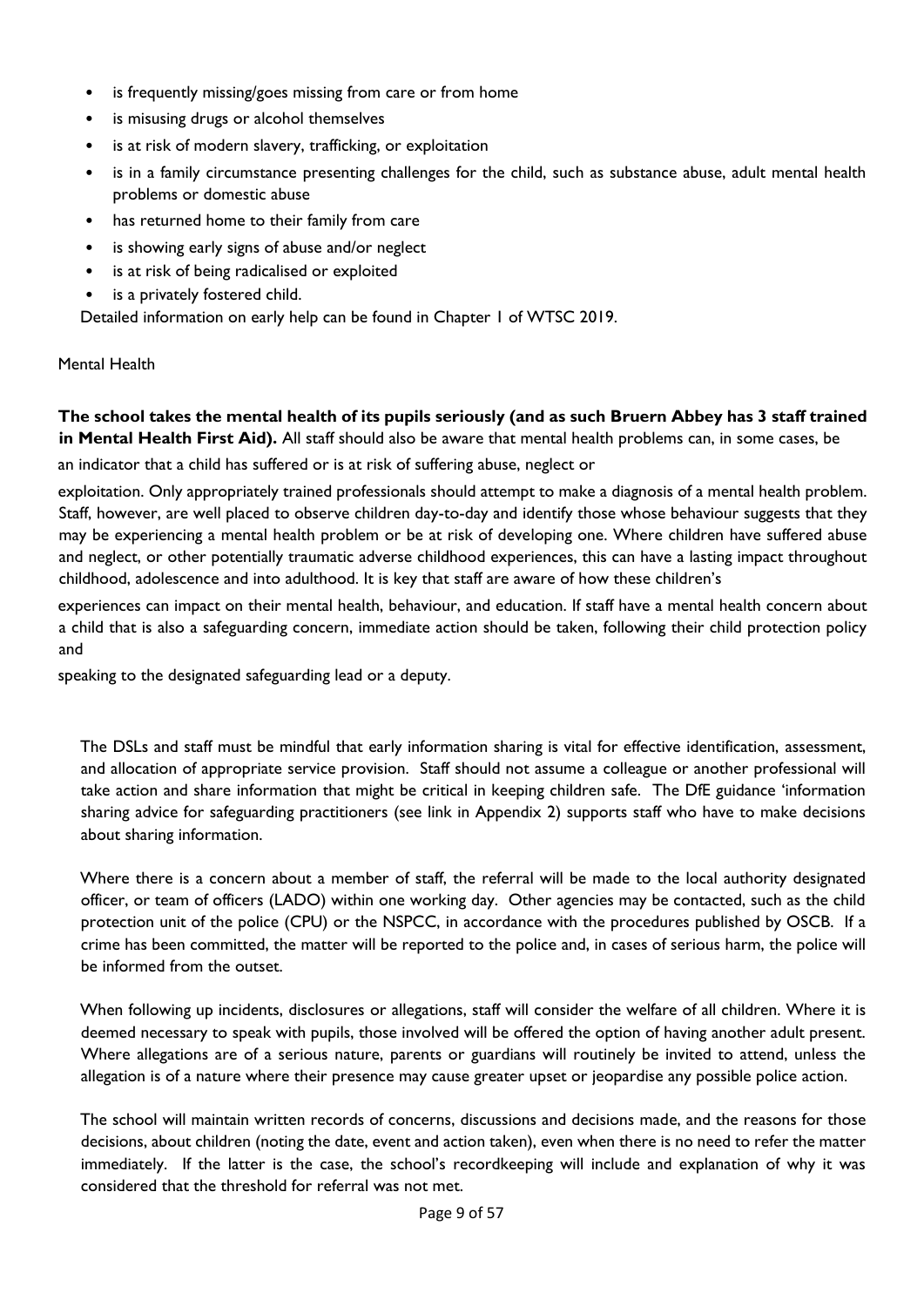- is frequently missing/goes missing from care or from home
- is misusing drugs or alcohol themselves
- is at risk of modern slavery, trafficking, or exploitation
- is in a family circumstance presenting challenges for the child, such as substance abuse, adult mental health problems or domestic abuse
- has returned home to their family from care
- is showing early signs of abuse and/or neglect
- is at risk of being radicalised or exploited
- is a privately fostered child.

Detailed information on early help can be found in Chapter 1 of WTSC 2019.

### Mental Health

**The school takes the mental health of its pupils seriously (and as such Bruern Abbey has 3 staff trained in Mental Health First Aid).** All staff should also be aware that mental health problems can, in some cases, be

an indicator that a child has suffered or is at risk of suffering abuse, neglect or

exploitation. Only appropriately trained professionals should attempt to make a diagnosis of a mental health problem. Staff, however, are well placed to observe children day-to-day and identify those whose behaviour suggests that they may be experiencing a mental health problem or be at risk of developing one. Where children have suffered abuse and neglect, or other potentially traumatic adverse childhood experiences, this can have a lasting impact throughout childhood, adolescence and into adulthood. It is key that staff are aware of how these children's

experiences can impact on their mental health, behaviour, and education. If staff have a mental health concern about a child that is also a safeguarding concern, immediate action should be taken, following their child protection policy and

speaking to the designated safeguarding lead or a deputy.

The DSLs and staff must be mindful that early information sharing is vital for effective identification, assessment, and allocation of appropriate service provision. Staff should not assume a colleague or another professional will take action and share information that might be critical in keeping children safe. The DfE guidance 'information sharing advice for safeguarding practitioners (see link in Appendix 2) supports staff who have to make decisions about sharing information.

Where there is a concern about a member of staff, the referral will be made to the local authority designated officer, or team of officers (LADO) within one working day. Other agencies may be contacted, such as the child protection unit of the police (CPU) or the NSPCC, in accordance with the procedures published by OSCB. If a crime has been committed, the matter will be reported to the police and, in cases of serious harm, the police will be informed from the outset.

When following up incidents, disclosures or allegations, staff will consider the welfare of all children. Where it is deemed necessary to speak with pupils, those involved will be offered the option of having another adult present. Where allegations are of a serious nature, parents or guardians will routinely be invited to attend, unless the allegation is of a nature where their presence may cause greater upset or jeopardise any possible police action.

The school will maintain written records of concerns, discussions and decisions made, and the reasons for those decisions, about children (noting the date, event and action taken), even when there is no need to refer the matter immediately. If the latter is the case, the school's recordkeeping will include and explanation of why it was considered that the threshold for referral was not met.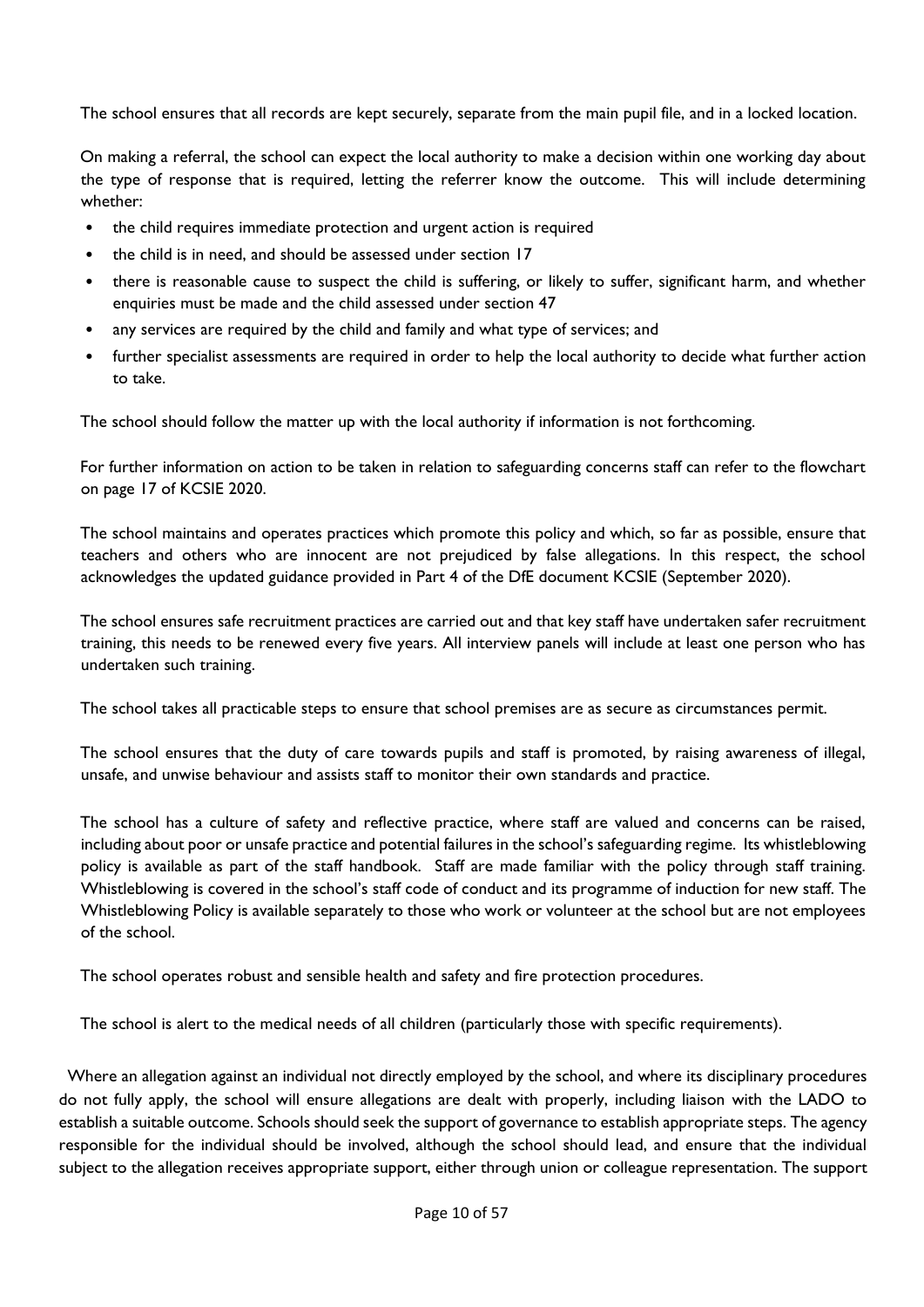The school ensures that all records are kept securely, separate from the main pupil file, and in a locked location.

On making a referral, the school can expect the local authority to make a decision within one working day about the type of response that is required, letting the referrer know the outcome. This will include determining whether:

- the child requires immediate protection and urgent action is required
- the child is in need, and should be assessed under section 17
- there is reasonable cause to suspect the child is suffering, or likely to suffer, significant harm, and whether enquiries must be made and the child assessed under section 47
- any services are required by the child and family and what type of services; and
- further specialist assessments are required in order to help the local authority to decide what further action to take.

The school should follow the matter up with the local authority if information is not forthcoming.

For further information on action to be taken in relation to safeguarding concerns staff can refer to the flowchart on page 17 of KCSIE 2020.

The school maintains and operates practices which promote this policy and which, so far as possible, ensure that teachers and others who are innocent are not prejudiced by false allegations. In this respect, the school acknowledges the updated guidance provided in Part 4 of the DfE document KCSIE (September 2020).

The school ensures safe recruitment practices are carried out and that key staff have undertaken safer recruitment training, this needs to be renewed every five years. All interview panels will include at least one person who has undertaken such training.

The school takes all practicable steps to ensure that school premises are as secure as circumstances permit.

The school ensures that the duty of care towards pupils and staff is promoted, by raising awareness of illegal, unsafe, and unwise behaviour and assists staff to monitor their own standards and practice.

The school has a culture of safety and reflective practice, where staff are valued and concerns can be raised, including about poor or unsafe practice and potential failures in the school's safeguarding regime. Its whistleblowing policy is available as part of the staff handbook. Staff are made familiar with the policy through staff training. Whistleblowing is covered in the school's staff code of conduct and its programme of induction for new staff. The Whistleblowing Policy is available separately to those who work or volunteer at the school but are not employees of the school.

The school operates robust and sensible health and safety and fire protection procedures.

The school is alert to the medical needs of all children (particularly those with specific requirements).

 Where an allegation against an individual not directly employed by the school, and where its disciplinary procedures do not fully apply, the school will ensure allegations are dealt with properly, including liaison with the LADO to establish a suitable outcome. Schools should seek the support of governance to establish appropriate steps. The agency responsible for the individual should be involved, although the school should lead, and ensure that the individual subject to the allegation receives appropriate support, either through union or colleague representation. The support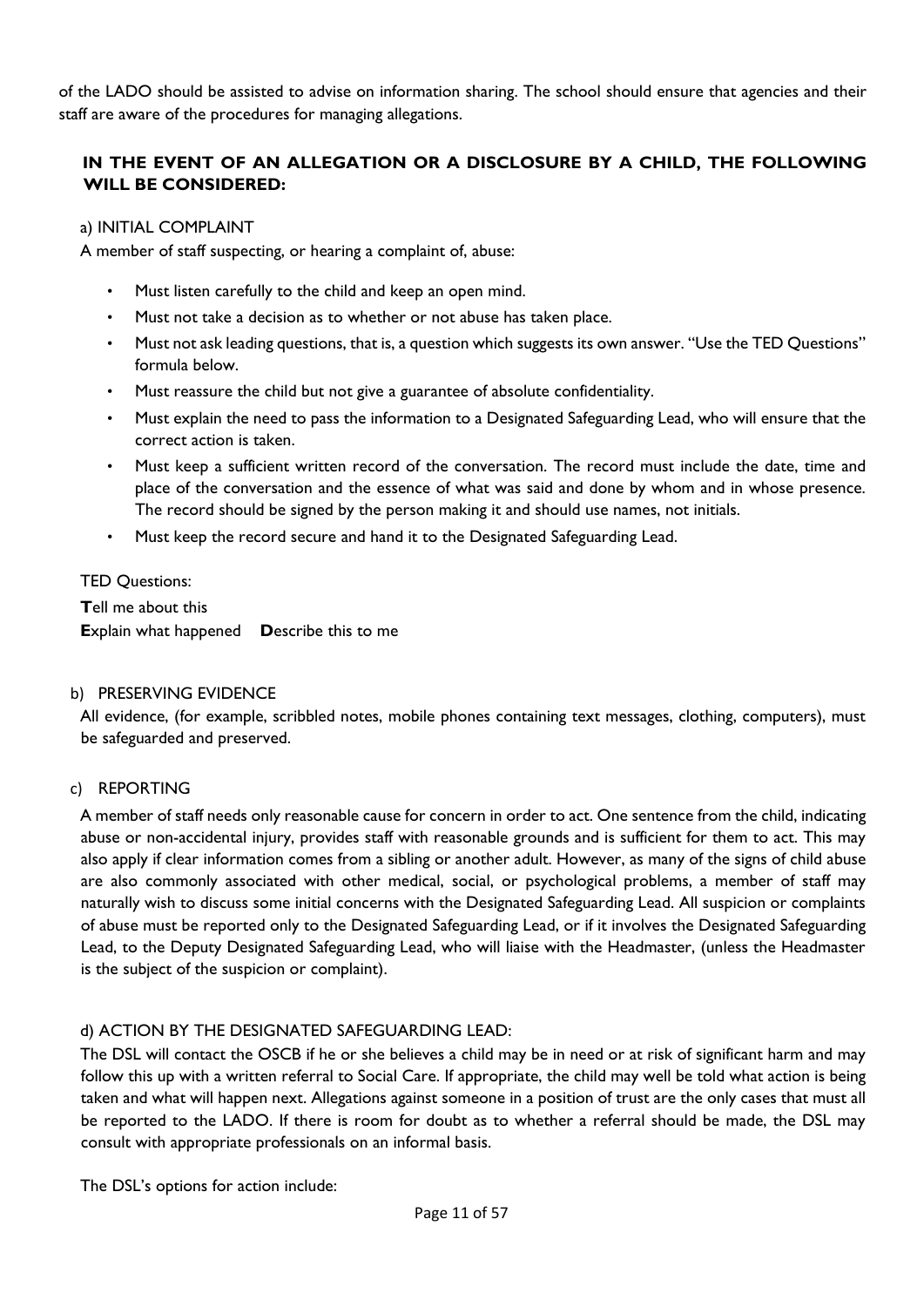of the LADO should be assisted to advise on information sharing. The school should ensure that agencies and their staff are aware of the procedures for managing allegations.

# **IN THE EVENT OF AN ALLEGATION OR A DISCLOSURE BY A CHILD, THE FOLLOWING WILL BE CONSIDERED:**

### a) INITIAL COMPLAINT

A member of staff suspecting, or hearing a complaint of, abuse:

- Must listen carefully to the child and keep an open mind.
- Must not take a decision as to whether or not abuse has taken place.
- Must not ask leading questions, that is, a question which suggests its own answer. "Use the TED Questions" formula below.
- Must reassure the child but not give a guarantee of absolute confidentiality.
- Must explain the need to pass the information to a Designated Safeguarding Lead, who will ensure that the correct action is taken.
- Must keep a sufficient written record of the conversation. The record must include the date, time and place of the conversation and the essence of what was said and done by whom and in whose presence. The record should be signed by the person making it and should use names, not initials.
- Must keep the record secure and hand it to the Designated Safeguarding Lead.

### TED Questions:

**T**ell me about this **E**xplain what happened **D**escribe this to me

### b) PRESERVING EVIDENCE

All evidence, (for example, scribbled notes, mobile phones containing text messages, clothing, computers), must be safeguarded and preserved.

# c) REPORTING

A member of staff needs only reasonable cause for concern in order to act. One sentence from the child, indicating abuse or non-accidental injury, provides staff with reasonable grounds and is sufficient for them to act. This may also apply if clear information comes from a sibling or another adult. However, as many of the signs of child abuse are also commonly associated with other medical, social, or psychological problems, a member of staff may naturally wish to discuss some initial concerns with the Designated Safeguarding Lead. All suspicion or complaints of abuse must be reported only to the Designated Safeguarding Lead, or if it involves the Designated Safeguarding Lead, to the Deputy Designated Safeguarding Lead, who will liaise with the Headmaster, (unless the Headmaster is the subject of the suspicion or complaint).

# d) ACTION BY THE DESIGNATED SAFEGUARDING LEAD:

The DSL will contact the OSCB if he or she believes a child may be in need or at risk of significant harm and may follow this up with a written referral to Social Care. If appropriate, the child may well be told what action is being taken and what will happen next. Allegations against someone in a position of trust are the only cases that must all be reported to the LADO. If there is room for doubt as to whether a referral should be made, the DSL may consult with appropriate professionals on an informal basis.

The DSL's options for action include: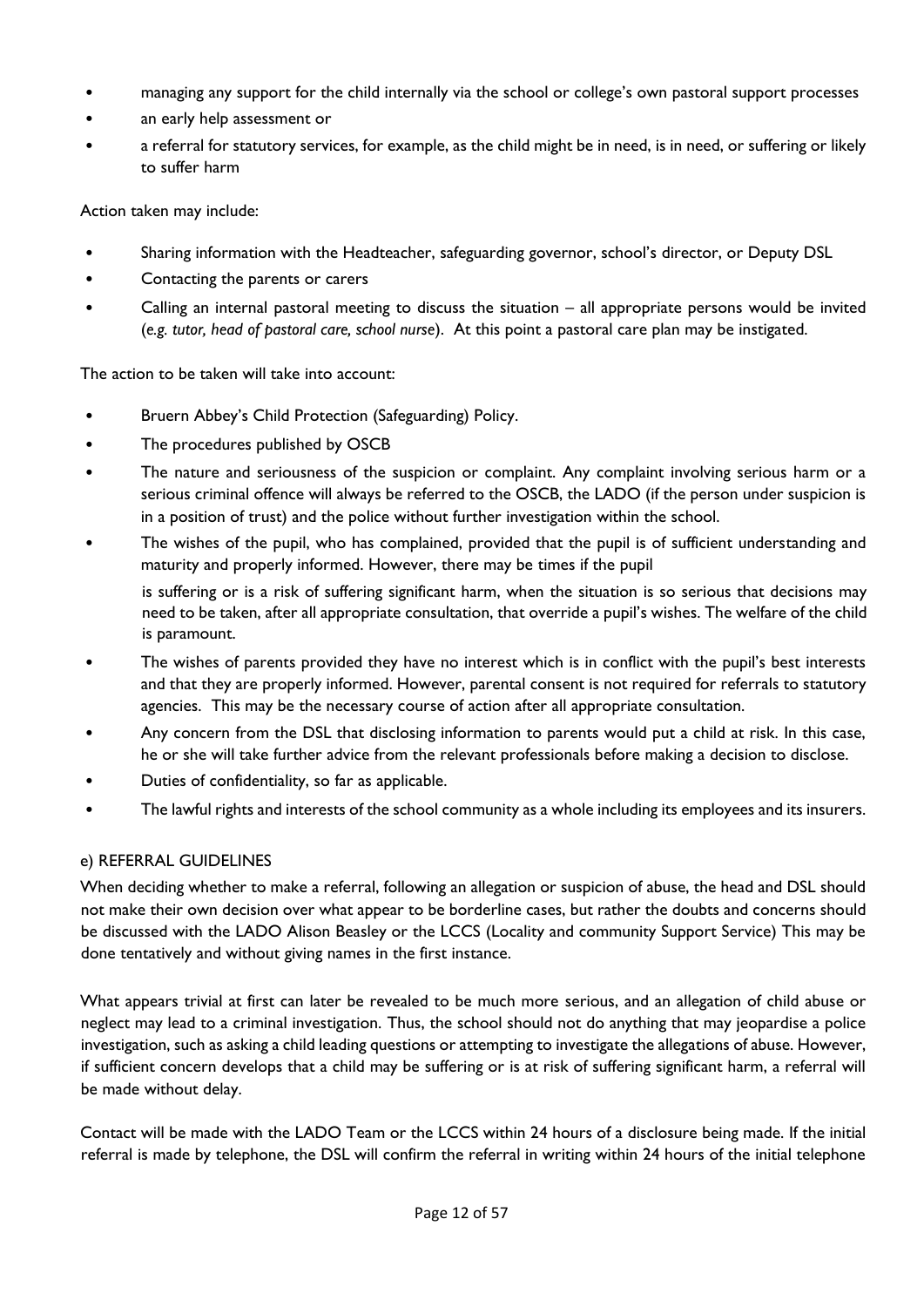- managing any support for the child internally via the school or college's own pastoral support processes
- an early help assessment or
- a referral for statutory services, for example, as the child might be in need, is in need, or suffering or likely to suffer harm

Action taken may include:

- Sharing information with the Headteacher, safeguarding governor, school's director, or Deputy DSL
- Contacting the parents or carers
- Calling an internal pastoral meeting to discuss the situation all appropriate persons would be invited (*e.g. tutor, head of pastoral care, school nurse*). At this point a pastoral care plan may be instigated.

The action to be taken will take into account:

- Bruern Abbey's Child Protection (Safeguarding) Policy.
- The procedures published by OSCB
- The nature and seriousness of the suspicion or complaint. Any complaint involving serious harm or a serious criminal offence will always be referred to the OSCB, the LADO (if the person under suspicion is in a position of trust) and the police without further investigation within the school.
- The wishes of the pupil, who has complained, provided that the pupil is of sufficient understanding and maturity and properly informed. However, there may be times if the pupil

is suffering or is a risk of suffering significant harm, when the situation is so serious that decisions may need to be taken, after all appropriate consultation, that override a pupil's wishes. The welfare of the child is paramount.

- The wishes of parents provided they have no interest which is in conflict with the pupil's best interests and that they are properly informed. However, parental consent is not required for referrals to statutory agencies. This may be the necessary course of action after all appropriate consultation.
- Any concern from the DSL that disclosing information to parents would put a child at risk. In this case, he or she will take further advice from the relevant professionals before making a decision to disclose.
- Duties of confidentiality, so far as applicable.
- The lawful rights and interests of the school community as a whole including its employees and its insurers.

### e) REFERRAL GUIDELINES

When deciding whether to make a referral, following an allegation or suspicion of abuse, the head and DSL should not make their own decision over what appear to be borderline cases, but rather the doubts and concerns should be discussed with the LADO Alison Beasley or the LCCS (Locality and community Support Service) This may be done tentatively and without giving names in the first instance.

What appears trivial at first can later be revealed to be much more serious, and an allegation of child abuse or neglect may lead to a criminal investigation. Thus, the school should not do anything that may jeopardise a police investigation, such as asking a child leading questions or attempting to investigate the allegations of abuse. However, if sufficient concern develops that a child may be suffering or is at risk of suffering significant harm, a referral will be made without delay.

Contact will be made with the LADO Team or the LCCS within 24 hours of a disclosure being made. If the initial referral is made by telephone, the DSL will confirm the referral in writing within 24 hours of the initial telephone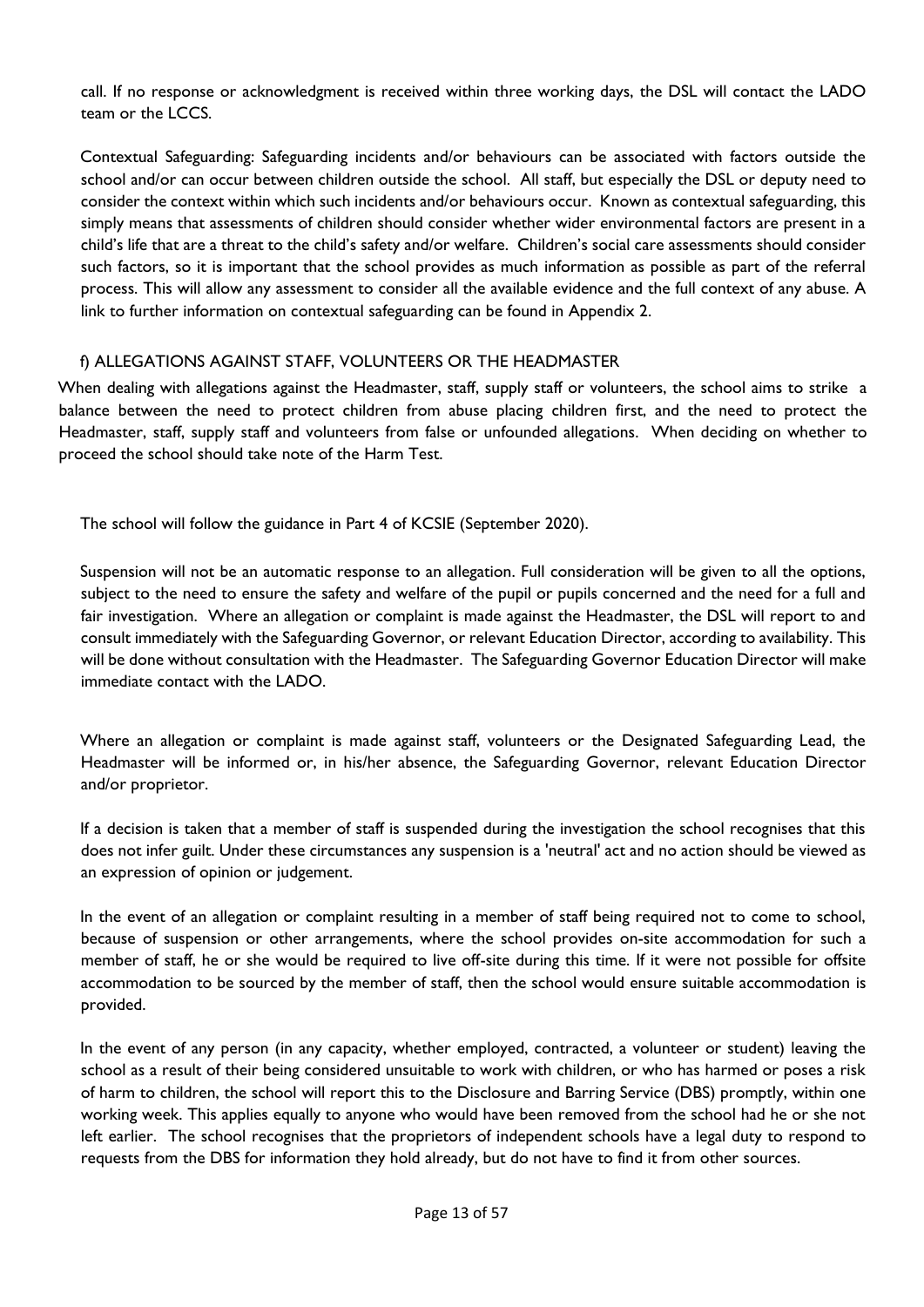call. If no response or acknowledgment is received within three working days, the DSL will contact the LADO team or the LCCS.

Contextual Safeguarding: Safeguarding incidents and/or behaviours can be associated with factors outside the school and/or can occur between children outside the school. All staff, but especially the DSL or deputy need to consider the context within which such incidents and/or behaviours occur. Known as contextual safeguarding, this simply means that assessments of children should consider whether wider environmental factors are present in a child's life that are a threat to the child's safety and/or welfare. Children's social care assessments should consider such factors, so it is important that the school provides as much information as possible as part of the referral process. This will allow any assessment to consider all the available evidence and the full context of any abuse. A link to further information on contextual safeguarding can be found in Appendix 2.

### f) ALLEGATIONS AGAINST STAFF, VOLUNTEERS OR THE HEADMASTER

When dealing with allegations against the Headmaster, staff, supply staff or volunteers, the school aims to strike a balance between the need to protect children from abuse placing children first, and the need to protect the Headmaster, staff, supply staff and volunteers from false or unfounded allegations. When deciding on whether to proceed the school should take note of the Harm Test.

The school will follow the guidance in Part 4 of KCSIE (September 2020).

Suspension will not be an automatic response to an allegation. Full consideration will be given to all the options, subject to the need to ensure the safety and welfare of the pupil or pupils concerned and the need for a full and fair investigation. Where an allegation or complaint is made against the Headmaster, the DSL will report to and consult immediately with the Safeguarding Governor, or relevant Education Director, according to availability. This will be done without consultation with the Headmaster. The Safeguarding Governor Education Director will make immediate contact with the LADO.

Where an allegation or complaint is made against staff, volunteers or the Designated Safeguarding Lead, the Headmaster will be informed or, in his/her absence, the Safeguarding Governor, relevant Education Director and/or proprietor.

If a decision is taken that a member of staff is suspended during the investigation the school recognises that this does not infer guilt. Under these circumstances any suspension is a 'neutral' act and no action should be viewed as an expression of opinion or judgement.

In the event of an allegation or complaint resulting in a member of staff being required not to come to school, because of suspension or other arrangements, where the school provides on-site accommodation for such a member of staff, he or she would be required to live off-site during this time. If it were not possible for offsite accommodation to be sourced by the member of staff, then the school would ensure suitable accommodation is provided.

In the event of any person (in any capacity, whether employed, contracted, a volunteer or student) leaving the school as a result of their being considered unsuitable to work with children, or who has harmed or poses a risk of harm to children, the school will report this to the Disclosure and Barring Service (DBS) promptly, within one working week. This applies equally to anyone who would have been removed from the school had he or she not left earlier. The school recognises that the proprietors of independent schools have a legal duty to respond to requests from the DBS for information they hold already, but do not have to find it from other sources.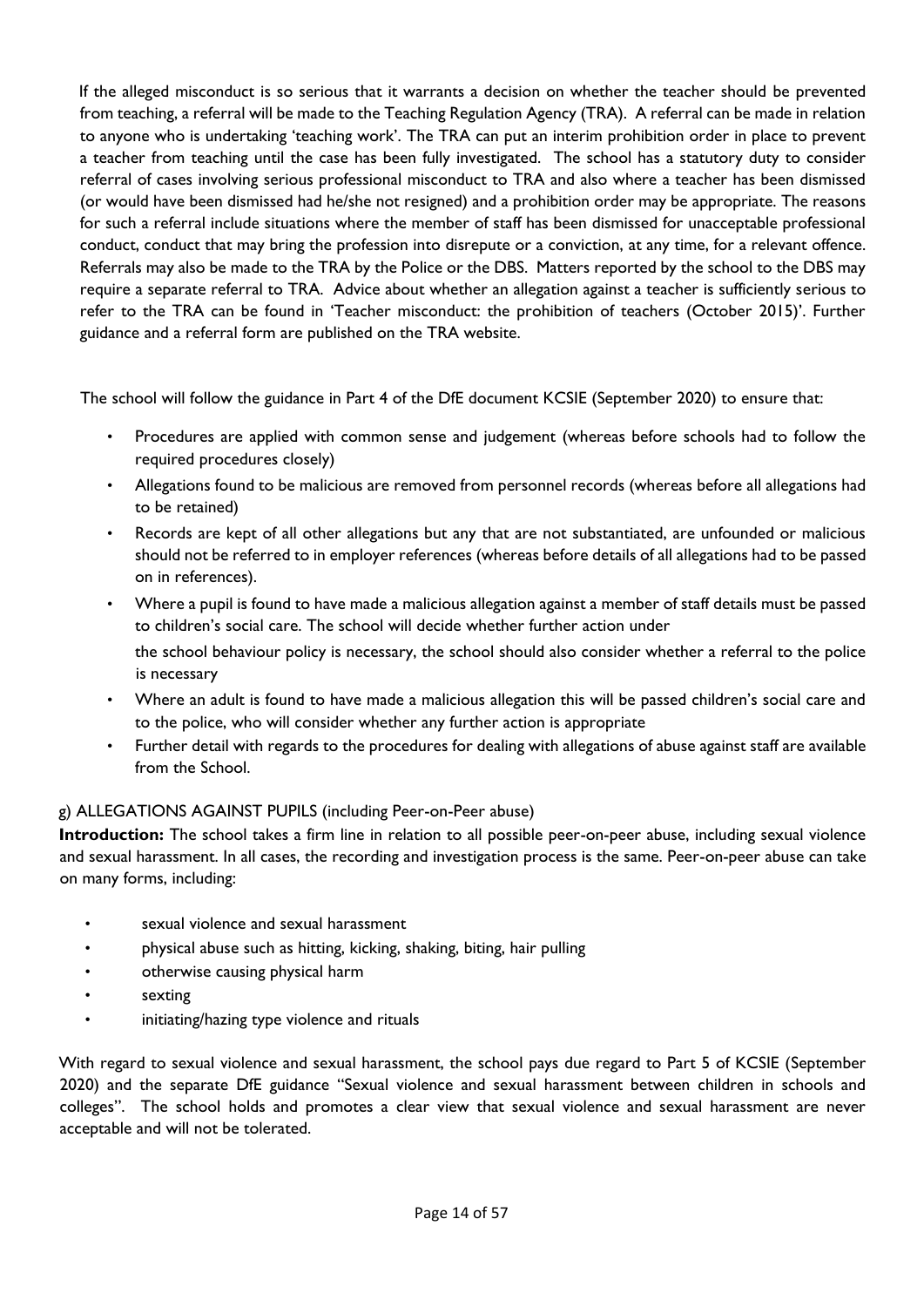If the alleged misconduct is so serious that it warrants a decision on whether the teacher should be prevented from teaching, a referral will be made to the Teaching Regulation Agency (TRA). A referral can be made in relation to anyone who is undertaking 'teaching work'. The TRA can put an interim prohibition order in place to prevent a teacher from teaching until the case has been fully investigated. The school has a statutory duty to consider referral of cases involving serious professional misconduct to TRA and also where a teacher has been dismissed (or would have been dismissed had he/she not resigned) and a prohibition order may be appropriate. The reasons for such a referral include situations where the member of staff has been dismissed for unacceptable professional conduct, conduct that may bring the profession into disrepute or a conviction, at any time, for a relevant offence. Referrals may also be made to the TRA by the Police or the DBS. Matters reported by the school to the DBS may require a separate referral to TRA. Advice about whether an allegation against a teacher is sufficiently serious to refer to the TRA can be found in 'Teacher misconduct: the prohibition of teachers (October 2015)'. Further guidance and a referral form are published on the TRA website.

The school will follow the guidance in Part 4 of the DfE document KCSIE (September 2020) to ensure that:

- Procedures are applied with common sense and judgement (whereas before schools had to follow the required procedures closely)
- Allegations found to be malicious are removed from personnel records (whereas before all allegations had to be retained)
- Records are kept of all other allegations but any that are not substantiated, are unfounded or malicious should not be referred to in employer references (whereas before details of all allegations had to be passed on in references).
- Where a pupil is found to have made a malicious allegation against a member of staff details must be passed to children's social care. The school will decide whether further action under
- the school behaviour policy is necessary, the school should also consider whether a referral to the police is necessary
- Where an adult is found to have made a malicious allegation this will be passed children's social care and to the police, who will consider whether any further action is appropriate
- Further detail with regards to the procedures for dealing with allegations of abuse against staff are available from the School.

# g) ALLEGATIONS AGAINST PUPILS (including Peer-on-Peer abuse)

**Introduction:** The school takes a firm line in relation to all possible peer-on-peer abuse, including sexual violence and sexual harassment. In all cases, the recording and investigation process is the same. Peer-on-peer abuse can take on many forms, including:

- sexual violence and sexual harassment
- physical abuse such as hitting, kicking, shaking, biting, hair pulling
- otherwise causing physical harm
- sexting
- initiating/hazing type violence and rituals

With regard to sexual violence and sexual harassment, the school pays due regard to Part 5 of KCSIE (September 2020) and the separate DfE guidance "Sexual violence and sexual harassment between children in schools and colleges". The school holds and promotes a clear view that sexual violence and sexual harassment are never acceptable and will not be tolerated.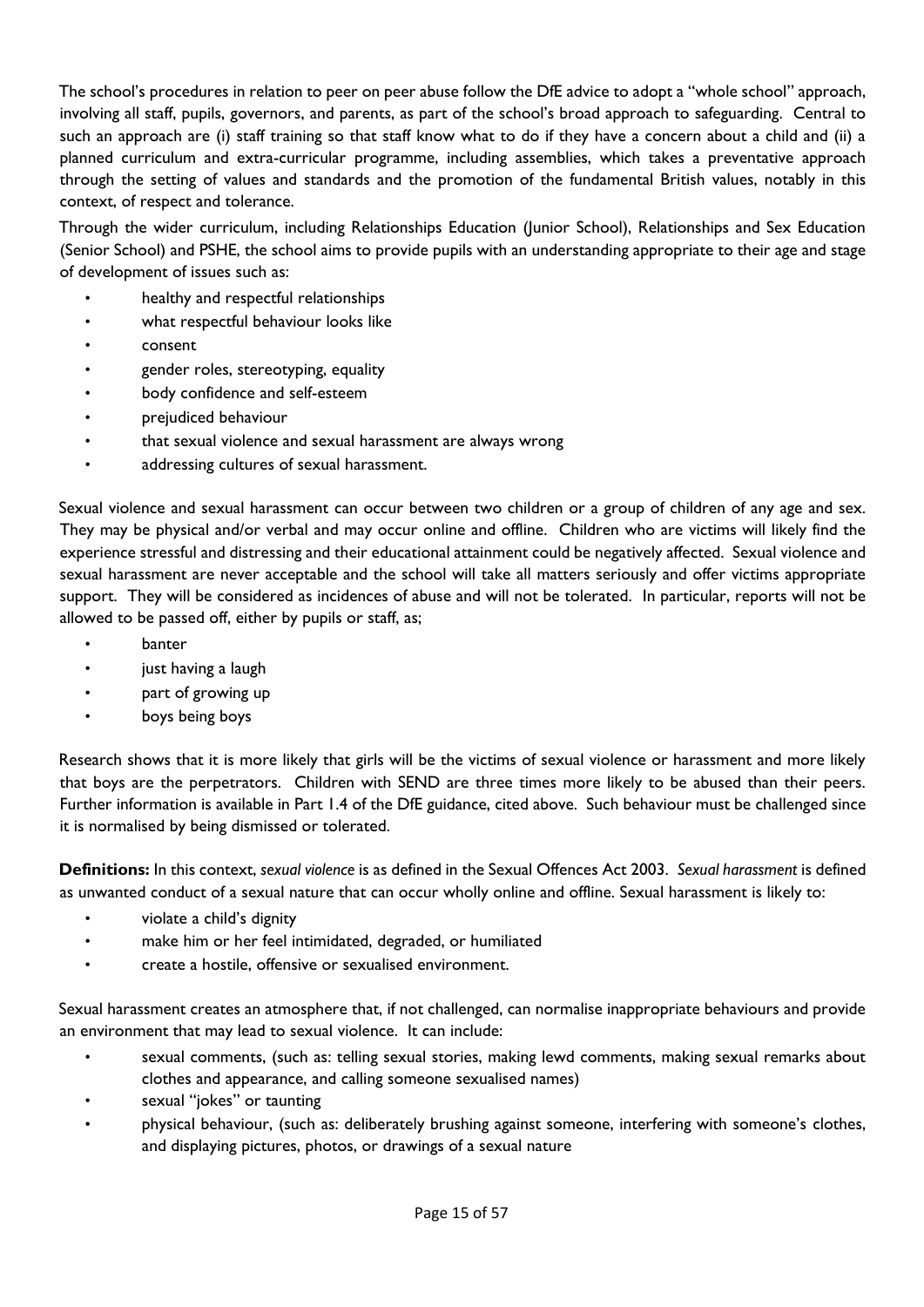The school's procedures in relation to peer on peer abuse follow the DfE advice to adopt a "whole school" approach, involving all staff, pupils, governors, and parents, as part of the school's broad approach to safeguarding. Central to such an approach are (i) staff training so that staff know what to do if they have a concern about a child and (ii) a planned curriculum and extra-curricular programme, including assemblies, which takes a preventative approach through the setting of values and standards and the promotion of the fundamental British values, notably in this context, of respect and tolerance.

Through the wider curriculum, including Relationships Education (Junior School), Relationships and Sex Education (Senior School) and PSHE, the school aims to provide pupils with an understanding appropriate to their age and stage of development of issues such as:

- healthy and respectful relationships
- what respectful behaviour looks like
- consent
- gender roles, stereotyping, equality
- body confidence and self-esteem
- prejudiced behaviour
- that sexual violence and sexual harassment are always wrong
- addressing cultures of sexual harassment.

Sexual violence and sexual harassment can occur between two children or a group of children of any age and sex. They may be physical and/or verbal and may occur online and offline. Children who are victims will likely find the experience stressful and distressing and their educational attainment could be negatively affected. Sexual violence and sexual harassment are never acceptable and the school will take all matters seriously and offer victims appropriate support. They will be considered as incidences of abuse and will not be tolerated. In particular, reports will not be allowed to be passed off, either by pupils or staff, as;

- **banter**
- just having a laugh
- part of growing up
- boys being boys

Research shows that it is more likely that girls will be the victims of sexual violence or harassment and more likely that boys are the perpetrators. Children with SEND are three times more likely to be abused than their peers. Further information is available in Part 1.4 of the DfE guidance, cited above. Such behaviour must be challenged since it is normalised by being dismissed or tolerated.

**Definitions:** In this context, *sexual violence* is as defined in the Sexual Offences Act 2003. *Sexual harassment* is defined as unwanted conduct of a sexual nature that can occur wholly online and offline. Sexual harassment is likely to:

- violate a child's dignity
- make him or her feel intimidated, degraded, or humiliated
- create a hostile, offensive or sexualised environment.

Sexual harassment creates an atmosphere that, if not challenged, can normalise inappropriate behaviours and provide an environment that may lead to sexual violence. It can include:

- sexual comments, (such as: telling sexual stories, making lewd comments, making sexual remarks about clothes and appearance, and calling someone sexualised names)
- sexual "jokes" or taunting
- physical behaviour, (such as: deliberately brushing against someone, interfering with someone's clothes, and displaying pictures, photos, or drawings of a sexual nature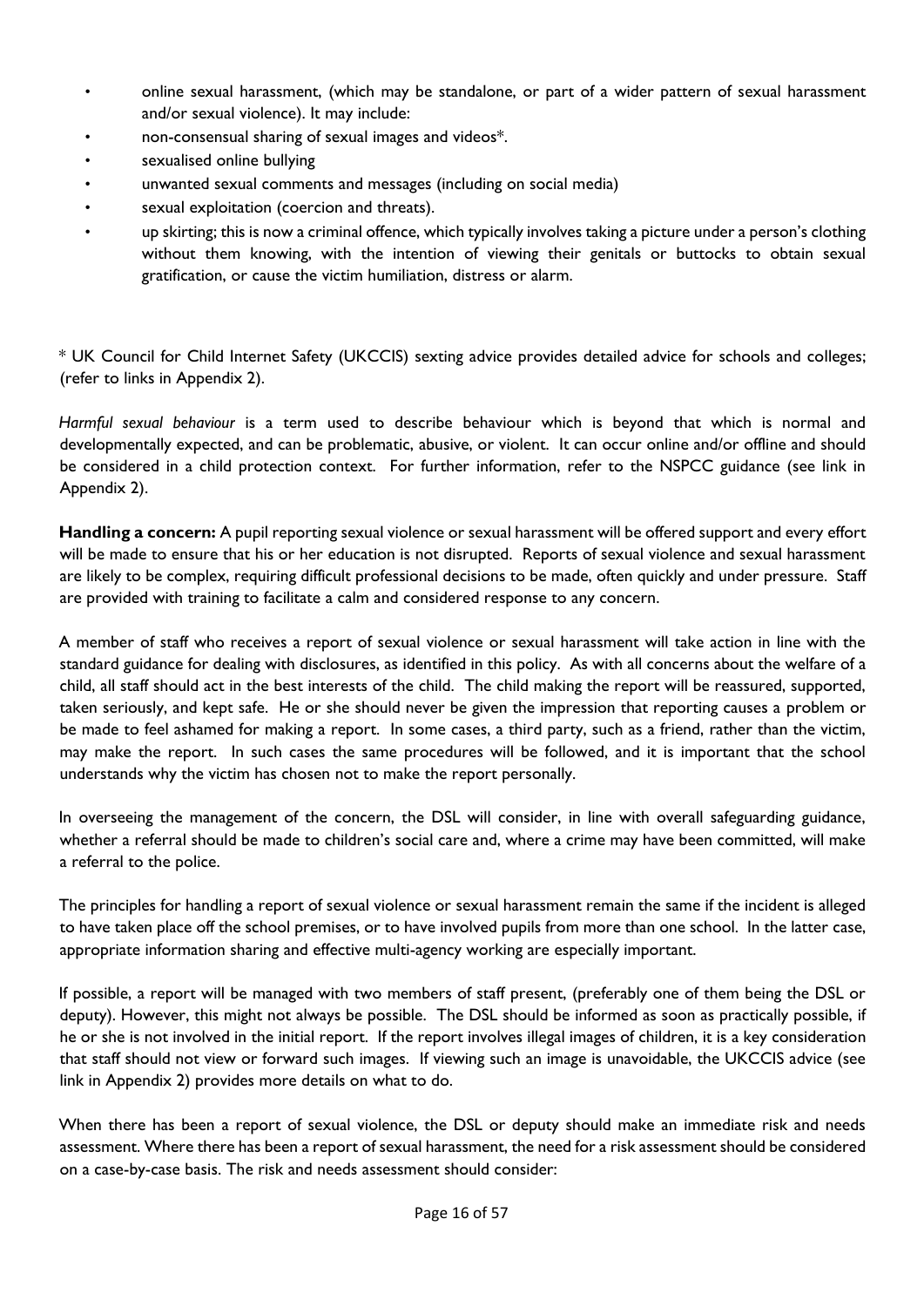- online sexual harassment, (which may be standalone, or part of a wider pattern of sexual harassment and/or sexual violence). It may include:
- non-consensual sharing of sexual images and videos\*.
- sexualised online bullying
- unwanted sexual comments and messages (including on social media)
- sexual exploitation (coercion and threats).
- up skirting; this is now a criminal offence, which typically involves taking a picture under a person's clothing without them knowing, with the intention of viewing their genitals or buttocks to obtain sexual gratification, or cause the victim humiliation, distress or alarm.

\* UK Council for Child Internet Safety (UKCCIS) sexting advice provides detailed advice for schools and colleges; (refer to links in Appendix 2).

*Harmful sexual behaviour* is a term used to describe behaviour which is beyond that which is normal and developmentally expected, and can be problematic, abusive, or violent. It can occur online and/or offline and should be considered in a child protection context. For further information, refer to the NSPCC guidance (see link in Appendix 2).

**Handling a concern:** A pupil reporting sexual violence or sexual harassment will be offered support and every effort will be made to ensure that his or her education is not disrupted. Reports of sexual violence and sexual harassment are likely to be complex, requiring difficult professional decisions to be made, often quickly and under pressure. Staff are provided with training to facilitate a calm and considered response to any concern.

A member of staff who receives a report of sexual violence or sexual harassment will take action in line with the standard guidance for dealing with disclosures, as identified in this policy. As with all concerns about the welfare of a child, all staff should act in the best interests of the child. The child making the report will be reassured, supported, taken seriously, and kept safe. He or she should never be given the impression that reporting causes a problem or be made to feel ashamed for making a report. In some cases, a third party, such as a friend, rather than the victim, may make the report. In such cases the same procedures will be followed, and it is important that the school understands why the victim has chosen not to make the report personally.

In overseeing the management of the concern, the DSL will consider, in line with overall safeguarding guidance, whether a referral should be made to children's social care and, where a crime may have been committed, will make a referral to the police.

The principles for handling a report of sexual violence or sexual harassment remain the same if the incident is alleged to have taken place off the school premises, or to have involved pupils from more than one school. In the latter case, appropriate information sharing and effective multi-agency working are especially important.

If possible, a report will be managed with two members of staff present, (preferably one of them being the DSL or deputy). However, this might not always be possible. The DSL should be informed as soon as practically possible, if he or she is not involved in the initial report. If the report involves illegal images of children, it is a key consideration that staff should not view or forward such images. If viewing such an image is unavoidable, the UKCCIS advice (see link in Appendix 2) provides more details on what to do.

When there has been a report of sexual violence, the DSL or deputy should make an immediate risk and needs assessment. Where there has been a report of sexual harassment, the need for a risk assessment should be considered on a case-by-case basis. The risk and needs assessment should consider: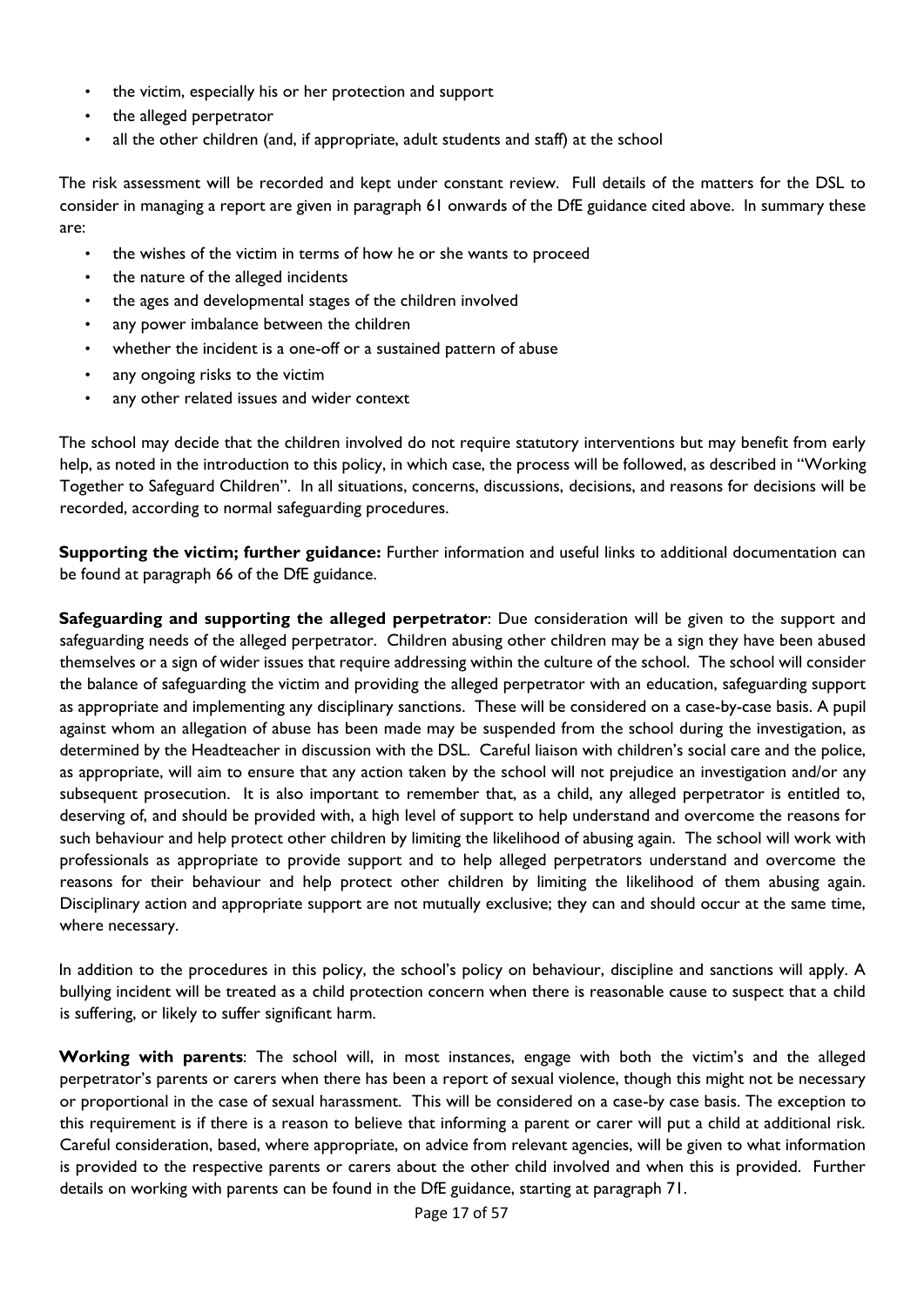- the victim, especially his or her protection and support
- the alleged perpetrator
- all the other children (and, if appropriate, adult students and staff) at the school

The risk assessment will be recorded and kept under constant review. Full details of the matters for the DSL to consider in managing a report are given in paragraph 61 onwards of the DfE guidance cited above. In summary these are:

- the wishes of the victim in terms of how he or she wants to proceed
- the nature of the alleged incidents
- the ages and developmental stages of the children involved
- any power imbalance between the children
- whether the incident is a one-off or a sustained pattern of abuse
- any ongoing risks to the victim
- any other related issues and wider context

The school may decide that the children involved do not require statutory interventions but may benefit from early help, as noted in the introduction to this policy, in which case, the process will be followed, as described in "Working Together to Safeguard Children". In all situations, concerns, discussions, decisions, and reasons for decisions will be recorded, according to normal safeguarding procedures.

**Supporting the victim; further guidance:** Further information and useful links to additional documentation can be found at paragraph 66 of the DfE guidance.

**Safeguarding and supporting the alleged perpetrator**: Due consideration will be given to the support and safeguarding needs of the alleged perpetrator. Children abusing other children may be a sign they have been abused themselves or a sign of wider issues that require addressing within the culture of the school. The school will consider the balance of safeguarding the victim and providing the alleged perpetrator with an education, safeguarding support as appropriate and implementing any disciplinary sanctions. These will be considered on a case-by-case basis. A pupil against whom an allegation of abuse has been made may be suspended from the school during the investigation, as determined by the Headteacher in discussion with the DSL. Careful liaison with children's social care and the police, as appropriate, will aim to ensure that any action taken by the school will not prejudice an investigation and/or any subsequent prosecution. It is also important to remember that, as a child, any alleged perpetrator is entitled to, deserving of, and should be provided with, a high level of support to help understand and overcome the reasons for such behaviour and help protect other children by limiting the likelihood of abusing again. The school will work with professionals as appropriate to provide support and to help alleged perpetrators understand and overcome the reasons for their behaviour and help protect other children by limiting the likelihood of them abusing again. Disciplinary action and appropriate support are not mutually exclusive; they can and should occur at the same time, where necessary.

In addition to the procedures in this policy, the school's policy on behaviour, discipline and sanctions will apply. A bullying incident will be treated as a child protection concern when there is reasonable cause to suspect that a child is suffering, or likely to suffer significant harm.

**Working with parents**: The school will, in most instances, engage with both the victim's and the alleged perpetrator's parents or carers when there has been a report of sexual violence, though this might not be necessary or proportional in the case of sexual harassment. This will be considered on a case-by case basis. The exception to this requirement is if there is a reason to believe that informing a parent or carer will put a child at additional risk. Careful consideration, based, where appropriate, on advice from relevant agencies, will be given to what information is provided to the respective parents or carers about the other child involved and when this is provided. Further details on working with parents can be found in the DfE guidance, starting at paragraph 71.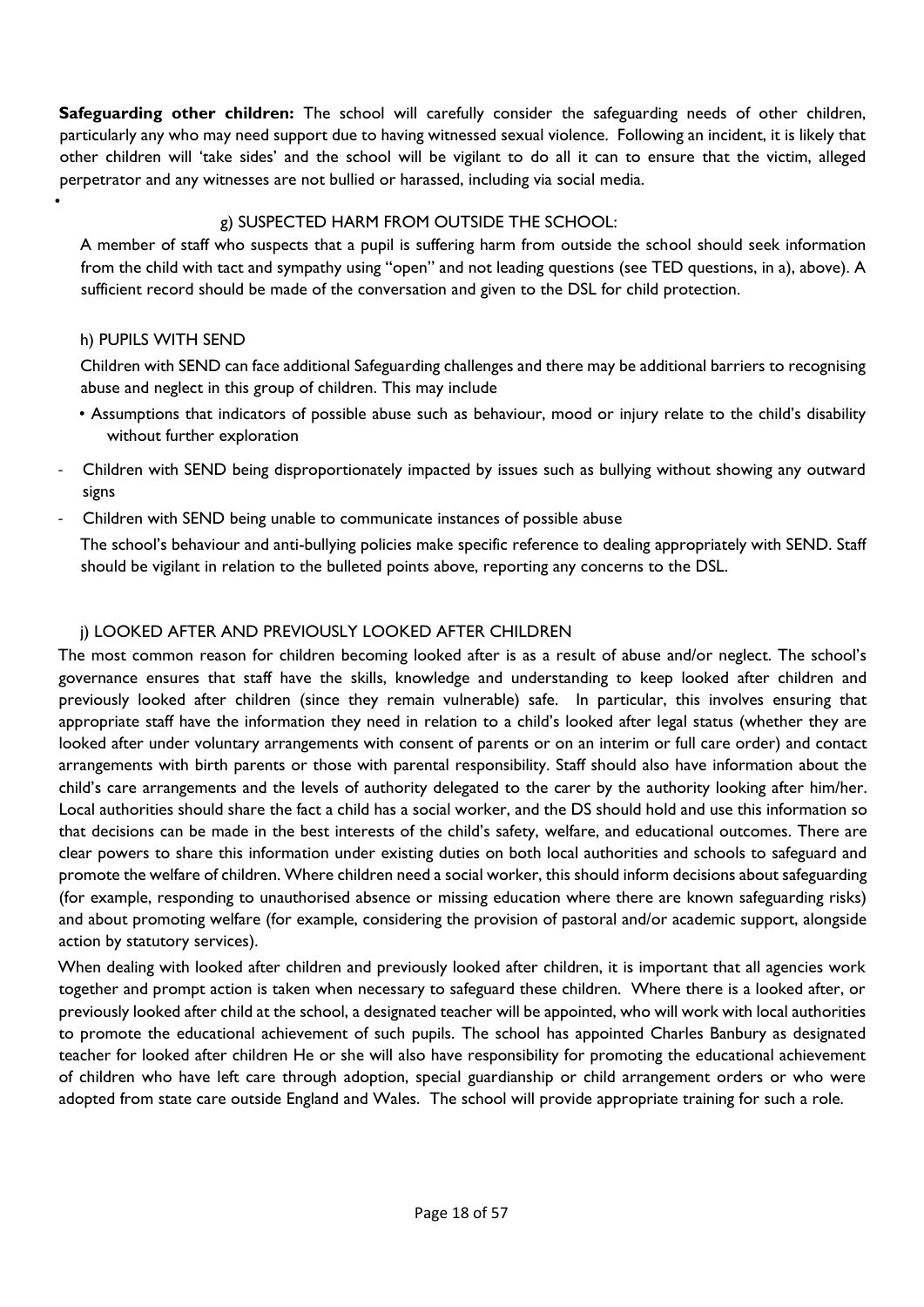**Safeguarding other children:** The school will carefully consider the safeguarding needs of other children, particularly any who may need support due to having witnessed sexual violence. Following an incident, it is likely that other children will 'take sides' and the school will be vigilant to do all it can to ensure that the victim, alleged perpetrator and any witnesses are not bullied or harassed, including via social media.

# g) SUSPECTED HARM FROM OUTSIDE THE SCHOOL:

A member of staff who suspects that a pupil is suffering harm from outside the school should seek information from the child with tact and sympathy using "open" and not leading questions (see TED questions, in a), above). A sufficient record should be made of the conversation and given to the DSL for child protection.

### h) PUPILS WITH SEND

•

Children with SEND can face additional Safeguarding challenges and there may be additional barriers to recognising abuse and neglect in this group of children. This may include

- Assumptions that indicators of possible abuse such as behaviour, mood or injury relate to the child's disability without further exploration
- Children with SEND being disproportionately impacted by issues such as bullying without showing any outward signs
- Children with SEND being unable to communicate instances of possible abuse

The school's behaviour and anti-bullying policies make specific reference to dealing appropriately with SEND. Staff should be vigilant in relation to the bulleted points above, reporting any concerns to the DSL.

### j) LOOKED AFTER AND PREVIOUSLY LOOKED AFTER CHILDREN

The most common reason for children becoming looked after is as a result of abuse and/or neglect. The school's governance ensures that staff have the skills, knowledge and understanding to keep looked after children and previously looked after children (since they remain vulnerable) safe. In particular, this involves ensuring that appropriate staff have the information they need in relation to a child's looked after legal status (whether they are looked after under voluntary arrangements with consent of parents or on an interim or full care order) and contact arrangements with birth parents or those with parental responsibility. Staff should also have information about the child's care arrangements and the levels of authority delegated to the carer by the authority looking after him/her. Local authorities should share the fact a child has a social worker, and the DS should hold and use this information so that decisions can be made in the best interests of the child's safety, welfare, and educational outcomes. There are clear powers to share this information under existing duties on both local authorities and schools to safeguard and promote the welfare of children. Where children need a social worker, this should inform decisions about safeguarding (for example, responding to unauthorised absence or missing education where there are known safeguarding risks) and about promoting welfare (for example, considering the provision of pastoral and/or academic support, alongside action by statutory services).

When dealing with looked after children and previously looked after children, it is important that all agencies work together and prompt action is taken when necessary to safeguard these children. Where there is a looked after, or previously looked after child at the school, a designated teacher will be appointed, who will work with local authorities to promote the educational achievement of such pupils. The school has appointed Charles Banbury as designated teacher for looked after children He or she will also have responsibility for promoting the educational achievement of children who have left care through adoption, special guardianship or child arrangement orders or who were adopted from state care outside England and Wales. The school will provide appropriate training for such a role.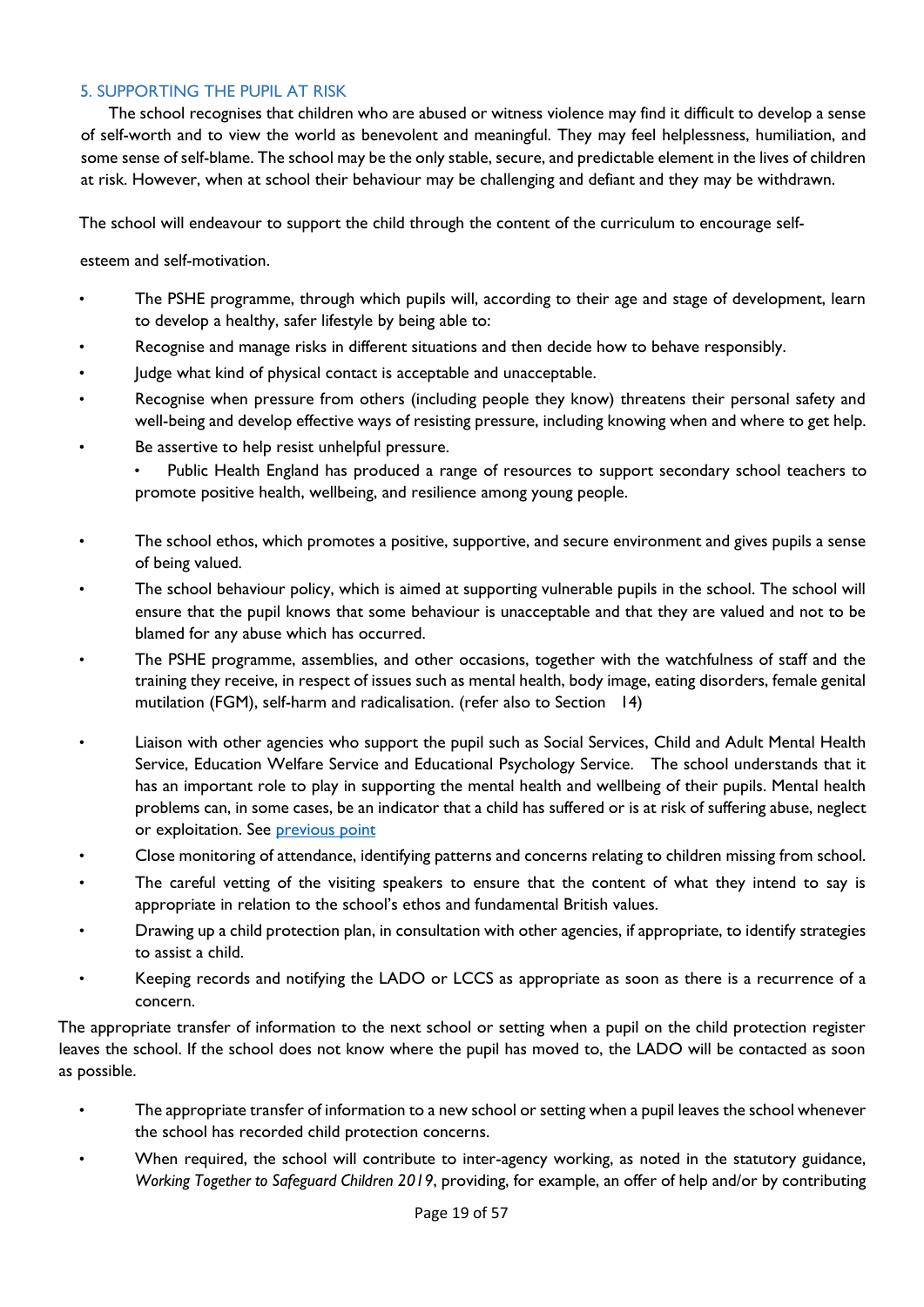### <span id="page-18-0"></span>5. SUPPORTING THE PUPIL AT RISK

 The school recognises that children who are abused or witness violence may find it difficult to develop a sense of self-worth and to view the world as benevolent and meaningful. They may feel helplessness, humiliation, and some sense of self-blame. The school may be the only stable, secure, and predictable element in the lives of children at risk. However, when at school their behaviour may be challenging and defiant and they may be withdrawn.

The school will endeavour to support the child through the content of the curriculum to encourage self-

esteem and self-motivation.

- The PSHE programme, through which pupils will, according to their age and stage of development, learn to develop a healthy, safer lifestyle by being able to:
- Recognise and manage risks in different situations and then decide how to behave responsibly.
- Judge what kind of physical contact is acceptable and unacceptable.
- Recognise when pressure from others (including people they know) threatens their personal safety and well-being and develop effective ways of resisting pressure, including knowing when and where to get help.
- Be assertive to help resist unhelpful pressure.
	- Public Health England has produced a range of resources to support secondary school teachers to promote positive health, wellbeing, and resilience among young people.
- The school ethos, which promotes a positive, supportive, and secure environment and gives pupils a sense of being valued.
- The school behaviour policy, which is aimed at supporting vulnerable pupils in the school. The school will ensure that the pupil knows that some behaviour is unacceptable and that they are valued and not to be blamed for any abuse which has occurred.
- The PSHE programme, assemblies, and other occasions, together with the watchfulness of staff and the training they receive, in respect of issues such as mental health, body image, eating disorders, female genital mutilation (FGM), self-harm and radicalisation. (refer also to Section 14)
- Liaison with other agencies who support the pupil such as Social Services, Child and Adult Mental Health Service, Education Welfare Service and Educational Psychology Service. The school understands that it has an important role to play in supporting the mental health and wellbeing of their pupils. Mental health problems can, in some cases, be an indicator that a child has suffered or is at risk of suffering abuse, neglect or exploitation. See **previous** point
- Close monitoring of attendance, identifying patterns and concerns relating to children missing from school.
- The careful vetting of the visiting speakers to ensure that the content of what they intend to say is appropriate in relation to the school's ethos and fundamental British values.
- Drawing up a child protection plan, in consultation with other agencies, if appropriate, to identify strategies to assist a child.
- Keeping records and notifying the LADO or LCCS as appropriate as soon as there is a recurrence of a concern.

The appropriate transfer of information to the next school or setting when a pupil on the child protection register leaves the school. If the school does not know where the pupil has moved to, the LADO will be contacted as soon as possible.

- The appropriate transfer of information to a new school or setting when a pupil leaves the school whenever the school has recorded child protection concerns.
- When required, the school will contribute to inter-agency working, as noted in the statutory guidance, *Working Together to Safeguard Children 2019*, providing, for example, an offer of help and/or by contributing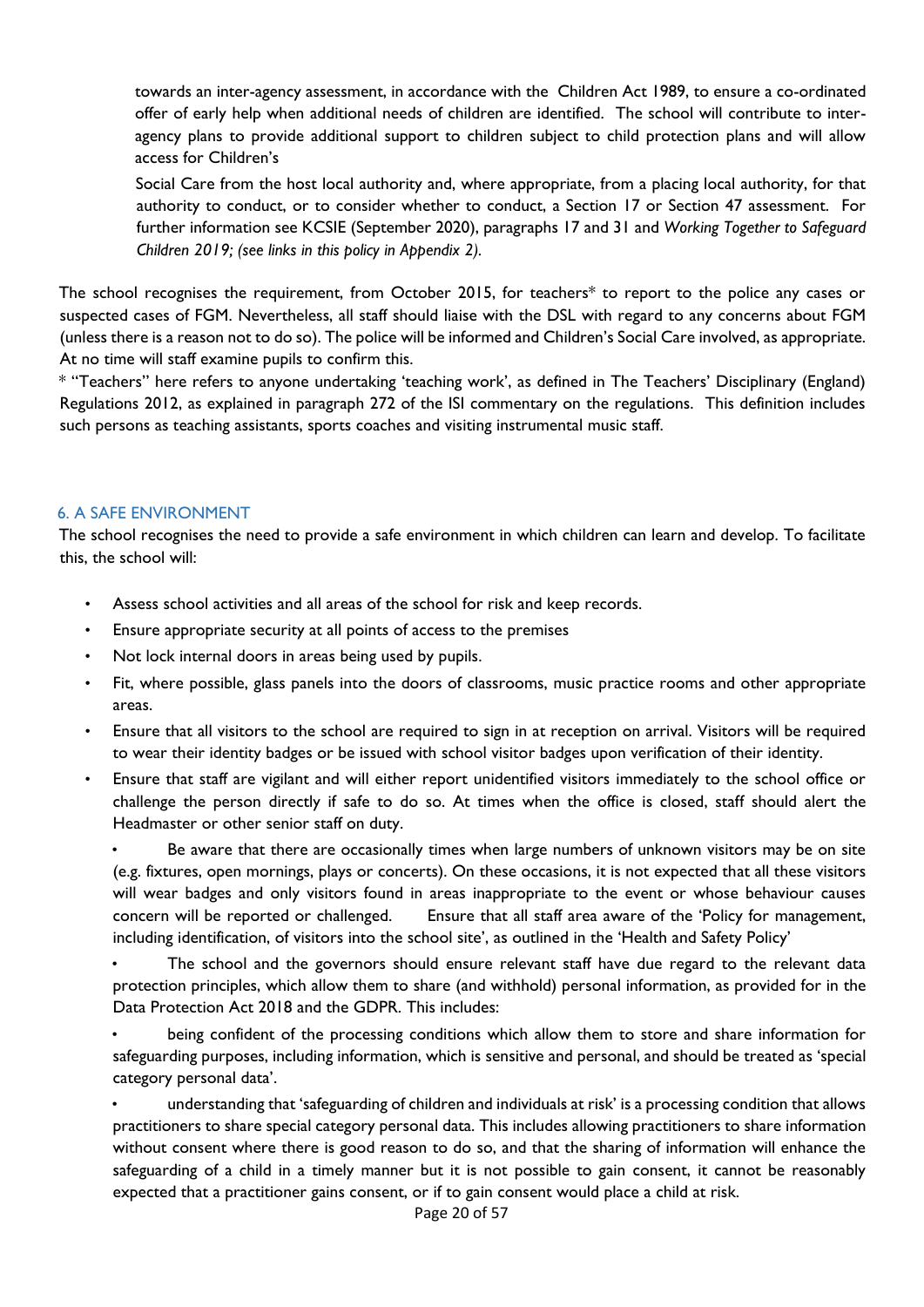towards an inter-agency assessment, in accordance with the Children Act 1989, to ensure a co-ordinated offer of early help when additional needs of children are identified. The school will contribute to interagency plans to provide additional support to children subject to child protection plans and will allow access for Children's

Social Care from the host local authority and, where appropriate, from a placing local authority, for that authority to conduct, or to consider whether to conduct, a Section 17 or Section 47 assessment. For further information see KCSIE (September 2020), paragraphs 17 and 31 and *Working Together to Safeguard Children 2019; (see links in this policy in Appendix 2).* 

The school recognises the requirement, from October 2015, for teachers\* to report to the police any cases or suspected cases of FGM. Nevertheless, all staff should liaise with the DSL with regard to any concerns about FGM (unless there is a reason not to do so). The police will be informed and Children's Social Care involved, as appropriate. At no time will staff examine pupils to confirm this.

\* "Teachers" here refers to anyone undertaking 'teaching work', as defined in The Teachers' Disciplinary (England) Regulations 2012, as explained in paragraph 272 of the ISI commentary on the regulations. This definition includes such persons as teaching assistants, sports coaches and visiting instrumental music staff.

### <span id="page-19-0"></span>6. A SAFE ENVIRONMENT

The school recognises the need to provide a safe environment in which children can learn and develop. To facilitate this, the school will:

- Assess school activities and all areas of the school for risk and keep records.
- Ensure appropriate security at all points of access to the premises
- Not lock internal doors in areas being used by pupils.
- Fit, where possible, glass panels into the doors of classrooms, music practice rooms and other appropriate areas.
- Ensure that all visitors to the school are required to sign in at reception on arrival. Visitors will be required to wear their identity badges or be issued with school visitor badges upon verification of their identity.
- Ensure that staff are vigilant and will either report unidentified visitors immediately to the school office or challenge the person directly if safe to do so. At times when the office is closed, staff should alert the Headmaster or other senior staff on duty.

Be aware that there are occasionally times when large numbers of unknown visitors may be on site (e.g. fixtures, open mornings, plays or concerts). On these occasions, it is not expected that all these visitors will wear badges and only visitors found in areas inappropriate to the event or whose behaviour causes concern will be reported or challenged. Ensure that all staff area aware of the 'Policy for management, including identification, of visitors into the school site', as outlined in the 'Health and Safety Policy'

The school and the governors should ensure relevant staff have due regard to the relevant data protection principles, which allow them to share (and withhold) personal information, as provided for in the Data Protection Act 2018 and the GDPR. This includes:

• being confident of the processing conditions which allow them to store and share information for safeguarding purposes, including information, which is sensitive and personal, and should be treated as 'special category personal data'.

• understanding that 'safeguarding of children and individuals at risk' is a processing condition that allows practitioners to share special category personal data. This includes allowing practitioners to share information without consent where there is good reason to do so, and that the sharing of information will enhance the safeguarding of a child in a timely manner but it is not possible to gain consent, it cannot be reasonably expected that a practitioner gains consent, or if to gain consent would place a child at risk.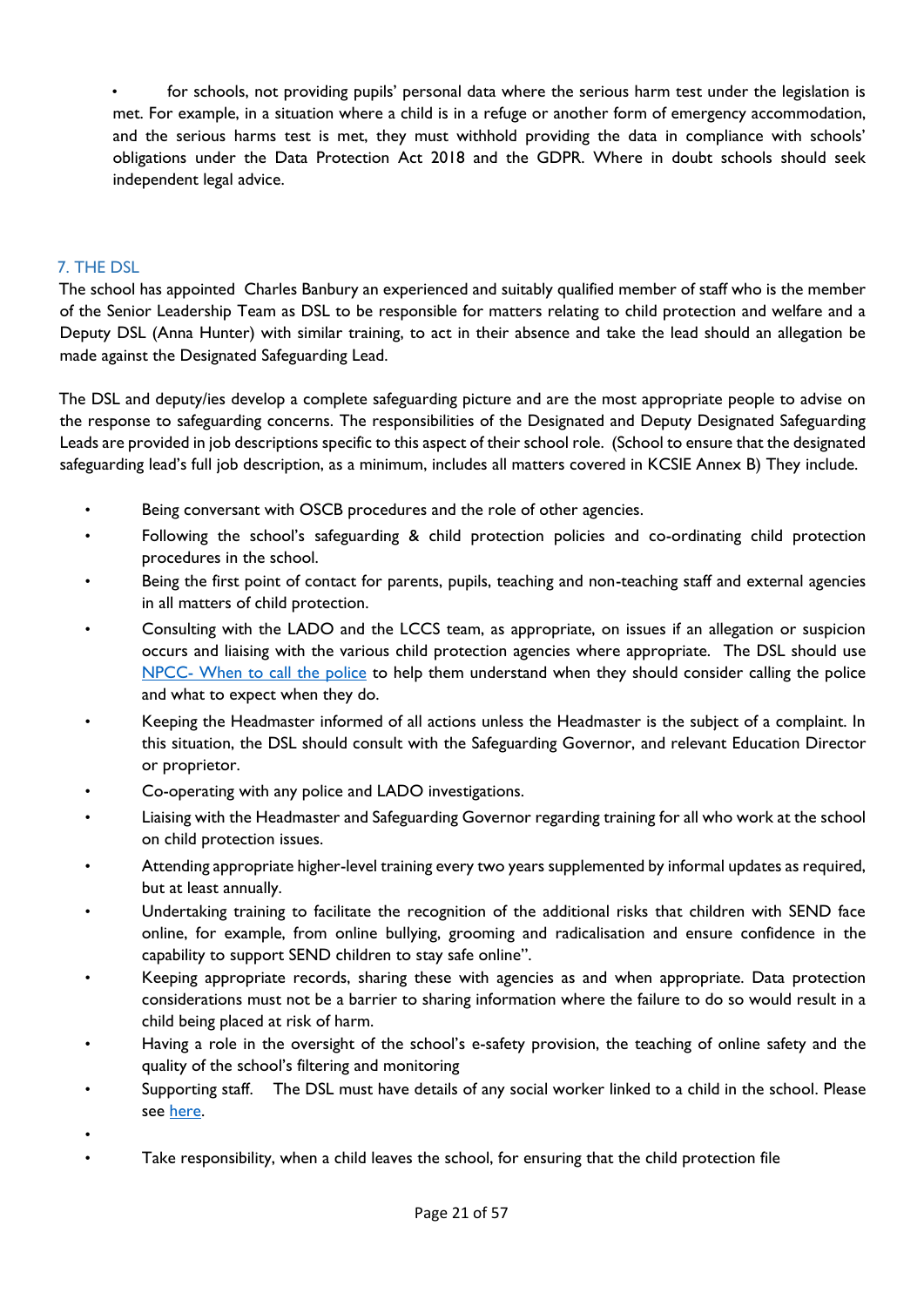for schools, not providing pupils' personal data where the serious harm test under the legislation is met. For example, in a situation where a child is in a refuge or another form of emergency accommodation, and the serious harms test is met, they must withhold providing the data in compliance with schools' obligations under the Data Protection Act 2018 and the GDPR. Where in doubt schools should seek independent legal advice.

### <span id="page-20-0"></span>7. THE DSL

The school has appointed Charles Banbury an experienced and suitably qualified member of staff who is the member of the Senior Leadership Team as DSL to be responsible for matters relating to child protection and welfare and a Deputy DSL (Anna Hunter) with similar training, to act in their absence and take the lead should an allegation be made against the Designated Safeguarding Lead.

The DSL and deputy/ies develop a complete safeguarding picture and are the most appropriate people to advise on the response to safeguarding concerns. The responsibilities of the Designated and Deputy Designated Safeguarding Leads are provided in job descriptions specific to this aspect of their school role. (School to ensure that the designated safeguarding lead's full job description, as a minimum, includes all matters covered in KCSIE Annex B) They include.

- Being conversant with OSCB procedures and the role of other agencies.
- Following the school's safeguarding & child protection policies and co-ordinating child protection procedures in the school.
- Being the first point of contact for parents, pupils, teaching and non-teaching staff and external agencies in all matters of child protection.
- Consulting with the LADO and the LCCS team, as appropriate, on issues if an allegation or suspicion occurs and liaising with the various child protection agencies where appropriate. The DSL should use NPCC- [When to call the police](https://www.npcc.police.uk/documents/Children%20and%20Young%20people/When%20to%20call%20the%20police%20guidance%20for%20schools%20and%20colleges.pdf) to help them understand when they should consider calling the police and what to expect when they do.
- Keeping the Headmaster informed of all actions unless the Headmaster is the subject of a complaint. In this situation, the DSL should consult with the Safeguarding Governor, and relevant Education Director or proprietor.
- Co-operating with any police and LADO investigations.
- Liaising with the Headmaster and Safeguarding Governor regarding training for all who work at the school on child protection issues.
- Attending appropriate higher-level training every two years supplemented by informal updates as required, but at least annually.
- Undertaking training to facilitate the recognition of the additional risks that children with SEND face online, for example, from online bullying, grooming and radicalisation and ensure confidence in the capability to support SEND children to stay safe online".
- Keeping appropriate records, sharing these with agencies as and when appropriate. Data protection considerations must not be a barrier to sharing information where the failure to do so would result in a child being placed at risk of harm.
- Having a role in the oversight of the school's e-safety provision, the teaching of online safety and the quality of the school's filtering and monitoring
- Supporting staff. The DSL must have details of any social worker linked to a child in the school. Please see here.
- •
- Take responsibility, when a child leaves the school, for ensuring that the child protection file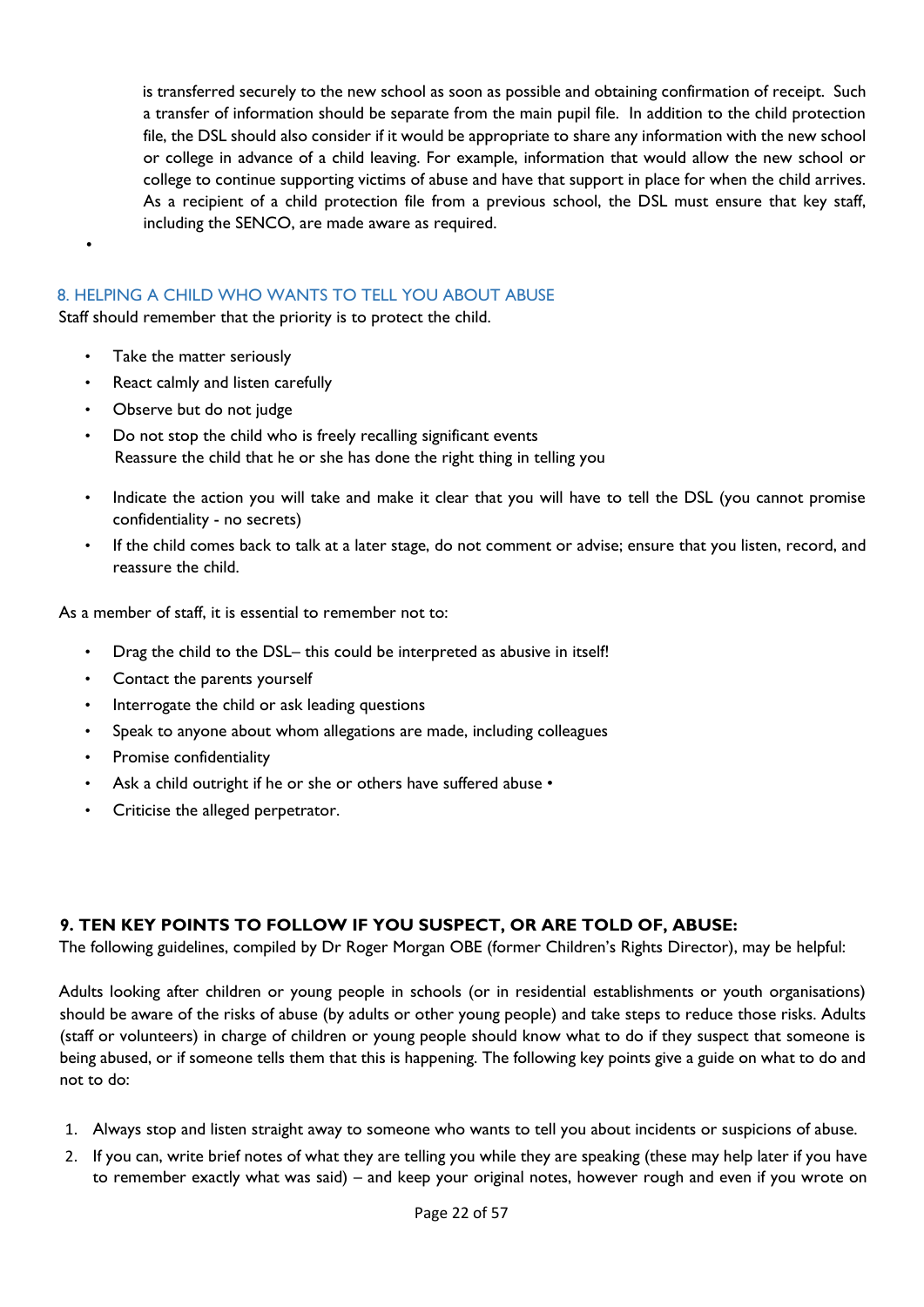is transferred securely to the new school as soon as possible and obtaining confirmation of receipt. Such a transfer of information should be separate from the main pupil file. In addition to the child protection file, the DSL should also consider if it would be appropriate to share any information with the new school or college in advance of a child leaving. For example, information that would allow the new school or college to continue supporting victims of abuse and have that support in place for when the child arrives. As a recipient of a child protection file from a previous school, the DSL must ensure that key staff, including the SENCO, are made aware as required.

### <span id="page-21-0"></span>8. HELPING A CHILD WHO WANTS TO TELL YOU ABOUT ABUSE

Staff should remember that the priority is to protect the child.

Take the matter seriously

•

- React calmly and listen carefully
- Observe but do not judge
- Do not stop the child who is freely recalling significant events Reassure the child that he or she has done the right thing in telling you
- Indicate the action you will take and make it clear that you will have to tell the DSL (you cannot promise confidentiality - no secrets)
- If the child comes back to talk at a later stage, do not comment or advise; ensure that you listen, record, and reassure the child.

As a member of staff, it is essential to remember not to:

- Drag the child to the DSL– this could be interpreted as abusive in itself!
- Contact the parents yourself
- Interrogate the child or ask leading questions
- Speak to anyone about whom allegations are made, including colleagues
- Promise confidentiality
- Ask a child outright if he or she or others have suffered abuse •
- Criticise the alleged perpetrator.

### **9. TEN KEY POINTS TO FOLLOW IF YOU SUSPECT, OR ARE TOLD OF, ABUSE:**

The following guidelines, compiled by Dr Roger Morgan OBE (former Children's Rights Director), may be helpful:

Adults looking after children or young people in schools (or in residential establishments or youth organisations) should be aware of the risks of abuse (by adults or other young people) and take steps to reduce those risks. Adults (staff or volunteers) in charge of children or young people should know what to do if they suspect that someone is being abused, or if someone tells them that this is happening. The following key points give a guide on what to do and not to do:

- 1. Always stop and listen straight away to someone who wants to tell you about incidents or suspicions of abuse.
- 2. If you can, write brief notes of what they are telling you while they are speaking (these may help later if you have to remember exactly what was said) – and keep your original notes, however rough and even if you wrote on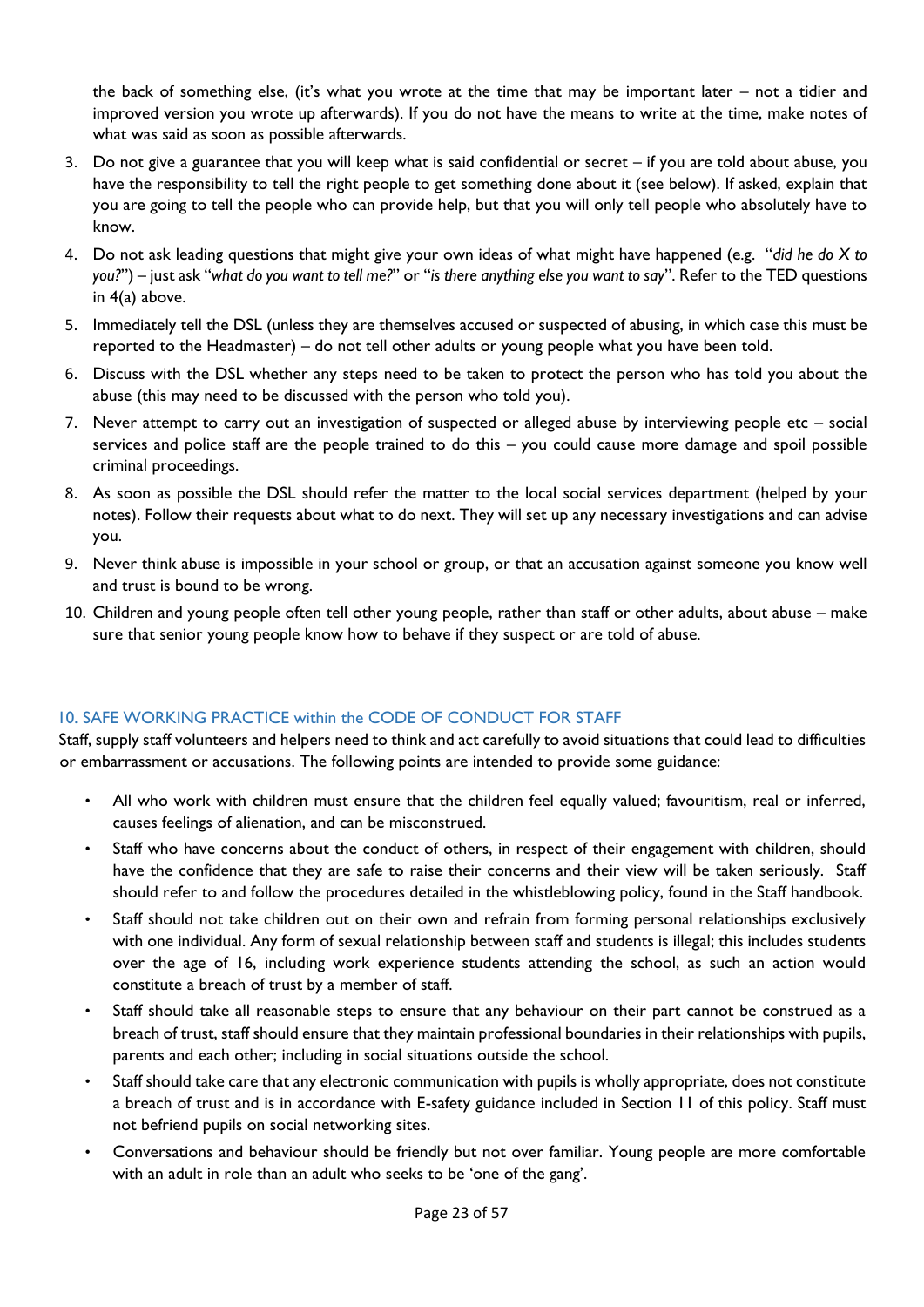the back of something else, (it's what you wrote at the time that may be important later – not a tidier and improved version you wrote up afterwards). If you do not have the means to write at the time, make notes of what was said as soon as possible afterwards.

- 3. Do not give a guarantee that you will keep what is said confidential or secret if you are told about abuse, you have the responsibility to tell the right people to get something done about it (see below). If asked, explain that you are going to tell the people who can provide help, but that you will only tell people who absolutely have to know.
- 4. Do not ask leading questions that might give your own ideas of what might have happened (e.g. "*did he do X to you?*") – just ask "*what do you want to tell me?*" or "*is there anything else you want to say*". Refer to the TED questions in 4(a) above.
- 5. Immediately tell the DSL (unless they are themselves accused or suspected of abusing, in which case this must be reported to the Headmaster) – do not tell other adults or young people what you have been told.
- 6. Discuss with the DSL whether any steps need to be taken to protect the person who has told you about the abuse (this may need to be discussed with the person who told you).
- 7. Never attempt to carry out an investigation of suspected or alleged abuse by interviewing people etc social services and police staff are the people trained to do this – you could cause more damage and spoil possible criminal proceedings.
- 8. As soon as possible the DSL should refer the matter to the local social services department (helped by your notes). Follow their requests about what to do next. They will set up any necessary investigations and can advise you.
- 9. Never think abuse is impossible in your school or group, or that an accusation against someone you know well and trust is bound to be wrong.
- 10. Children and young people often tell other young people, rather than staff or other adults, about abuse make sure that senior young people know how to behave if they suspect or are told of abuse.

# <span id="page-22-0"></span>10. SAFE WORKING PRACTICE within the CODE OF CONDUCT FOR STAFF

Staff, supply staff volunteers and helpers need to think and act carefully to avoid situations that could lead to difficulties or embarrassment or accusations. The following points are intended to provide some guidance:

- All who work with children must ensure that the children feel equally valued; favouritism, real or inferred, causes feelings of alienation, and can be misconstrued.
- Staff who have concerns about the conduct of others, in respect of their engagement with children, should have the confidence that they are safe to raise their concerns and their view will be taken seriously. Staff should refer to and follow the procedures detailed in the whistleblowing policy, found in the Staff handbook.
- Staff should not take children out on their own and refrain from forming personal relationships exclusively with one individual. Any form of sexual relationship between staff and students is illegal; this includes students over the age of 16, including work experience students attending the school, as such an action would constitute a breach of trust by a member of staff.
- Staff should take all reasonable steps to ensure that any behaviour on their part cannot be construed as a breach of trust, staff should ensure that they maintain professional boundaries in their relationships with pupils, parents and each other; including in social situations outside the school.
- Staff should take care that any electronic communication with pupils is wholly appropriate, does not constitute a breach of trust and is in accordance with E-safety guidance included in Section 11 of this policy. Staff must not befriend pupils on social networking sites.
- Conversations and behaviour should be friendly but not over familiar. Young people are more comfortable with an adult in role than an adult who seeks to be 'one of the gang'.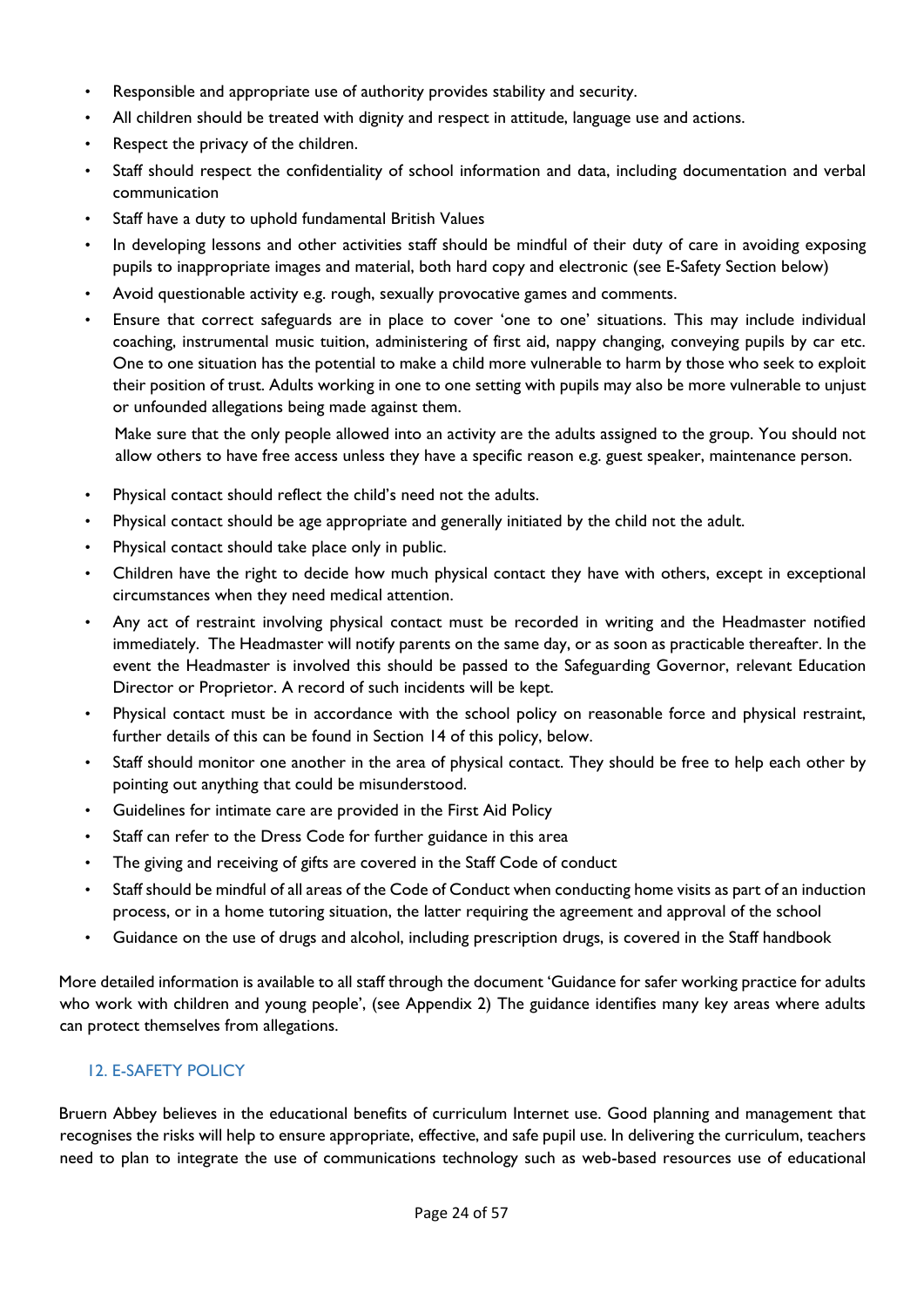- Responsible and appropriate use of authority provides stability and security.
- All children should be treated with dignity and respect in attitude, language use and actions.
- Respect the privacy of the children.
- Staff should respect the confidentiality of school information and data, including documentation and verbal communication
- Staff have a duty to uphold fundamental British Values
- In developing lessons and other activities staff should be mindful of their duty of care in avoiding exposing pupils to inappropriate images and material, both hard copy and electronic (see E-Safety Section below)
- Avoid questionable activity e.g. rough, sexually provocative games and comments.
- Ensure that correct safeguards are in place to cover 'one to one' situations. This may include individual coaching, instrumental music tuition, administering of first aid, nappy changing, conveying pupils by car etc. One to one situation has the potential to make a child more vulnerable to harm by those who seek to exploit their position of trust. Adults working in one to one setting with pupils may also be more vulnerable to unjust or unfounded allegations being made against them.

Make sure that the only people allowed into an activity are the adults assigned to the group. You should not allow others to have free access unless they have a specific reason e.g. guest speaker, maintenance person.

- Physical contact should reflect the child's need not the adults.
- Physical contact should be age appropriate and generally initiated by the child not the adult.
- Physical contact should take place only in public.
- Children have the right to decide how much physical contact they have with others, except in exceptional circumstances when they need medical attention.
- Any act of restraint involving physical contact must be recorded in writing and the Headmaster notified immediately. The Headmaster will notify parents on the same day, or as soon as practicable thereafter. In the event the Headmaster is involved this should be passed to the Safeguarding Governor, relevant Education Director or Proprietor. A record of such incidents will be kept.
- Physical contact must be in accordance with the school policy on reasonable force and physical restraint, further details of this can be found in Section 14 of this policy, below.
- Staff should monitor one another in the area of physical contact. They should be free to help each other by pointing out anything that could be misunderstood.
- Guidelines for intimate care are provided in the First Aid Policy
- Staff can refer to the Dress Code for further guidance in this area
- The giving and receiving of gifts are covered in the Staff Code of conduct
- Staff should be mindful of all areas of the Code of Conduct when conducting home visits as part of an induction process, or in a home tutoring situation, the latter requiring the agreement and approval of the school
- Guidance on the use of drugs and alcohol, including prescription drugs, is covered in the Staff handbook

More detailed information is available to all staff through the document 'Guidance for safer working practice for adults who work with children and young people', (see Appendix 2) The guidance identifies many key areas where adults can protect themselves from allegations.

### <span id="page-23-0"></span>12. E-SAFETY POLICY

Bruern Abbey believes in the educational benefits of curriculum Internet use. Good planning and management that recognises the risks will help to ensure appropriate, effective, and safe pupil use. In delivering the curriculum, teachers need to plan to integrate the use of communications technology such as web-based resources use of educational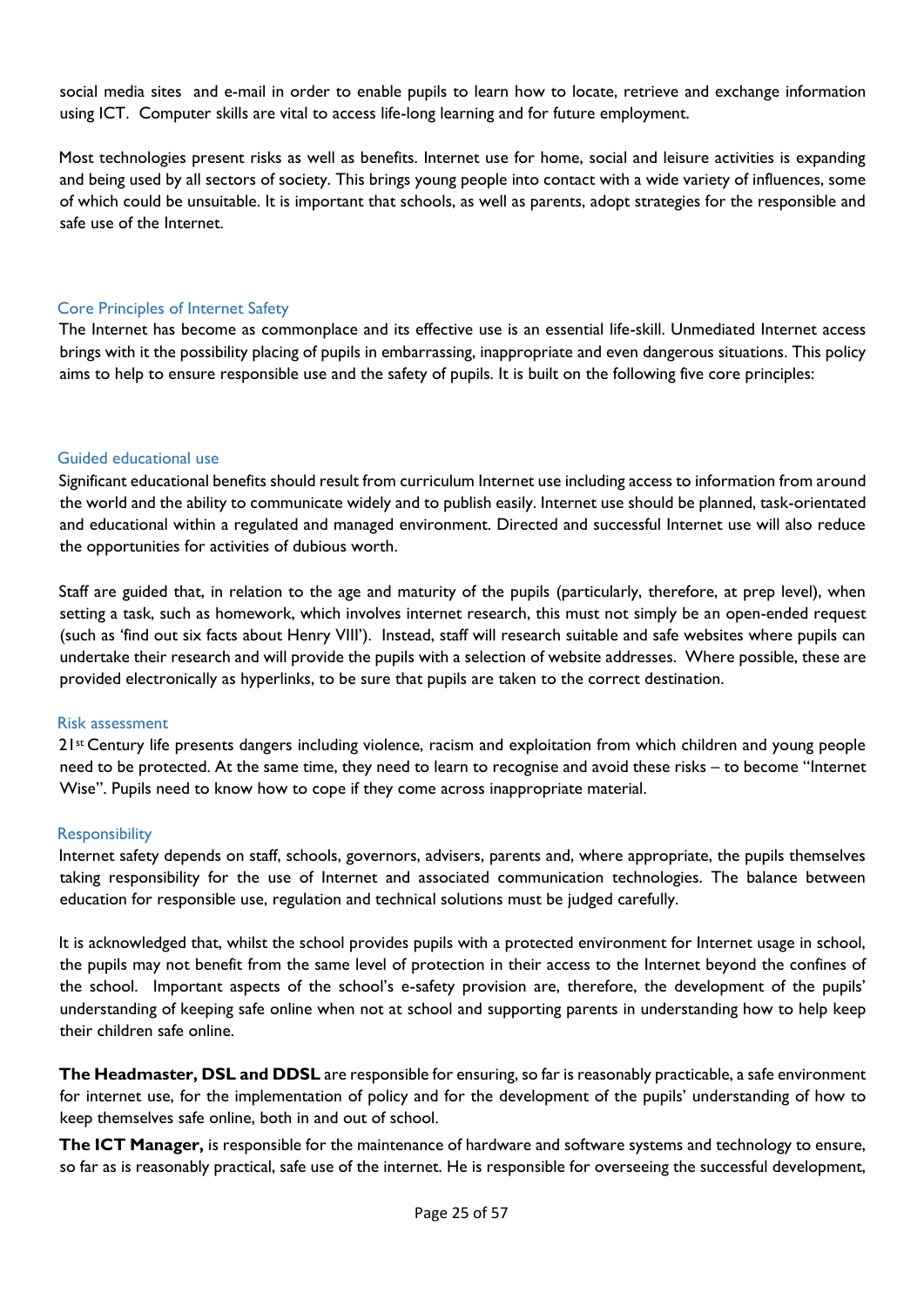social media sites and e-mail in order to enable pupils to learn how to locate, retrieve and exchange information using ICT. Computer skills are vital to access life-long learning and for future employment.

Most technologies present risks as well as benefits. Internet use for home, social and leisure activities is expanding and being used by all sectors of society. This brings young people into contact with a wide variety of influences, some of which could be unsuitable. It is important that schools, as well as parents, adopt strategies for the responsible and safe use of the Internet.

### <span id="page-24-0"></span>Core Principles of Internet Safety

The Internet has become as commonplace and its effective use is an essential life-skill. Unmediated Internet access brings with it the possibility placing of pupils in embarrassing, inappropriate and even dangerous situations. This policy aims to help to ensure responsible use and the safety of pupils. It is built on the following five core principles:

#### <span id="page-24-1"></span>Guided educational use

Significant educational benefits should result from curriculum Internet use including access to information from around the world and the ability to communicate widely and to publish easily. Internet use should be planned, task-orientated and educational within a regulated and managed environment. Directed and successful Internet use will also reduce the opportunities for activities of dubious worth.

Staff are guided that, in relation to the age and maturity of the pupils (particularly, therefore, at prep level), when setting a task, such as homework, which involves internet research, this must not simply be an open-ended request (such as 'find out six facts about Henry VIII'). Instead, staff will research suitable and safe websites where pupils can undertake their research and will provide the pupils with a selection of website addresses. Where possible, these are provided electronically as hyperlinks, to be sure that pupils are taken to the correct destination.

#### <span id="page-24-2"></span>Risk assessment

21st Century life presents dangers including violence, racism and exploitation from which children and young people need to be protected. At the same time, they need to learn to recognise and avoid these risks – to become "Internet Wise". Pupils need to know how to cope if they come across inappropriate material.

#### <span id="page-24-3"></span>Responsibility

Internet safety depends on staff, schools, governors, advisers, parents and, where appropriate, the pupils themselves taking responsibility for the use of Internet and associated communication technologies. The balance between education for responsible use, regulation and technical solutions must be judged carefully.

It is acknowledged that, whilst the school provides pupils with a protected environment for Internet usage in school, the pupils may not benefit from the same level of protection in their access to the Internet beyond the confines of the school. Important aspects of the school's e-safety provision are, therefore, the development of the pupils' understanding of keeping safe online when not at school and supporting parents in understanding how to help keep their children safe online.

**The Headmaster, DSL and DDSL** are responsible for ensuring, so far is reasonably practicable, a safe environment for internet use, for the implementation of policy and for the development of the pupils' understanding of how to keep themselves safe online, both in and out of school.

**The ICT Manager,** is responsible for the maintenance of hardware and software systems and technology to ensure, so far as is reasonably practical, safe use of the internet. He is responsible for overseeing the successful development,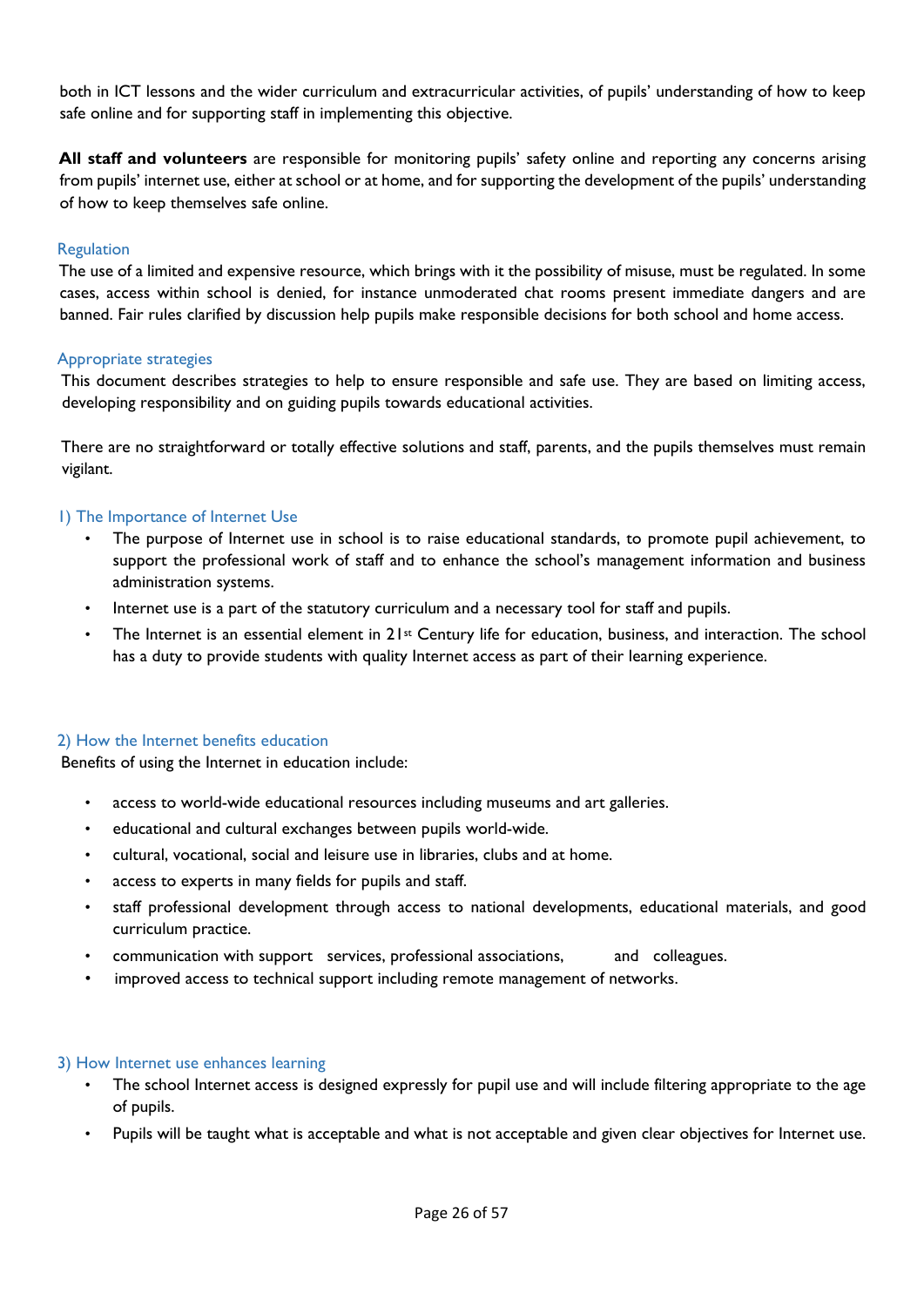both in ICT lessons and the wider curriculum and extracurricular activities, of pupils' understanding of how to keep safe online and for supporting staff in implementing this objective.

**All staff and volunteers** are responsible for monitoring pupils' safety online and reporting any concerns arising from pupils' internet use, either at school or at home, and for supporting the development of the pupils' understanding of how to keep themselves safe online.

#### <span id="page-25-0"></span>Regulation

The use of a limited and expensive resource, which brings with it the possibility of misuse, must be regulated. In some cases, access within school is denied, for instance unmoderated chat rooms present immediate dangers and are banned. Fair rules clarified by discussion help pupils make responsible decisions for both school and home access.

#### <span id="page-25-1"></span>Appropriate strategies

This document describes strategies to help to ensure responsible and safe use. They are based on limiting access, developing responsibility and on guiding pupils towards educational activities.

There are no straightforward or totally effective solutions and staff, parents, and the pupils themselves must remain vigilant.

#### <span id="page-25-2"></span>1) The Importance of Internet Use

- The purpose of Internet use in school is to raise educational standards, to promote pupil achievement, to support the professional work of staff and to enhance the school's management information and business administration systems.
- Internet use is a part of the statutory curriculum and a necessary tool for staff and pupils.
- The Internet is an essential element in  $21st$  Century life for education, business, and interaction. The school has a duty to provide students with quality Internet access as part of their learning experience.

#### <span id="page-25-3"></span>2) How the Internet benefits education

Benefits of using the Internet in education include:

- access to world-wide educational resources including museums and art galleries.
- educational and cultural exchanges between pupils world-wide.
- cultural, vocational, social and leisure use in libraries, clubs and at home.
- access to experts in many fields for pupils and staff.
- staff professional development through access to national developments, educational materials, and good curriculum practice.
- communication with support services, professional associations, and colleagues.
- improved access to technical support including remote management of networks.

#### <span id="page-25-4"></span>3) How Internet use enhances learning

- The school Internet access is designed expressly for pupil use and will include filtering appropriate to the age of pupils.
- Pupils will be taught what is acceptable and what is not acceptable and given clear objectives for Internet use.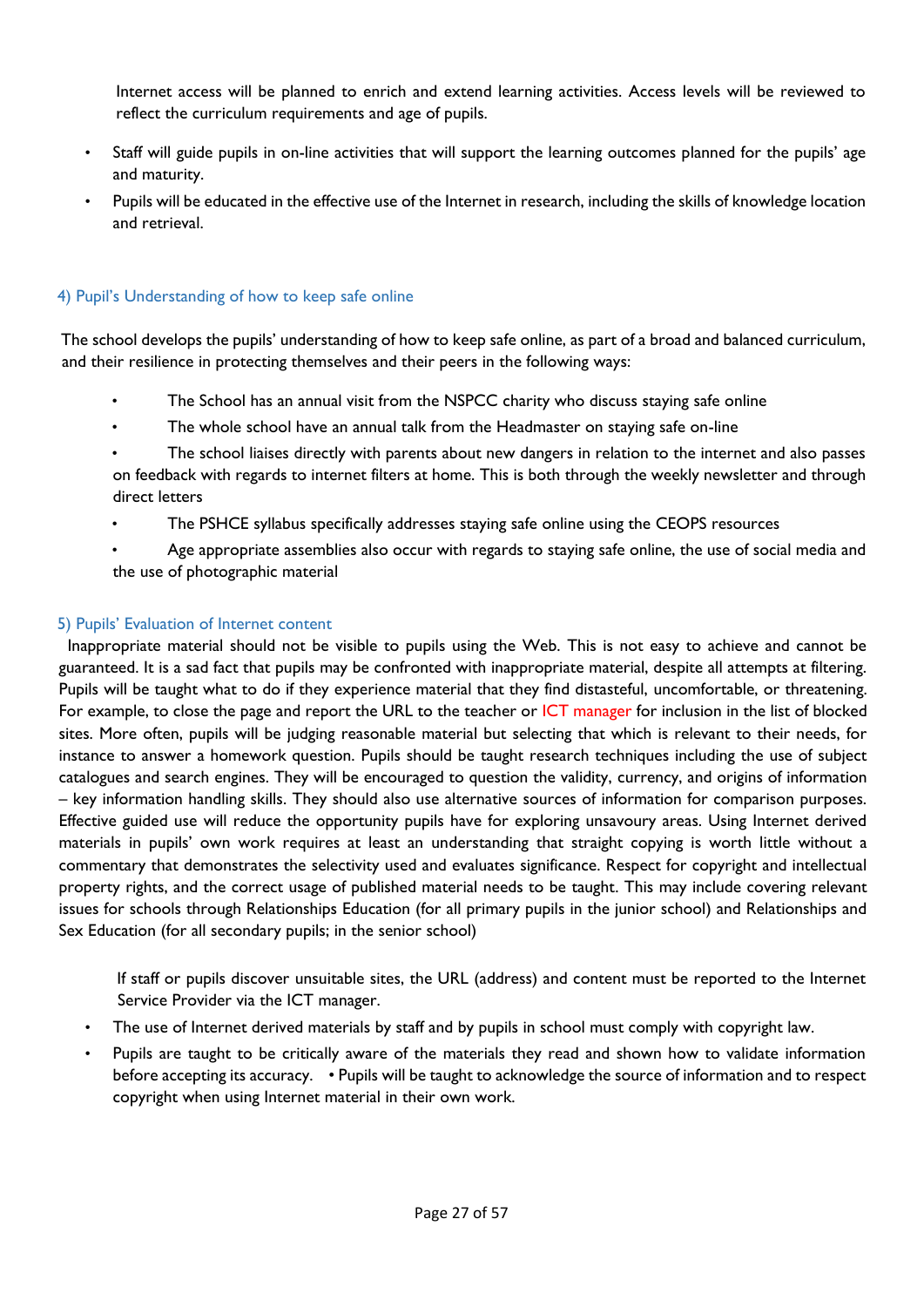Internet access will be planned to enrich and extend learning activities. Access levels will be reviewed to reflect the curriculum requirements and age of pupils.

- Staff will guide pupils in on-line activities that will support the learning outcomes planned for the pupils' age and maturity.
- Pupils will be educated in the effective use of the Internet in research, including the skills of knowledge location and retrieval.

### <span id="page-26-0"></span>4) Pupil's Understanding of how to keep safe online

The school develops the pupils' understanding of how to keep safe online, as part of a broad and balanced curriculum, and their resilience in protecting themselves and their peers in the following ways:

- The School has an annual visit from the NSPCC charity who discuss staying safe online
- The whole school have an annual talk from the Headmaster on staying safe on-line
- The school liaises directly with parents about new dangers in relation to the internet and also passes on feedback with regards to internet filters at home. This is both through the weekly newsletter and through direct letters
- The PSHCE syllabus specifically addresses staying safe online using the CEOPS resources
- Age appropriate assemblies also occur with regards to staying safe online, the use of social media and the use of photographic material

### <span id="page-26-1"></span>5) Pupils' Evaluation of Internet content

 Inappropriate material should not be visible to pupils using the Web. This is not easy to achieve and cannot be guaranteed. It is a sad fact that pupils may be confronted with inappropriate material, despite all attempts at filtering. Pupils will be taught what to do if they experience material that they find distasteful, uncomfortable, or threatening. For example, to close the page and report the URL to the teacher or ICT manager for inclusion in the list of blocked sites. More often, pupils will be judging reasonable material but selecting that which is relevant to their needs, for instance to answer a homework question. Pupils should be taught research techniques including the use of subject catalogues and search engines. They will be encouraged to question the validity, currency, and origins of information – key information handling skills. They should also use alternative sources of information for comparison purposes. Effective guided use will reduce the opportunity pupils have for exploring unsavoury areas. Using Internet derived materials in pupils' own work requires at least an understanding that straight copying is worth little without a commentary that demonstrates the selectivity used and evaluates significance. Respect for copyright and intellectual property rights, and the correct usage of published material needs to be taught. This may include covering relevant issues for schools through Relationships Education (for all primary pupils in the junior school) and Relationships and Sex Education (for all secondary pupils; in the senior school)

If staff or pupils discover unsuitable sites, the URL (address) and content must be reported to the Internet Service Provider via the ICT manager.

- The use of Internet derived materials by staff and by pupils in school must comply with copyright law.
- Pupils are taught to be critically aware of the materials they read and shown how to validate information before accepting its accuracy. • Pupils will be taught to acknowledge the source of information and to respect copyright when using Internet material in their own work.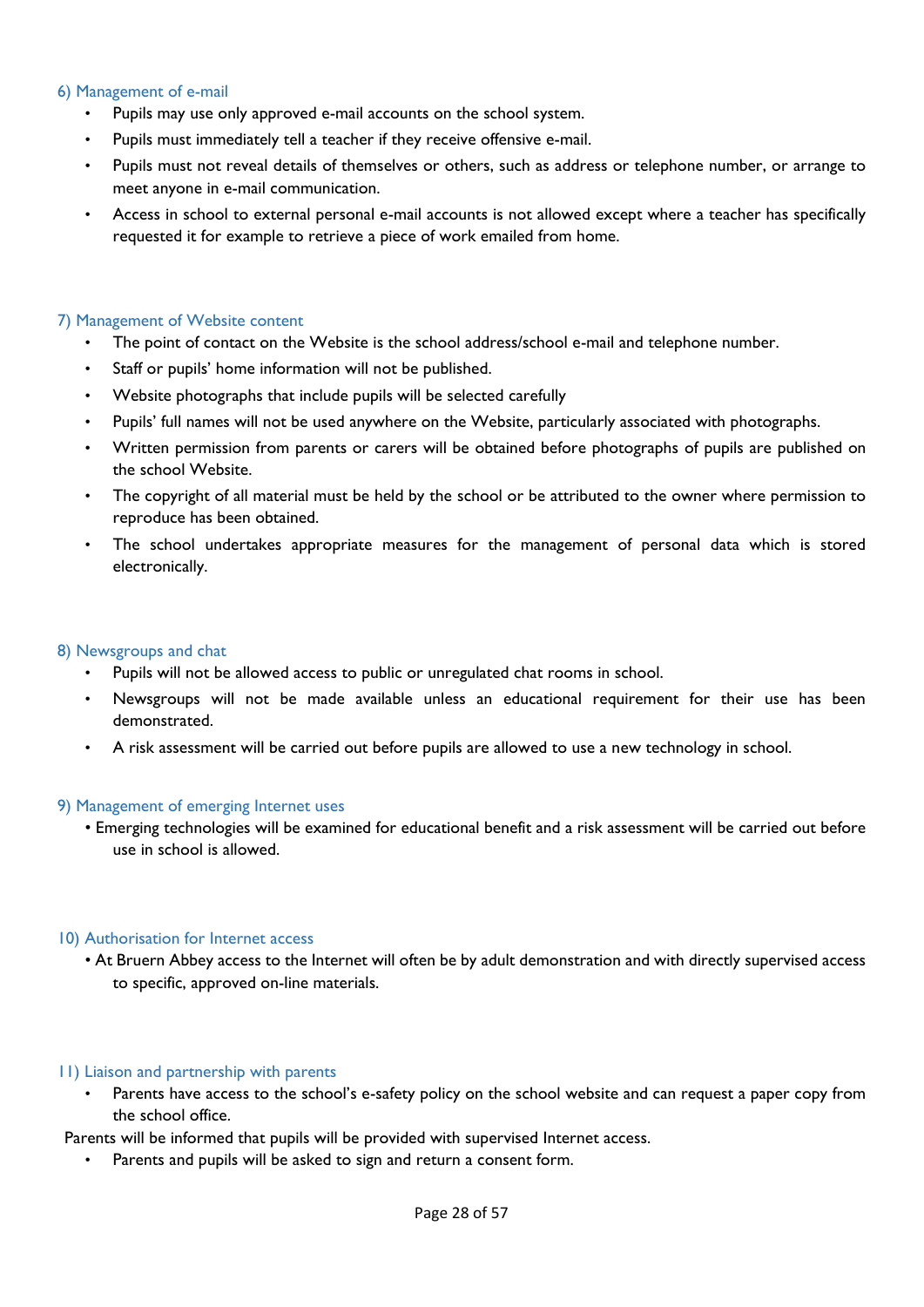#### <span id="page-27-0"></span>6) Management of e-mail

- Pupils may use only approved e-mail accounts on the school system.
- Pupils must immediately tell a teacher if they receive offensive e-mail.
- Pupils must not reveal details of themselves or others, such as address or telephone number, or arrange to meet anyone in e-mail communication.
- Access in school to external personal e-mail accounts is not allowed except where a teacher has specifically requested it for example to retrieve a piece of work emailed from home.

#### <span id="page-27-1"></span>7) Management of Website content

- The point of contact on the Website is the school address/school e-mail and telephone number.
- Staff or pupils' home information will not be published.
- Website photographs that include pupils will be selected carefully
- Pupils' full names will not be used anywhere on the Website, particularly associated with photographs.
- Written permission from parents or carers will be obtained before photographs of pupils are published on the school Website.
- The copyright of all material must be held by the school or be attributed to the owner where permission to reproduce has been obtained.
- The school undertakes appropriate measures for the management of personal data which is stored electronically.

#### <span id="page-27-2"></span>8) Newsgroups and chat

- Pupils will not be allowed access to public or unregulated chat rooms in school.
- Newsgroups will not be made available unless an educational requirement for their use has been demonstrated.
- A risk assessment will be carried out before pupils are allowed to use a new technology in school.

#### <span id="page-27-3"></span>9) Management of emerging Internet uses

• Emerging technologies will be examined for educational benefit and a risk assessment will be carried out before use in school is allowed.

#### <span id="page-27-4"></span>10) Authorisation for Internet access

• At Bruern Abbey access to the Internet will often be by adult demonstration and with directly supervised access to specific, approved on-line materials.

#### <span id="page-27-5"></span>11) Liaison and partnership with parents

• Parents have access to the school's e-safety policy on the school website and can request a paper copy from the school office.

Parents will be informed that pupils will be provided with supervised Internet access.

Parents and pupils will be asked to sign and return a consent form.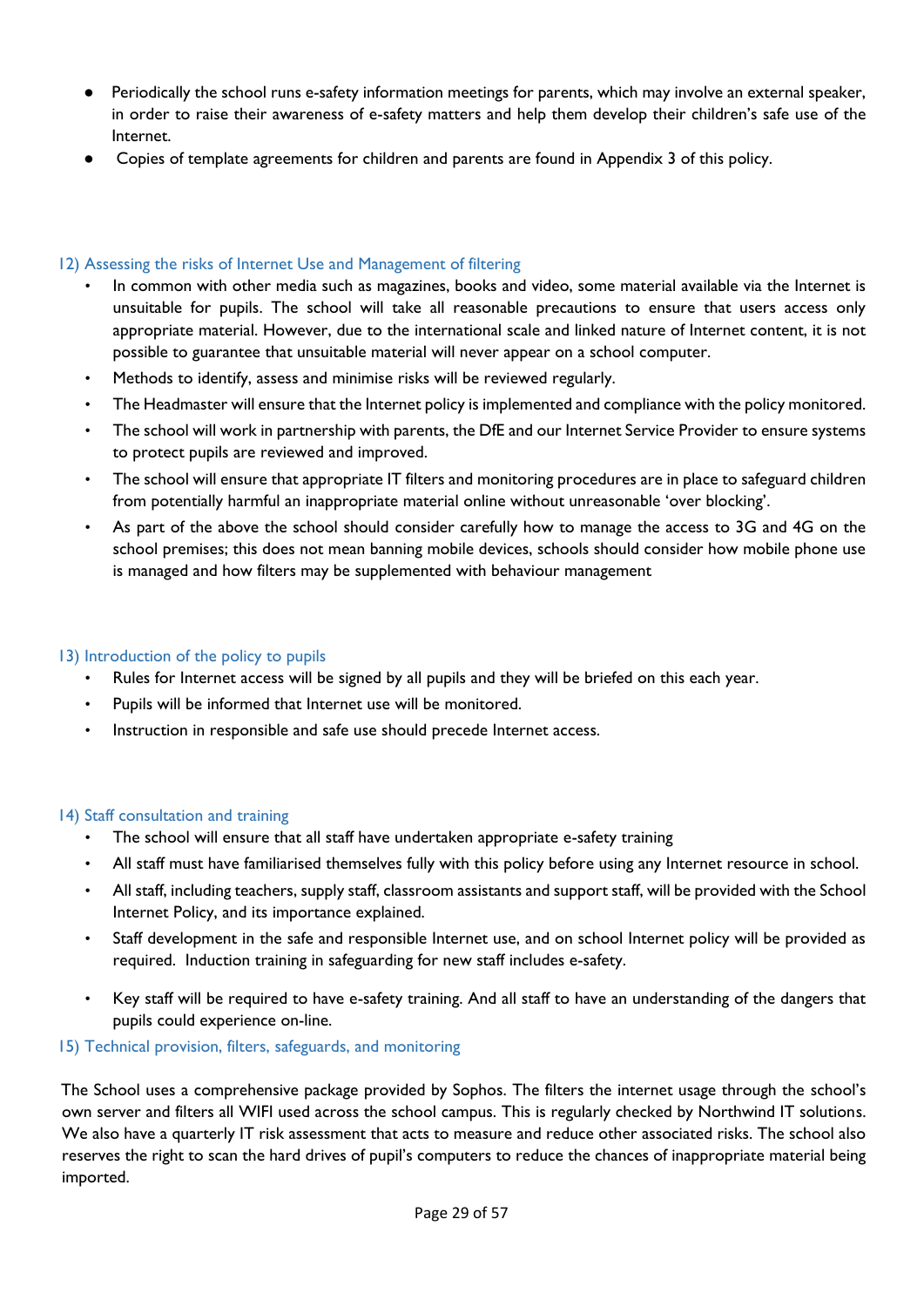- Periodically the school runs e-safety information meetings for parents, which may involve an external speaker, in order to raise their awareness of e-safety matters and help them develop their children's safe use of the Internet.
- Copies of template agreements for children and parents are found in Appendix 3 of this policy.

### <span id="page-28-0"></span>12) Assessing the risks of Internet Use and Management of filtering

- In common with other media such as magazines, books and video, some material available via the Internet is unsuitable for pupils. The school will take all reasonable precautions to ensure that users access only appropriate material. However, due to the international scale and linked nature of Internet content, it is not possible to guarantee that unsuitable material will never appear on a school computer.
- Methods to identify, assess and minimise risks will be reviewed regularly.
- The Headmaster will ensure that the Internet policy is implemented and compliance with the policy monitored.
- The school will work in partnership with parents, the DfE and our Internet Service Provider to ensure systems to protect pupils are reviewed and improved.
- The school will ensure that appropriate IT filters and monitoring procedures are in place to safeguard children from potentially harmful an inappropriate material online without unreasonable 'over blocking'.
- As part of the above the school should consider carefully how to manage the access to 3G and 4G on the school premises; this does not mean banning mobile devices, schools should consider how mobile phone use is managed and how filters may be supplemented with behaviour management

### <span id="page-28-1"></span>13) Introduction of the policy to pupils

- Rules for Internet access will be signed by all pupils and they will be briefed on this each year.
- Pupils will be informed that Internet use will be monitored.
- Instruction in responsible and safe use should precede Internet access.

### <span id="page-28-2"></span>14) Staff consultation and training

- The school will ensure that all staff have undertaken appropriate e-safety training
- All staff must have familiarised themselves fully with this policy before using any Internet resource in school.
- All staff, including teachers, supply staff, classroom assistants and support staff, will be provided with the School Internet Policy, and its importance explained.
- Staff development in the safe and responsible Internet use, and on school Internet policy will be provided as required. Induction training in safeguarding for new staff includes e-safety.
- Key staff will be required to have e-safety training. And all staff to have an understanding of the dangers that pupils could experience on-line.

#### <span id="page-28-3"></span>15) Technical provision, filters, safeguards, and monitoring

The School uses a comprehensive package provided by Sophos. The filters the internet usage through the school's own server and filters all WIFI used across the school campus. This is regularly checked by Northwind IT solutions. We also have a quarterly IT risk assessment that acts to measure and reduce other associated risks. The school also reserves the right to scan the hard drives of pupil's computers to reduce the chances of inappropriate material being imported.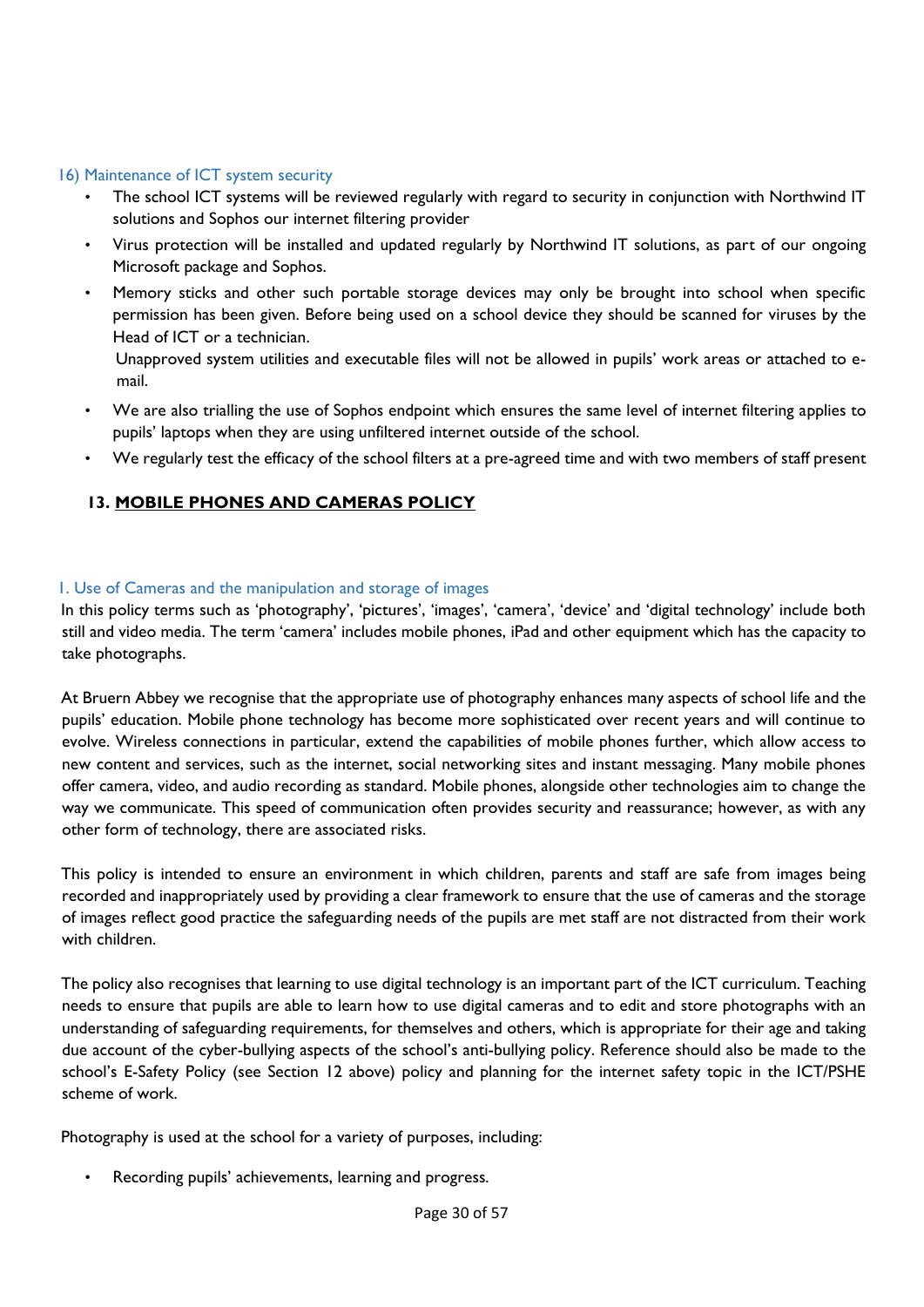#### <span id="page-29-0"></span>16) Maintenance of ICT system security

- The school ICT systems will be reviewed regularly with regard to security in conjunction with Northwind IT solutions and Sophos our internet filtering provider
- Virus protection will be installed and updated regularly by Northwind IT solutions, as part of our ongoing Microsoft package and Sophos.
- Memory sticks and other such portable storage devices may only be brought into school when specific permission has been given. Before being used on a school device they should be scanned for viruses by the Head of ICT or a technician.

Unapproved system utilities and executable files will not be allowed in pupils' work areas or attached to email.

- We are also trialling the use of Sophos endpoint which ensures the same level of internet filtering applies to pupils' laptops when they are using unfiltered internet outside of the school.
- We regularly test the efficacy of the school filters at a pre-agreed time and with two members of staff present

### **13. MOBILE PHONES AND CAMERAS POLICY**

#### <span id="page-29-1"></span>1. Use of Cameras and the manipulation and storage of images

In this policy terms such as 'photography', 'pictures', 'images', 'camera', 'device' and 'digital technology' include both still and video media. The term 'camera' includes mobile phones, iPad and other equipment which has the capacity to take photographs.

At Bruern Abbey we recognise that the appropriate use of photography enhances many aspects of school life and the pupils' education. Mobile phone technology has become more sophisticated over recent years and will continue to evolve. Wireless connections in particular, extend the capabilities of mobile phones further, which allow access to new content and services, such as the internet, social networking sites and instant messaging. Many mobile phones offer camera, video, and audio recording as standard. Mobile phones, alongside other technologies aim to change the way we communicate. This speed of communication often provides security and reassurance; however, as with any other form of technology, there are associated risks.

This policy is intended to ensure an environment in which children, parents and staff are safe from images being recorded and inappropriately used by providing a clear framework to ensure that the use of cameras and the storage of images reflect good practice the safeguarding needs of the pupils are met staff are not distracted from their work with children.

The policy also recognises that learning to use digital technology is an important part of the ICT curriculum. Teaching needs to ensure that pupils are able to learn how to use digital cameras and to edit and store photographs with an understanding of safeguarding requirements, for themselves and others, which is appropriate for their age and taking due account of the cyber-bullying aspects of the school's anti-bullying policy. Reference should also be made to the school's E-Safety Policy (see Section 12 above) policy and planning for the internet safety topic in the ICT/PSHE scheme of work.

Photography is used at the school for a variety of purposes, including:

Recording pupils' achievements, learning and progress.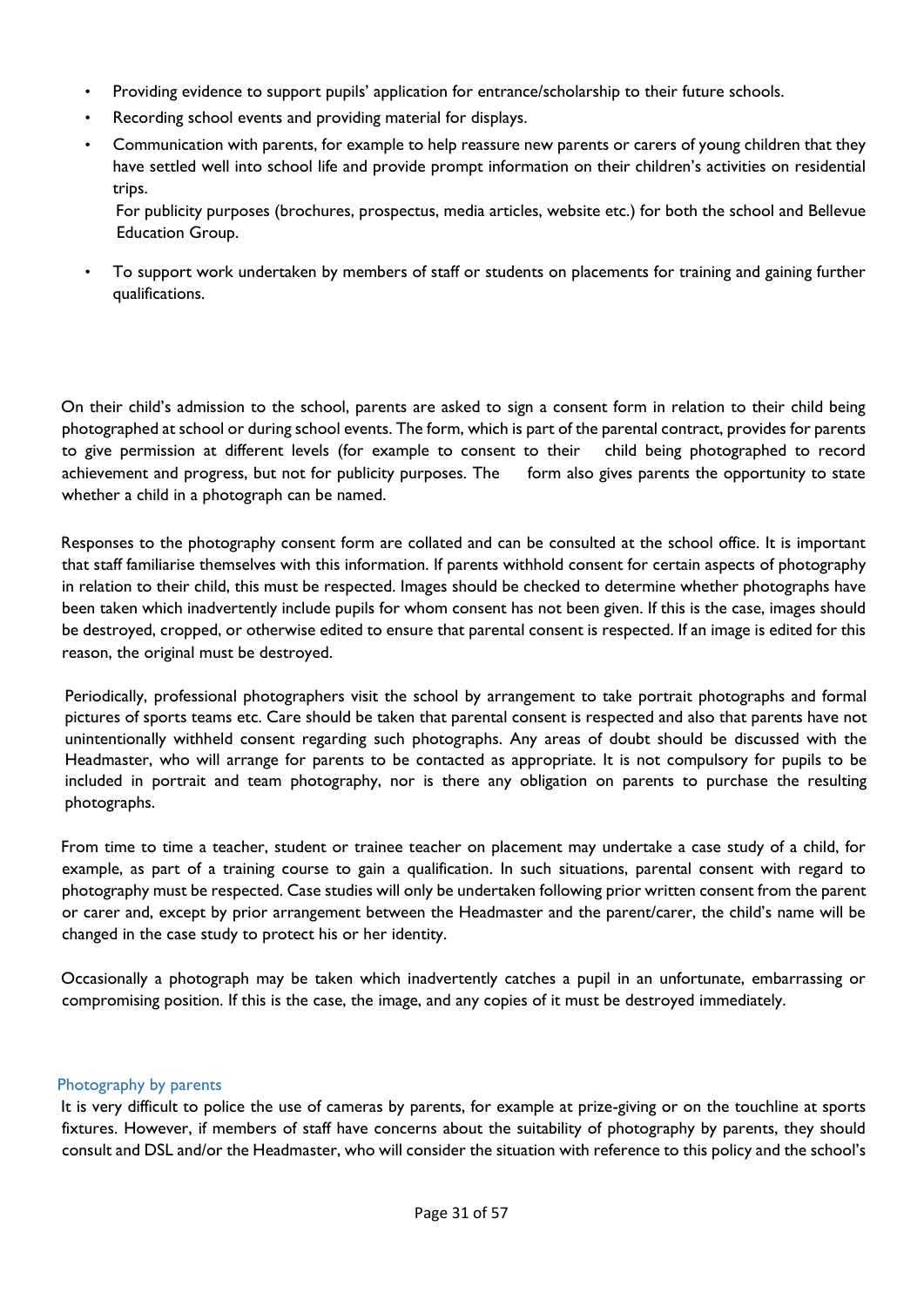- Providing evidence to support pupils' application for entrance/scholarship to their future schools.
- Recording school events and providing material for displays.
- Communication with parents, for example to help reassure new parents or carers of young children that they have settled well into school life and provide prompt information on their children's activities on residential trips.

For publicity purposes (brochures, prospectus, media articles, website etc.) for both the school and Bellevue Education Group.

• To support work undertaken by members of staff or students on placements for training and gaining further qualifications.

On their child's admission to the school, parents are asked to sign a consent form in relation to their child being photographed at school or during school events. The form, which is part of the parental contract, provides for parents to give permission at different levels (for example to consent to their child being photographed to record achievement and progress, but not for publicity purposes. The form also gives parents the opportunity to state whether a child in a photograph can be named.

Responses to the photography consent form are collated and can be consulted at the school office. It is important that staff familiarise themselves with this information. If parents withhold consent for certain aspects of photography in relation to their child, this must be respected. Images should be checked to determine whether photographs have been taken which inadvertently include pupils for whom consent has not been given. If this is the case, images should be destroyed, cropped, or otherwise edited to ensure that parental consent is respected. If an image is edited for this reason, the original must be destroyed.

Periodically, professional photographers visit the school by arrangement to take portrait photographs and formal pictures of sports teams etc. Care should be taken that parental consent is respected and also that parents have not unintentionally withheld consent regarding such photographs. Any areas of doubt should be discussed with the Headmaster, who will arrange for parents to be contacted as appropriate. It is not compulsory for pupils to be included in portrait and team photography, nor is there any obligation on parents to purchase the resulting photographs.

From time to time a teacher, student or trainee teacher on placement may undertake a case study of a child, for example, as part of a training course to gain a qualification. In such situations, parental consent with regard to photography must be respected. Case studies will only be undertaken following prior written consent from the parent or carer and, except by prior arrangement between the Headmaster and the parent/carer, the child's name will be changed in the case study to protect his or her identity.

Occasionally a photograph may be taken which inadvertently catches a pupil in an unfortunate, embarrassing or compromising position. If this is the case, the image, and any copies of it must be destroyed immediately.

### <span id="page-30-0"></span>Photography by parents

It is very difficult to police the use of cameras by parents, for example at prize-giving or on the touchline at sports fixtures. However, if members of staff have concerns about the suitability of photography by parents, they should consult and DSL and/or the Headmaster, who will consider the situation with reference to this policy and the school's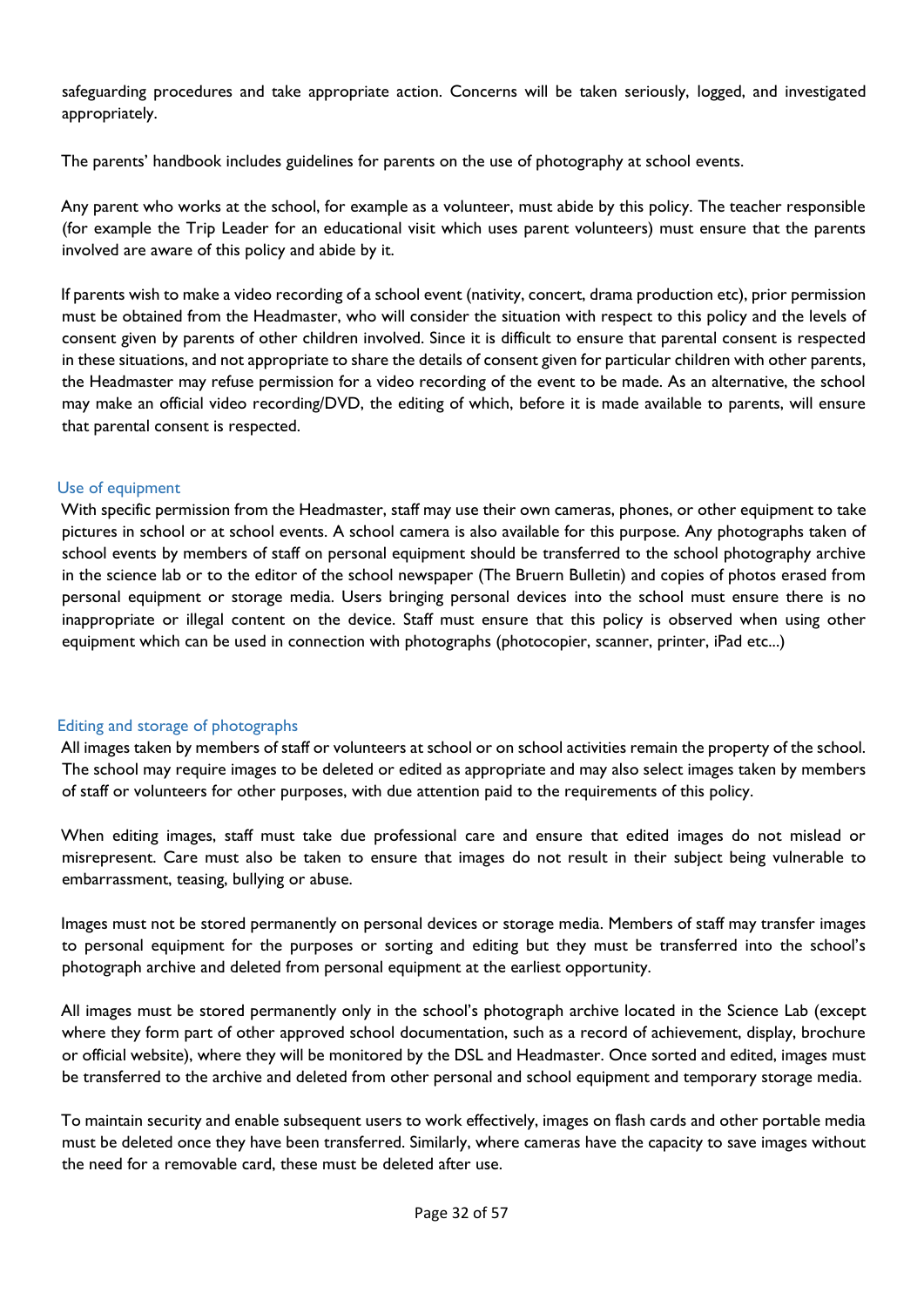safeguarding procedures and take appropriate action. Concerns will be taken seriously, logged, and investigated appropriately.

The parents' handbook includes guidelines for parents on the use of photography at school events.

Any parent who works at the school, for example as a volunteer, must abide by this policy. The teacher responsible (for example the Trip Leader for an educational visit which uses parent volunteers) must ensure that the parents involved are aware of this policy and abide by it.

If parents wish to make a video recording of a school event (nativity, concert, drama production etc), prior permission must be obtained from the Headmaster, who will consider the situation with respect to this policy and the levels of consent given by parents of other children involved. Since it is difficult to ensure that parental consent is respected in these situations, and not appropriate to share the details of consent given for particular children with other parents, the Headmaster may refuse permission for a video recording of the event to be made. As an alternative, the school may make an official video recording/DVD, the editing of which, before it is made available to parents, will ensure that parental consent is respected.

### <span id="page-31-0"></span>Use of equipment

With specific permission from the Headmaster, staff may use their own cameras, phones, or other equipment to take pictures in school or at school events. A school camera is also available for this purpose. Any photographs taken of school events by members of staff on personal equipment should be transferred to the school photography archive in the science lab or to the editor of the school newspaper (The Bruern Bulletin) and copies of photos erased from personal equipment or storage media. Users bringing personal devices into the school must ensure there is no inappropriate or illegal content on the device. Staff must ensure that this policy is observed when using other equipment which can be used in connection with photographs (photocopier, scanner, printer, iPad etc...)

# <span id="page-31-1"></span>Editing and storage of photographs

All images taken by members of staff or volunteers at school or on school activities remain the property of the school. The school may require images to be deleted or edited as appropriate and may also select images taken by members of staff or volunteers for other purposes, with due attention paid to the requirements of this policy.

When editing images, staff must take due professional care and ensure that edited images do not mislead or misrepresent. Care must also be taken to ensure that images do not result in their subject being vulnerable to embarrassment, teasing, bullying or abuse.

Images must not be stored permanently on personal devices or storage media. Members of staff may transfer images to personal equipment for the purposes or sorting and editing but they must be transferred into the school's photograph archive and deleted from personal equipment at the earliest opportunity.

All images must be stored permanently only in the school's photograph archive located in the Science Lab (except where they form part of other approved school documentation, such as a record of achievement, display, brochure or official website), where they will be monitored by the DSL and Headmaster. Once sorted and edited, images must be transferred to the archive and deleted from other personal and school equipment and temporary storage media.

To maintain security and enable subsequent users to work effectively, images on flash cards and other portable media must be deleted once they have been transferred. Similarly, where cameras have the capacity to save images without the need for a removable card, these must be deleted after use.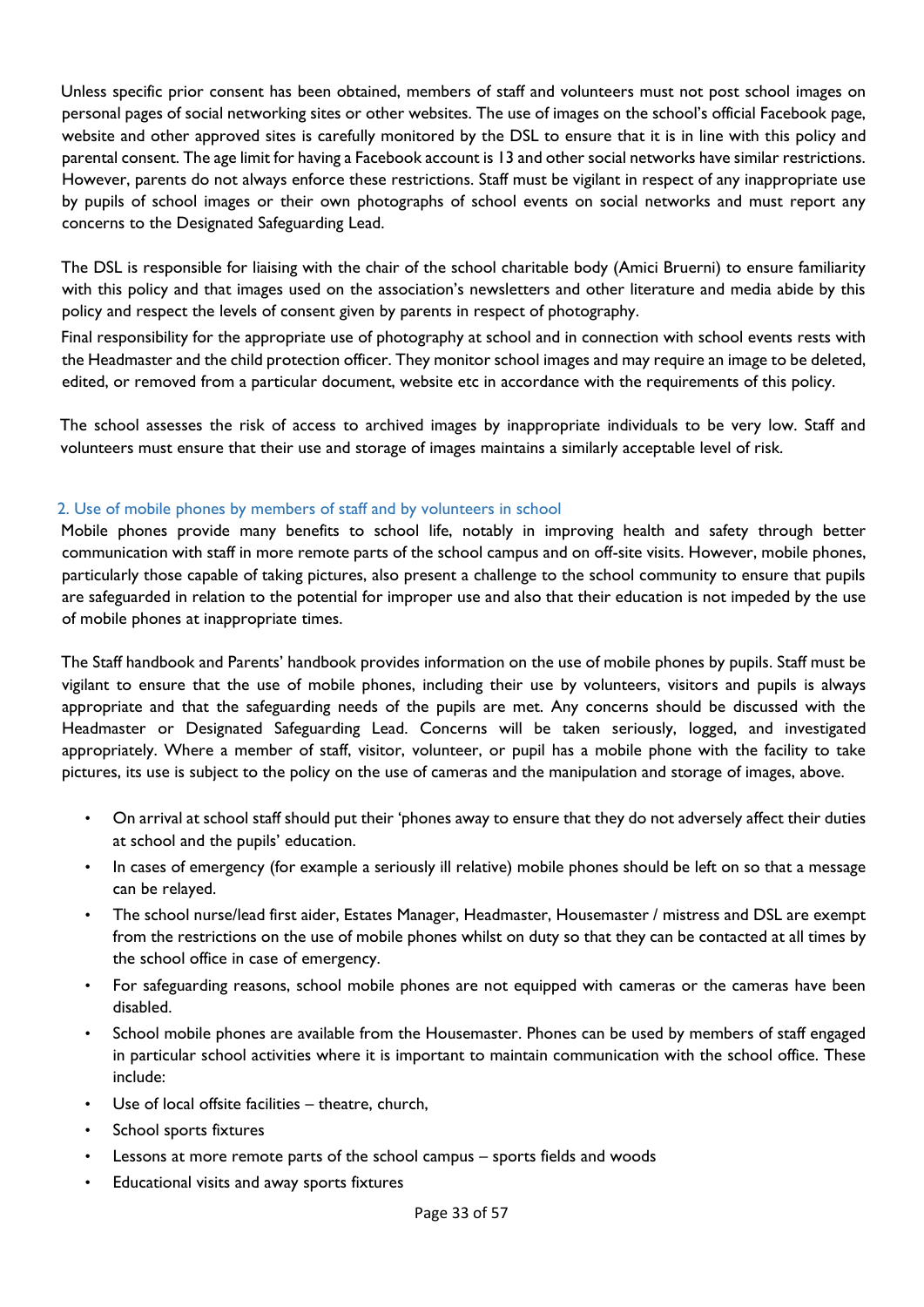Unless specific prior consent has been obtained, members of staff and volunteers must not post school images on personal pages of social networking sites or other websites. The use of images on the school's official Facebook page, website and other approved sites is carefully monitored by the DSL to ensure that it is in line with this policy and parental consent. The age limit for having a Facebook account is 13 and other social networks have similar restrictions. However, parents do not always enforce these restrictions. Staff must be vigilant in respect of any inappropriate use by pupils of school images or their own photographs of school events on social networks and must report any concerns to the Designated Safeguarding Lead.

The DSL is responsible for liaising with the chair of the school charitable body (Amici Bruerni) to ensure familiarity with this policy and that images used on the association's newsletters and other literature and media abide by this policy and respect the levels of consent given by parents in respect of photography.

Final responsibility for the appropriate use of photography at school and in connection with school events rests with the Headmaster and the child protection officer. They monitor school images and may require an image to be deleted, edited, or removed from a particular document, website etc in accordance with the requirements of this policy.

The school assesses the risk of access to archived images by inappropriate individuals to be very low. Staff and volunteers must ensure that their use and storage of images maintains a similarly acceptable level of risk.

### <span id="page-32-0"></span>2. Use of mobile phones by members of staff and by volunteers in school

Mobile phones provide many benefits to school life, notably in improving health and safety through better communication with staff in more remote parts of the school campus and on off-site visits. However, mobile phones, particularly those capable of taking pictures, also present a challenge to the school community to ensure that pupils are safeguarded in relation to the potential for improper use and also that their education is not impeded by the use of mobile phones at inappropriate times.

The Staff handbook and Parents' handbook provides information on the use of mobile phones by pupils. Staff must be vigilant to ensure that the use of mobile phones, including their use by volunteers, visitors and pupils is always appropriate and that the safeguarding needs of the pupils are met. Any concerns should be discussed with the Headmaster or Designated Safeguarding Lead. Concerns will be taken seriously, logged, and investigated appropriately. Where a member of staff, visitor, volunteer, or pupil has a mobile phone with the facility to take pictures, its use is subject to the policy on the use of cameras and the manipulation and storage of images, above.

- On arrival at school staff should put their 'phones away to ensure that they do not adversely affect their duties at school and the pupils' education.
- In cases of emergency (for example a seriously ill relative) mobile phones should be left on so that a message can be relayed.
- The school nurse/lead first aider, Estates Manager, Headmaster, Housemaster / mistress and DSL are exempt from the restrictions on the use of mobile phones whilst on duty so that they can be contacted at all times by the school office in case of emergency.
- For safeguarding reasons, school mobile phones are not equipped with cameras or the cameras have been disabled.
- School mobile phones are available from the Housemaster. Phones can be used by members of staff engaged in particular school activities where it is important to maintain communication with the school office. These include:
- Use of local offsite facilities theatre, church,
- School sports fixtures
- Lessons at more remote parts of the school campus sports fields and woods
- Educational visits and away sports fixtures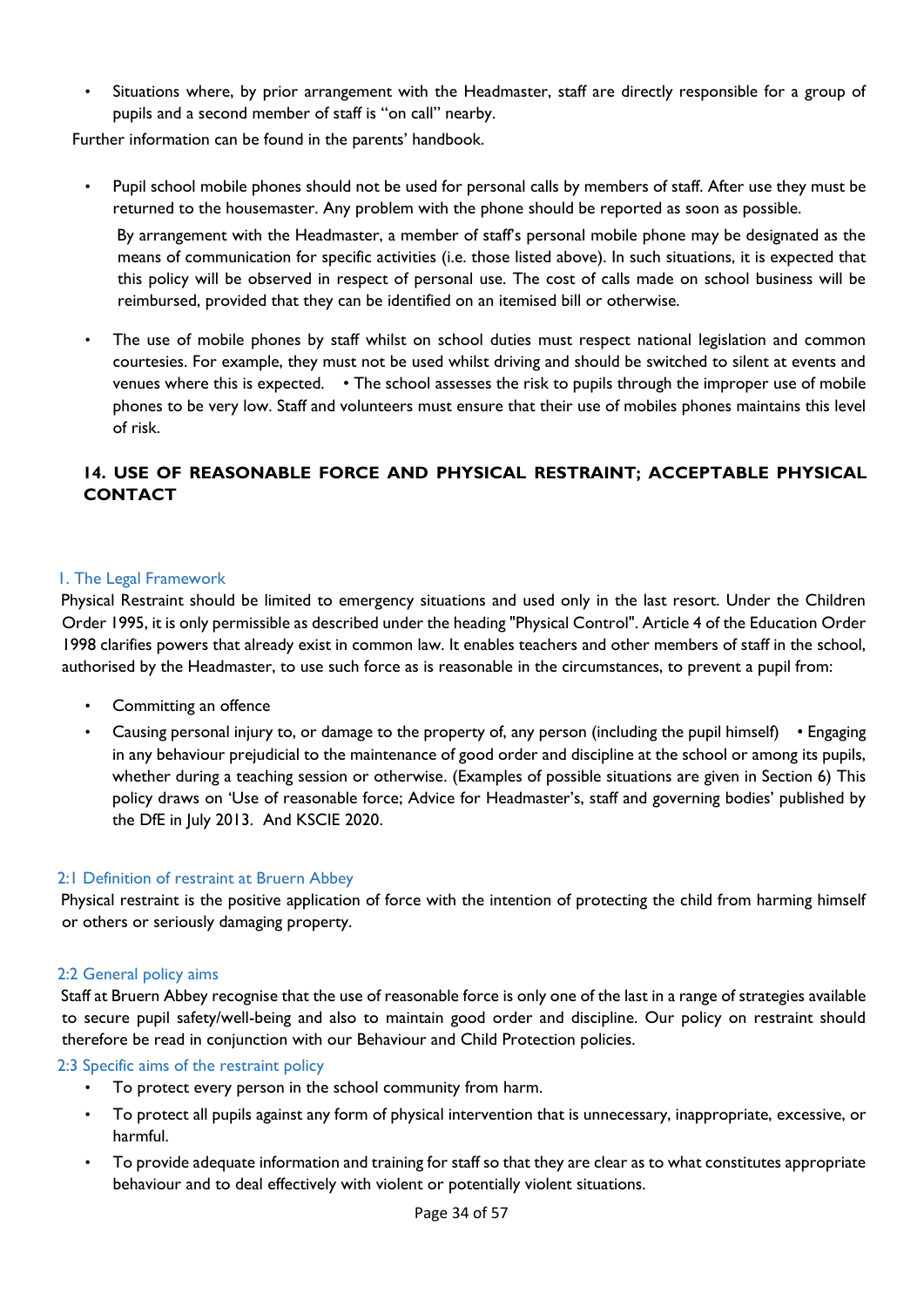• Situations where, by prior arrangement with the Headmaster, staff are directly responsible for a group of pupils and a second member of staff is "on call" nearby.

Further information can be found in the parents' handbook.

• Pupil school mobile phones should not be used for personal calls by members of staff. After use they must be returned to the housemaster. Any problem with the phone should be reported as soon as possible.

By arrangement with the Headmaster, a member of staff's personal mobile phone may be designated as the means of communication for specific activities (i.e. those listed above). In such situations, it is expected that this policy will be observed in respect of personal use. The cost of calls made on school business will be reimbursed, provided that they can be identified on an itemised bill or otherwise.

The use of mobile phones by staff whilst on school duties must respect national legislation and common courtesies. For example, they must not be used whilst driving and should be switched to silent at events and venues where this is expected. • The school assesses the risk to pupils through the improper use of mobile phones to be very low. Staff and volunteers must ensure that their use of mobiles phones maintains this level of risk.

# **14. USE OF REASONABLE FORCE AND PHYSICAL RESTRAINT; ACCEPTABLE PHYSICAL CONTACT**

#### <span id="page-33-0"></span>1. The Legal Framework

Physical Restraint should be limited to emergency situations and used only in the last resort. Under the Children Order 1995, it is only permissible as described under the heading "Physical Control". Article 4 of the Education Order 1998 clarifies powers that already exist in common law. It enables teachers and other members of staff in the school, authorised by the Headmaster, to use such force as is reasonable in the circumstances, to prevent a pupil from:

- Committing an offence
- Causing personal injury to, or damage to the property of, any person (including the pupil himself) Engaging in any behaviour prejudicial to the maintenance of good order and discipline at the school or among its pupils, whether during a teaching session or otherwise. (Examples of possible situations are given in Section 6) This policy draws on 'Use of reasonable force; Advice for Headmaster's, staff and governing bodies' published by the DfE in July 2013. And KSCIE 2020.

#### <span id="page-33-1"></span>2:1 Definition of restraint at Bruern Abbey

Physical restraint is the positive application of force with the intention of protecting the child from harming himself or others or seriously damaging property.

#### <span id="page-33-2"></span>2:2 General policy aims

Staff at Bruern Abbey recognise that the use of reasonable force is only one of the last in a range of strategies available to secure pupil safety/well-being and also to maintain good order and discipline. Our policy on restraint should therefore be read in conjunction with our Behaviour and Child Protection policies.

<span id="page-33-3"></span>2:3 Specific aims of the restraint policy

- To protect every person in the school community from harm.
- To protect all pupils against any form of physical intervention that is unnecessary, inappropriate, excessive, or harmful.
- To provide adequate information and training for staff so that they are clear as to what constitutes appropriate behaviour and to deal effectively with violent or potentially violent situations.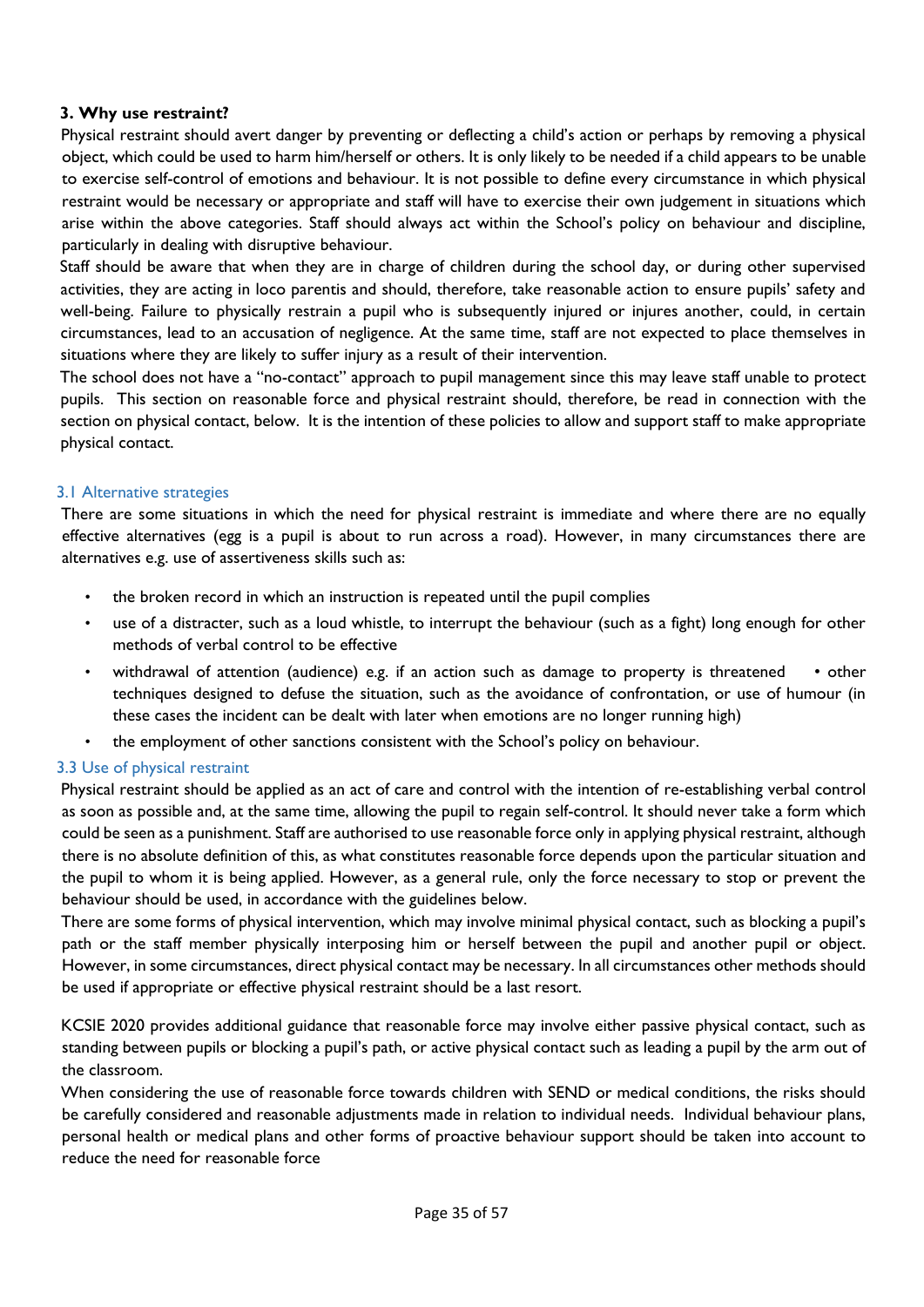### **3. Why use restraint?**

Physical restraint should avert danger by preventing or deflecting a child's action or perhaps by removing a physical object, which could be used to harm him/herself or others. It is only likely to be needed if a child appears to be unable to exercise self-control of emotions and behaviour. It is not possible to define every circumstance in which physical restraint would be necessary or appropriate and staff will have to exercise their own judgement in situations which arise within the above categories. Staff should always act within the School's policy on behaviour and discipline, particularly in dealing with disruptive behaviour.

Staff should be aware that when they are in charge of children during the school day, or during other supervised activities, they are acting in loco parentis and should, therefore, take reasonable action to ensure pupils' safety and well-being. Failure to physically restrain a pupil who is subsequently injured or injures another, could, in certain circumstances, lead to an accusation of negligence. At the same time, staff are not expected to place themselves in situations where they are likely to suffer injury as a result of their intervention.

The school does not have a "no-contact" approach to pupil management since this may leave staff unable to protect pupils. This section on reasonable force and physical restraint should, therefore, be read in connection with the section on physical contact, below. It is the intention of these policies to allow and support staff to make appropriate physical contact.

### <span id="page-34-0"></span>3.1 Alternative strategies

There are some situations in which the need for physical restraint is immediate and where there are no equally effective alternatives (egg is a pupil is about to run across a road). However, in many circumstances there are alternatives e.g. use of assertiveness skills such as:

- the broken record in which an instruction is repeated until the pupil complies
- use of a distracter, such as a loud whistle, to interrupt the behaviour (such as a fight) long enough for other methods of verbal control to be effective
- withdrawal of attention (audience) e.g. if an action such as damage to property is threatened other techniques designed to defuse the situation, such as the avoidance of confrontation, or use of humour (in these cases the incident can be dealt with later when emotions are no longer running high)
- the employment of other sanctions consistent with the School's policy on behaviour.

### <span id="page-34-1"></span>3.3 Use of physical restraint

Physical restraint should be applied as an act of care and control with the intention of re-establishing verbal control as soon as possible and, at the same time, allowing the pupil to regain self-control. It should never take a form which could be seen as a punishment. Staff are authorised to use reasonable force only in applying physical restraint, although there is no absolute definition of this, as what constitutes reasonable force depends upon the particular situation and the pupil to whom it is being applied. However, as a general rule, only the force necessary to stop or prevent the behaviour should be used, in accordance with the guidelines below.

There are some forms of physical intervention, which may involve minimal physical contact, such as blocking a pupil's path or the staff member physically interposing him or herself between the pupil and another pupil or object. However, in some circumstances, direct physical contact may be necessary. In all circumstances other methods should be used if appropriate or effective physical restraint should be a last resort.

KCSIE 2020 provides additional guidance that reasonable force may involve either passive physical contact, such as standing between pupils or blocking a pupil's path, or active physical contact such as leading a pupil by the arm out of the classroom.

When considering the use of reasonable force towards children with SEND or medical conditions, the risks should be carefully considered and reasonable adjustments made in relation to individual needs. Individual behaviour plans, personal health or medical plans and other forms of proactive behaviour support should be taken into account to reduce the need for reasonable force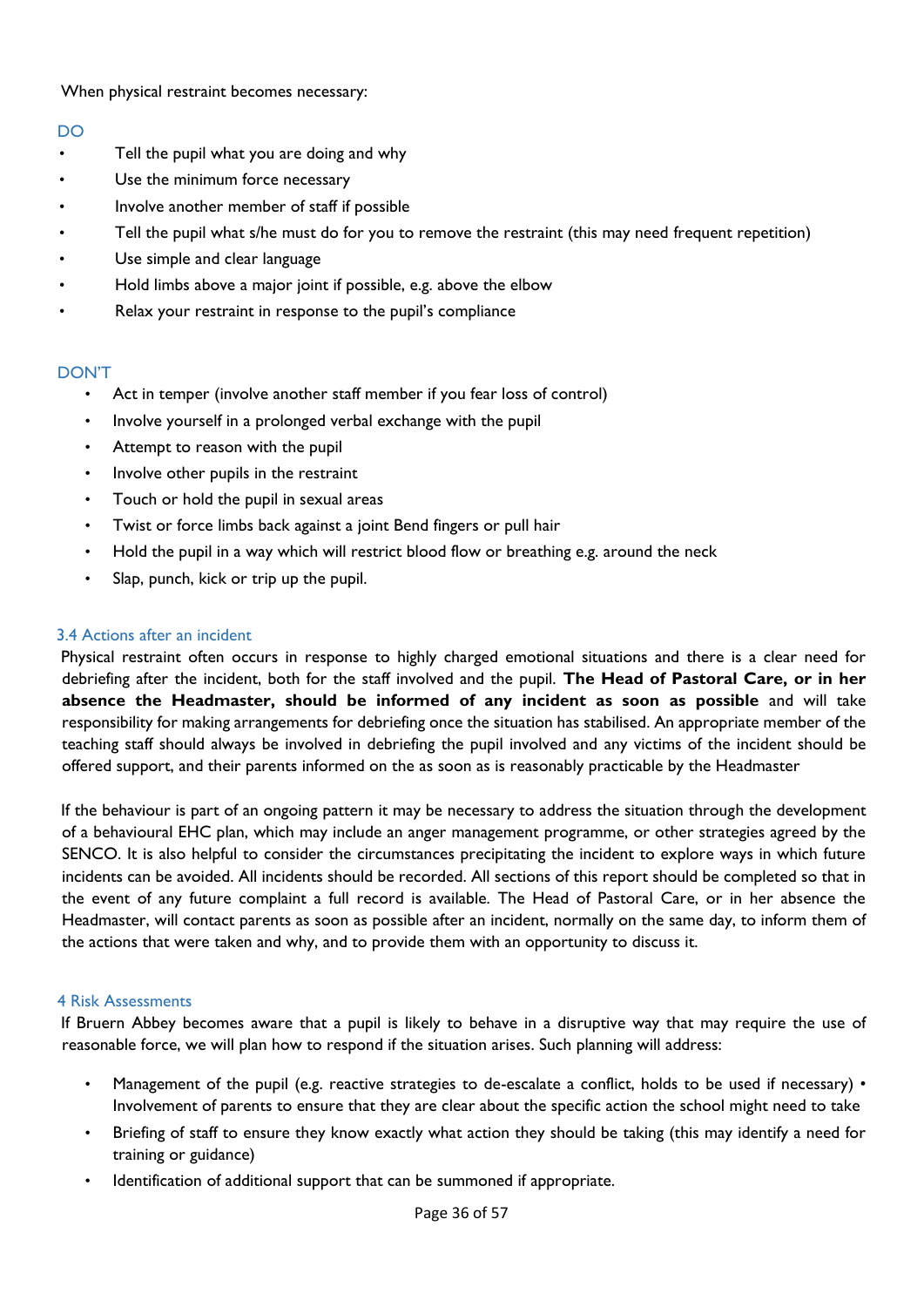When physical restraint becomes necessary:

# <span id="page-35-0"></span>DO

- Tell the pupil what you are doing and why
- Use the minimum force necessary
- Involve another member of staff if possible
- Tell the pupil what s/he must do for you to remove the restraint (this may need frequent repetition)
- Use simple and clear language
- Hold limbs above a major joint if possible, e.g. above the elbow
- Relax your restraint in response to the pupil's compliance

### <span id="page-35-1"></span>DON'T

- Act in temper (involve another staff member if you fear loss of control)
- Involve yourself in a prolonged verbal exchange with the pupil
- Attempt to reason with the pupil
- Involve other pupils in the restraint
- Touch or hold the pupil in sexual areas
- Twist or force limbs back against a joint Bend fingers or pull hair
- Hold the pupil in a way which will restrict blood flow or breathing e.g. around the neck
- Slap, punch, kick or trip up the pupil.

### <span id="page-35-2"></span>3.4 Actions after an incident

Physical restraint often occurs in response to highly charged emotional situations and there is a clear need for debriefing after the incident, both for the staff involved and the pupil. **The Head of Pastoral Care, or in her absence the Headmaster, should be informed of any incident as soon as possible** and will take responsibility for making arrangements for debriefing once the situation has stabilised. An appropriate member of the teaching staff should always be involved in debriefing the pupil involved and any victims of the incident should be offered support, and their parents informed on the as soon as is reasonably practicable by the Headmaster

If the behaviour is part of an ongoing pattern it may be necessary to address the situation through the development of a behavioural EHC plan, which may include an anger management programme, or other strategies agreed by the SENCO. It is also helpful to consider the circumstances precipitating the incident to explore ways in which future incidents can be avoided. All incidents should be recorded. All sections of this report should be completed so that in the event of any future complaint a full record is available. The Head of Pastoral Care, or in her absence the Headmaster, will contact parents as soon as possible after an incident, normally on the same day, to inform them of the actions that were taken and why, and to provide them with an opportunity to discuss it.

### <span id="page-35-3"></span>4 Risk Assessments

If Bruern Abbey becomes aware that a pupil is likely to behave in a disruptive way that may require the use of reasonable force, we will plan how to respond if the situation arises. Such planning will address:

- Management of the pupil (e.g. reactive strategies to de-escalate a conflict, holds to be used if necessary) Involvement of parents to ensure that they are clear about the specific action the school might need to take
- Briefing of staff to ensure they know exactly what action they should be taking (this may identify a need for training or guidance)
- Identification of additional support that can be summoned if appropriate.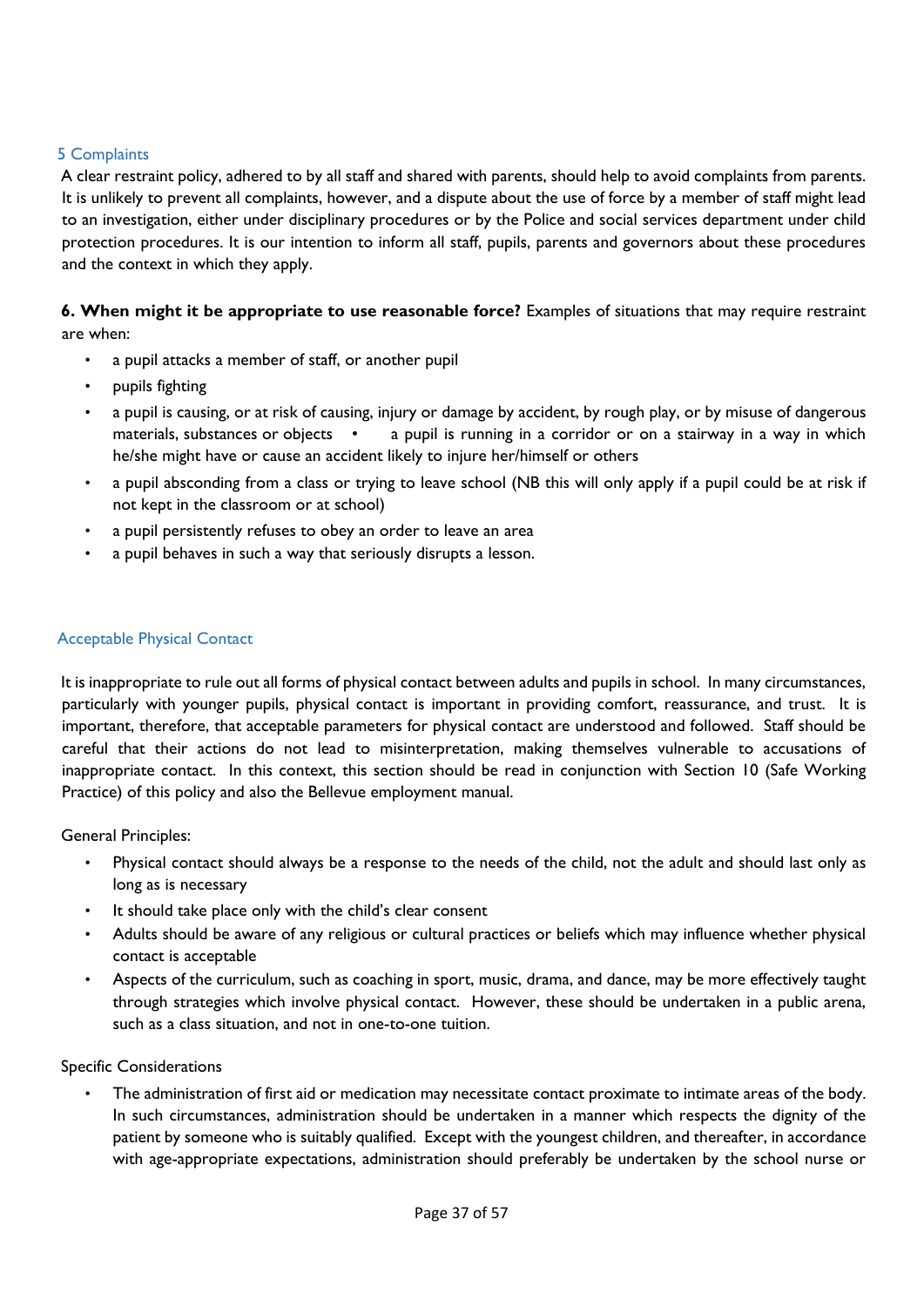### <span id="page-36-0"></span>5 Complaints

A clear restraint policy, adhered to by all staff and shared with parents, should help to avoid complaints from parents. It is unlikely to prevent all complaints, however, and a dispute about the use of force by a member of staff might lead to an investigation, either under disciplinary procedures or by the Police and social services department under child protection procedures. It is our intention to inform all staff, pupils, parents and governors about these procedures and the context in which they apply.

**6. When might it be appropriate to use reasonable force?** Examples of situations that may require restraint are when:

- a pupil attacks a member of staff, or another pupil
- pupils fighting
- a pupil is causing, or at risk of causing, injury or damage by accident, by rough play, or by misuse of dangerous materials, substances or objects • a pupil is running in a corridor or on a stairway in a way in which he/she might have or cause an accident likely to injure her/himself or others
- a pupil absconding from a class or trying to leave school (NB this will only apply if a pupil could be at risk if not kept in the classroom or at school)
- a pupil persistently refuses to obey an order to leave an area
- a pupil behaves in such a way that seriously disrupts a lesson.

### <span id="page-36-1"></span>Acceptable Physical Contact

It is inappropriate to rule out all forms of physical contact between adults and pupils in school. In many circumstances, particularly with younger pupils, physical contact is important in providing comfort, reassurance, and trust. It is important, therefore, that acceptable parameters for physical contact are understood and followed. Staff should be careful that their actions do not lead to misinterpretation, making themselves vulnerable to accusations of inappropriate contact. In this context, this section should be read in conjunction with Section 10 (Safe Working Practice) of this policy and also the Bellevue employment manual.

General Principles:

- Physical contact should always be a response to the needs of the child, not the adult and should last only as long as is necessary
- It should take place only with the child's clear consent
- Adults should be aware of any religious or cultural practices or beliefs which may influence whether physical contact is acceptable
- Aspects of the curriculum, such as coaching in sport, music, drama, and dance, may be more effectively taught through strategies which involve physical contact. However, these should be undertaken in a public arena, such as a class situation, and not in one-to-one tuition.

### Specific Considerations

• The administration of first aid or medication may necessitate contact proximate to intimate areas of the body. In such circumstances, administration should be undertaken in a manner which respects the dignity of the patient by someone who is suitably qualified. Except with the youngest children, and thereafter, in accordance with age-appropriate expectations, administration should preferably be undertaken by the school nurse or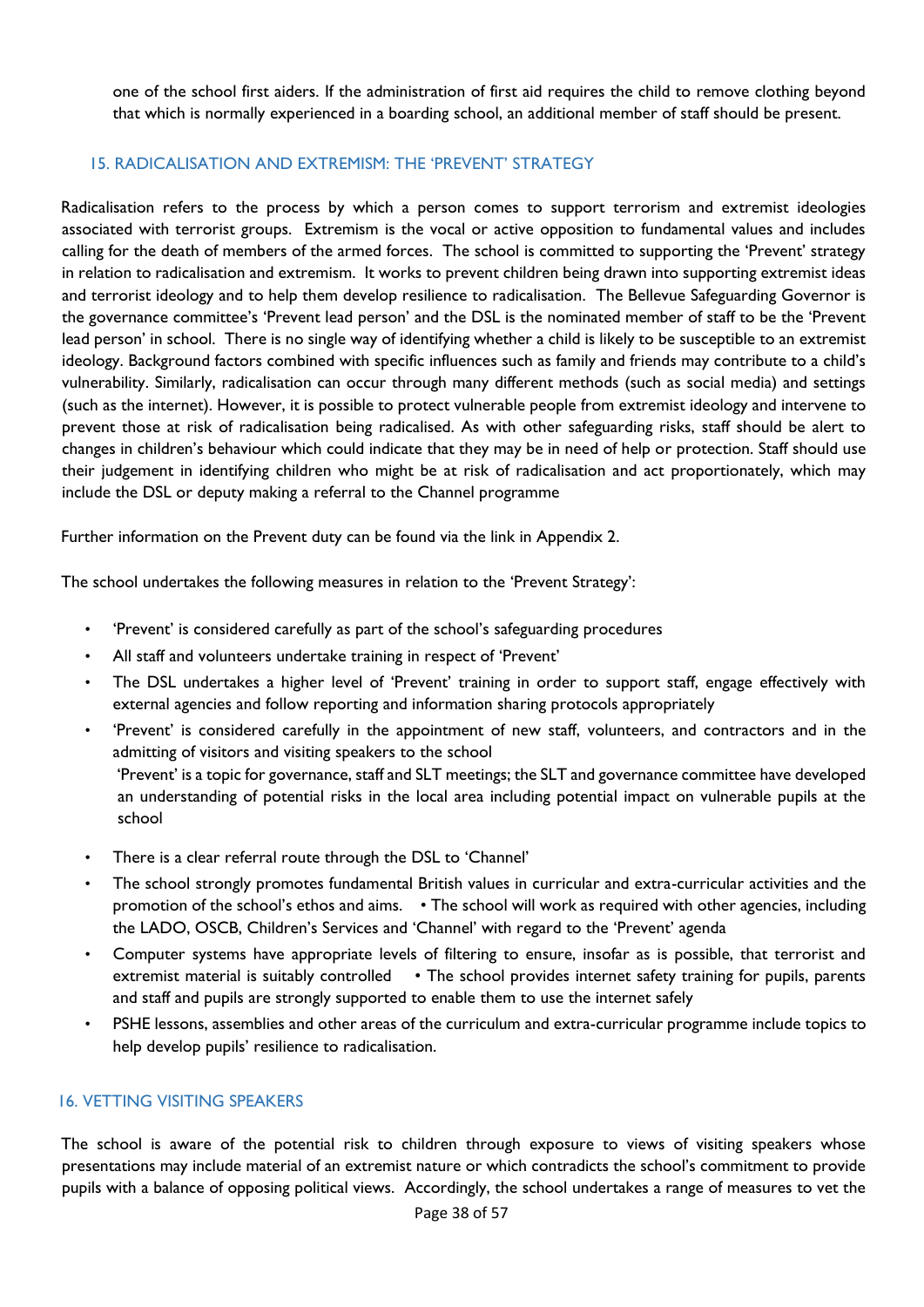one of the school first aiders. If the administration of first aid requires the child to remove clothing beyond that which is normally experienced in a boarding school, an additional member of staff should be present.

### <span id="page-37-0"></span>15. RADICALISATION AND EXTREMISM: THE 'PREVENT' STRATEGY

Radicalisation refers to the process by which a person comes to support terrorism and extremist ideologies associated with terrorist groups. Extremism is the vocal or active opposition to fundamental values and includes calling for the death of members of the armed forces. The school is committed to supporting the 'Prevent' strategy in relation to radicalisation and extremism. It works to prevent children being drawn into supporting extremist ideas and terrorist ideology and to help them develop resilience to radicalisation. The Bellevue Safeguarding Governor is the governance committee's 'Prevent lead person' and the DSL is the nominated member of staff to be the 'Prevent lead person' in school. There is no single way of identifying whether a child is likely to be susceptible to an extremist ideology. Background factors combined with specific influences such as family and friends may contribute to a child's vulnerability. Similarly, radicalisation can occur through many different methods (such as social media) and settings (such as the internet). However, it is possible to protect vulnerable people from extremist ideology and intervene to prevent those at risk of radicalisation being radicalised. As with other safeguarding risks, staff should be alert to changes in children's behaviour which could indicate that they may be in need of help or protection. Staff should use their judgement in identifying children who might be at risk of radicalisation and act proportionately, which may include the DSL or deputy making a referral to the Channel programme

Further information on the Prevent duty can be found via the link in Appendix 2.

The school undertakes the following measures in relation to the 'Prevent Strategy':

- 'Prevent' is considered carefully as part of the school's safeguarding procedures
- All staff and volunteers undertake training in respect of 'Prevent'
- The DSL undertakes a higher level of 'Prevent' training in order to support staff, engage effectively with external agencies and follow reporting and information sharing protocols appropriately
- 'Prevent' is considered carefully in the appointment of new staff, volunteers, and contractors and in the admitting of visitors and visiting speakers to the school 'Prevent' is a topic for governance, staff and SLT meetings; the SLT and governance committee have developed an understanding of potential risks in the local area including potential impact on vulnerable pupils at the school
- There is a clear referral route through the DSL to 'Channel'
- The school strongly promotes fundamental British values in curricular and extra-curricular activities and the promotion of the school's ethos and aims. • The school will work as required with other agencies, including the LADO, OSCB, Children's Services and 'Channel' with regard to the 'Prevent' agenda
- Computer systems have appropriate levels of filtering to ensure, insofar as is possible, that terrorist and extremist material is suitably controlled • The school provides internet safety training for pupils, parents and staff and pupils are strongly supported to enable them to use the internet safely
- PSHE lessons, assemblies and other areas of the curriculum and extra-curricular programme include topics to help develop pupils' resilience to radicalisation.

### <span id="page-37-1"></span>16. VETTING VISITING SPEAKERS

The school is aware of the potential risk to children through exposure to views of visiting speakers whose presentations may include material of an extremist nature or which contradicts the school's commitment to provide pupils with a balance of opposing political views. Accordingly, the school undertakes a range of measures to vet the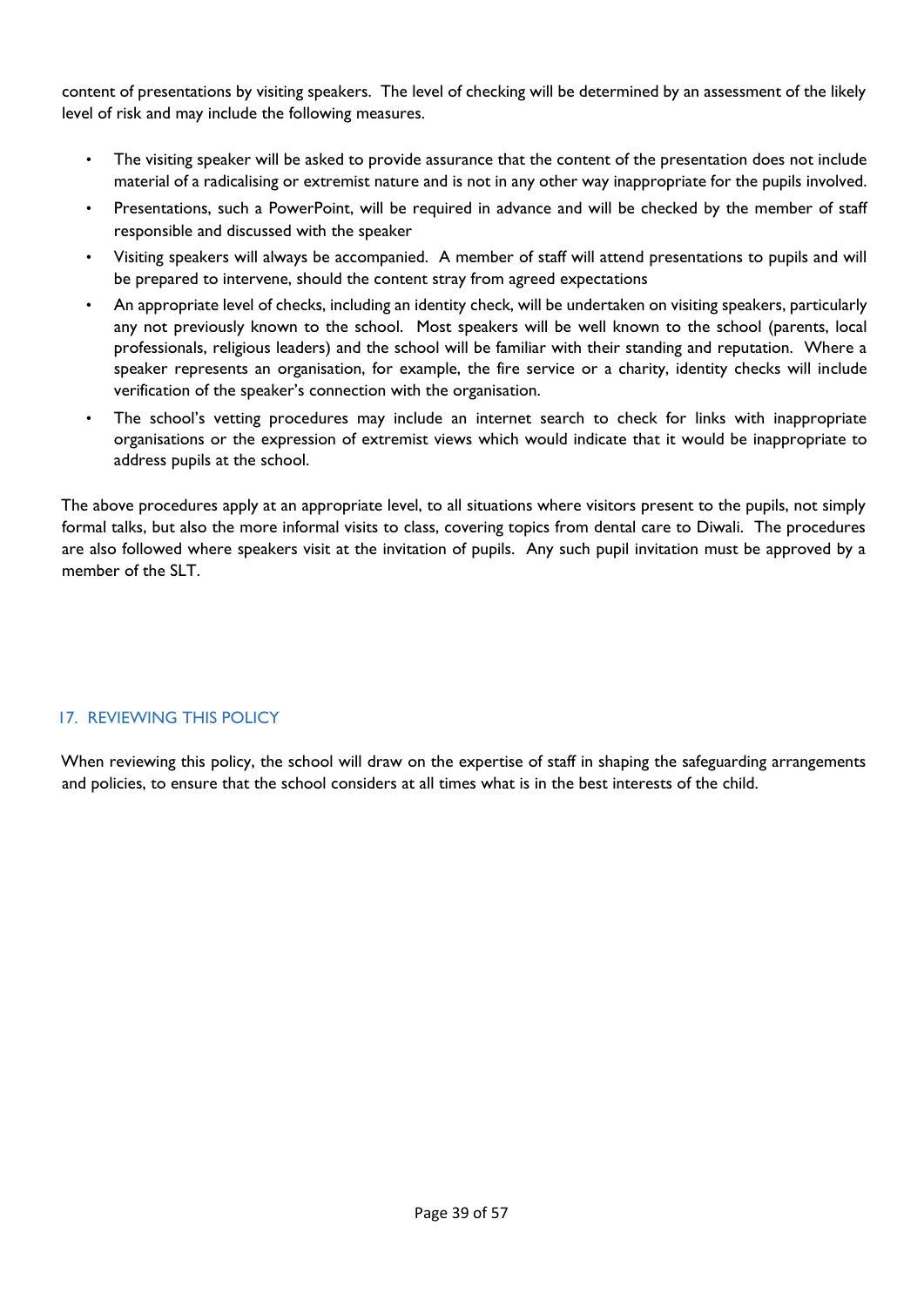content of presentations by visiting speakers. The level of checking will be determined by an assessment of the likely level of risk and may include the following measures.

- The visiting speaker will be asked to provide assurance that the content of the presentation does not include material of a radicalising or extremist nature and is not in any other way inappropriate for the pupils involved.
- Presentations, such a PowerPoint, will be required in advance and will be checked by the member of staff responsible and discussed with the speaker
- Visiting speakers will always be accompanied. A member of staff will attend presentations to pupils and will be prepared to intervene, should the content stray from agreed expectations
- An appropriate level of checks, including an identity check, will be undertaken on visiting speakers, particularly any not previously known to the school. Most speakers will be well known to the school (parents, local professionals, religious leaders) and the school will be familiar with their standing and reputation. Where a speaker represents an organisation, for example, the fire service or a charity, identity checks will include verification of the speaker's connection with the organisation.
- The school's vetting procedures may include an internet search to check for links with inappropriate organisations or the expression of extremist views which would indicate that it would be inappropriate to address pupils at the school.

The above procedures apply at an appropriate level, to all situations where visitors present to the pupils, not simply formal talks, but also the more informal visits to class, covering topics from dental care to Diwali. The procedures are also followed where speakers visit at the invitation of pupils. Any such pupil invitation must be approved by a member of the SLT.

# <span id="page-38-0"></span>17. REVIEWING THIS POLICY

When reviewing this policy, the school will draw on the expertise of staff in shaping the safeguarding arrangements and policies, to ensure that the school considers at all times what is in the best interests of the child.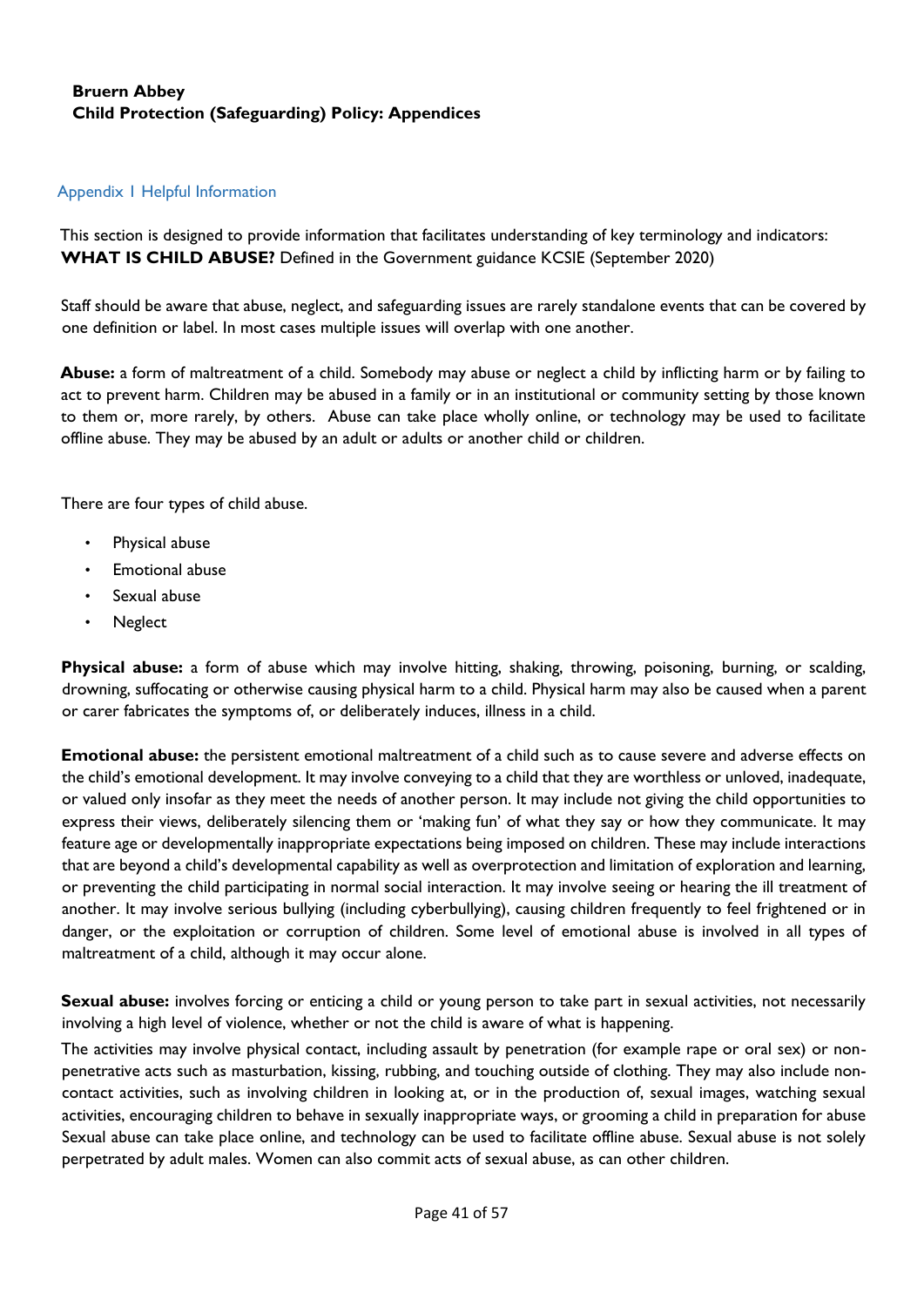# **Bruern Abbey Child Protection (Safeguarding) Policy: Appendices**

### <span id="page-40-0"></span>Appendix 1 Helpful Information

This section is designed to provide information that facilitates understanding of key terminology and indicators: **WHAT IS CHILD ABUSE?** Defined in the Government guidance KCSIE (September 2020)

Staff should be aware that abuse, neglect, and safeguarding issues are rarely standalone events that can be covered by one definition or label. In most cases multiple issues will overlap with one another.

**Abuse:** a form of maltreatment of a child. Somebody may abuse or neglect a child by inflicting harm or by failing to act to prevent harm. Children may be abused in a family or in an institutional or community setting by those known to them or, more rarely, by others. Abuse can take place wholly online, or technology may be used to facilitate offline abuse. They may be abused by an adult or adults or another child or children.

There are four types of child abuse.

- Physical abuse
- Emotional abuse
- Sexual abuse
- **Neglect**

**Physical abuse:** a form of abuse which may involve hitting, shaking, throwing, poisoning, burning, or scalding, drowning, suffocating or otherwise causing physical harm to a child. Physical harm may also be caused when a parent or carer fabricates the symptoms of, or deliberately induces, illness in a child.

**Emotional abuse:** the persistent emotional maltreatment of a child such as to cause severe and adverse effects on the child's emotional development. It may involve conveying to a child that they are worthless or unloved, inadequate, or valued only insofar as they meet the needs of another person. It may include not giving the child opportunities to express their views, deliberately silencing them or 'making fun' of what they say or how they communicate. It may feature age or developmentally inappropriate expectations being imposed on children. These may include interactions that are beyond a child's developmental capability as well as overprotection and limitation of exploration and learning, or preventing the child participating in normal social interaction. It may involve seeing or hearing the ill treatment of another. It may involve serious bullying (including cyberbullying), causing children frequently to feel frightened or in danger, or the exploitation or corruption of children. Some level of emotional abuse is involved in all types of maltreatment of a child, although it may occur alone.

**Sexual abuse:** involves forcing or enticing a child or young person to take part in sexual activities, not necessarily involving a high level of violence, whether or not the child is aware of what is happening.

The activities may involve physical contact, including assault by penetration (for example rape or oral sex) or nonpenetrative acts such as masturbation, kissing, rubbing, and touching outside of clothing. They may also include noncontact activities, such as involving children in looking at, or in the production of, sexual images, watching sexual activities, encouraging children to behave in sexually inappropriate ways, or grooming a child in preparation for abuse Sexual abuse can take place online, and technology can be used to facilitate offline abuse. Sexual abuse is not solely perpetrated by adult males. Women can also commit acts of sexual abuse, as can other children.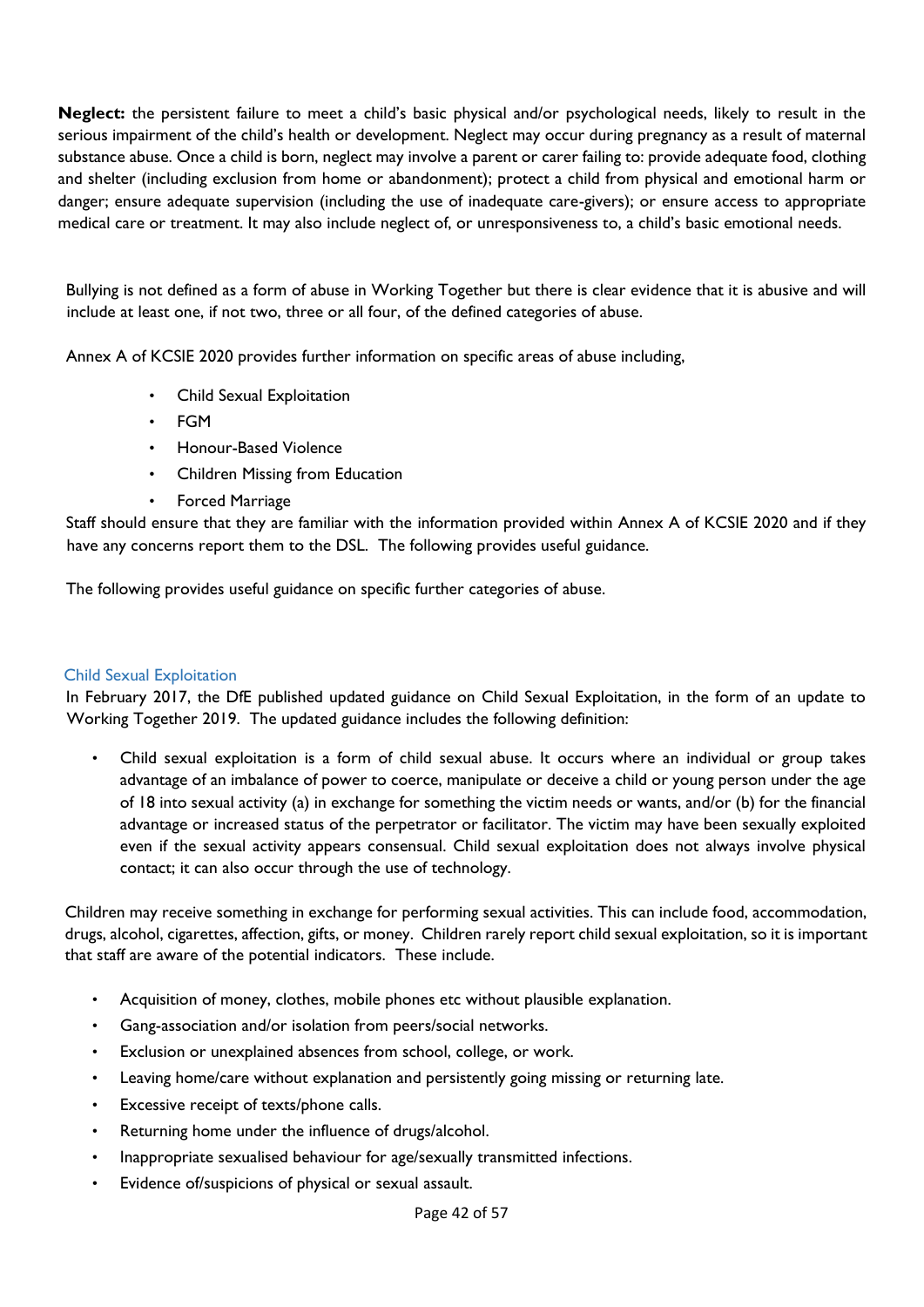**Neglect:** the persistent failure to meet a child's basic physical and/or psychological needs, likely to result in the serious impairment of the child's health or development. Neglect may occur during pregnancy as a result of maternal substance abuse. Once a child is born, neglect may involve a parent or carer failing to: provide adequate food, clothing and shelter (including exclusion from home or abandonment); protect a child from physical and emotional harm or danger; ensure adequate supervision (including the use of inadequate care-givers); or ensure access to appropriate medical care or treatment. It may also include neglect of, or unresponsiveness to, a child's basic emotional needs.

Bullying is not defined as a form of abuse in Working Together but there is clear evidence that it is abusive and will include at least one, if not two, three or all four, of the defined categories of abuse.

Annex A of KCSIE 2020 provides further information on specific areas of abuse including,

- Child Sexual Exploitation
- FGM
- Honour-Based Violence
- Children Missing from Education
- Forced Marriage

Staff should ensure that they are familiar with the information provided within Annex A of KCSIE 2020 and if they have any concerns report them to the DSL. The following provides useful guidance.

The following provides useful guidance on specific further categories of abuse.

### <span id="page-41-0"></span>Child Sexual Exploitation

In February 2017, the DfE published updated guidance on Child Sexual Exploitation, in the form of an update to Working Together 2019. The updated guidance includes the following definition:

• Child sexual exploitation is a form of child sexual abuse. It occurs where an individual or group takes advantage of an imbalance of power to coerce, manipulate or deceive a child or young person under the age of 18 into sexual activity (a) in exchange for something the victim needs or wants, and/or (b) for the financial advantage or increased status of the perpetrator or facilitator. The victim may have been sexually exploited even if the sexual activity appears consensual. Child sexual exploitation does not always involve physical contact; it can also occur through the use of technology.

Children may receive something in exchange for performing sexual activities. This can include food, accommodation, drugs, alcohol, cigarettes, affection, gifts, or money. Children rarely report child sexual exploitation, so it is important that staff are aware of the potential indicators. These include.

- Acquisition of money, clothes, mobile phones etc without plausible explanation.
- Gang-association and/or isolation from peers/social networks.
- Exclusion or unexplained absences from school, college, or work.
- Leaving home/care without explanation and persistently going missing or returning late.
- Excessive receipt of texts/phone calls.
- Returning home under the influence of drugs/alcohol.
- Inappropriate sexualised behaviour for age/sexually transmitted infections.
- Evidence of/suspicions of physical or sexual assault.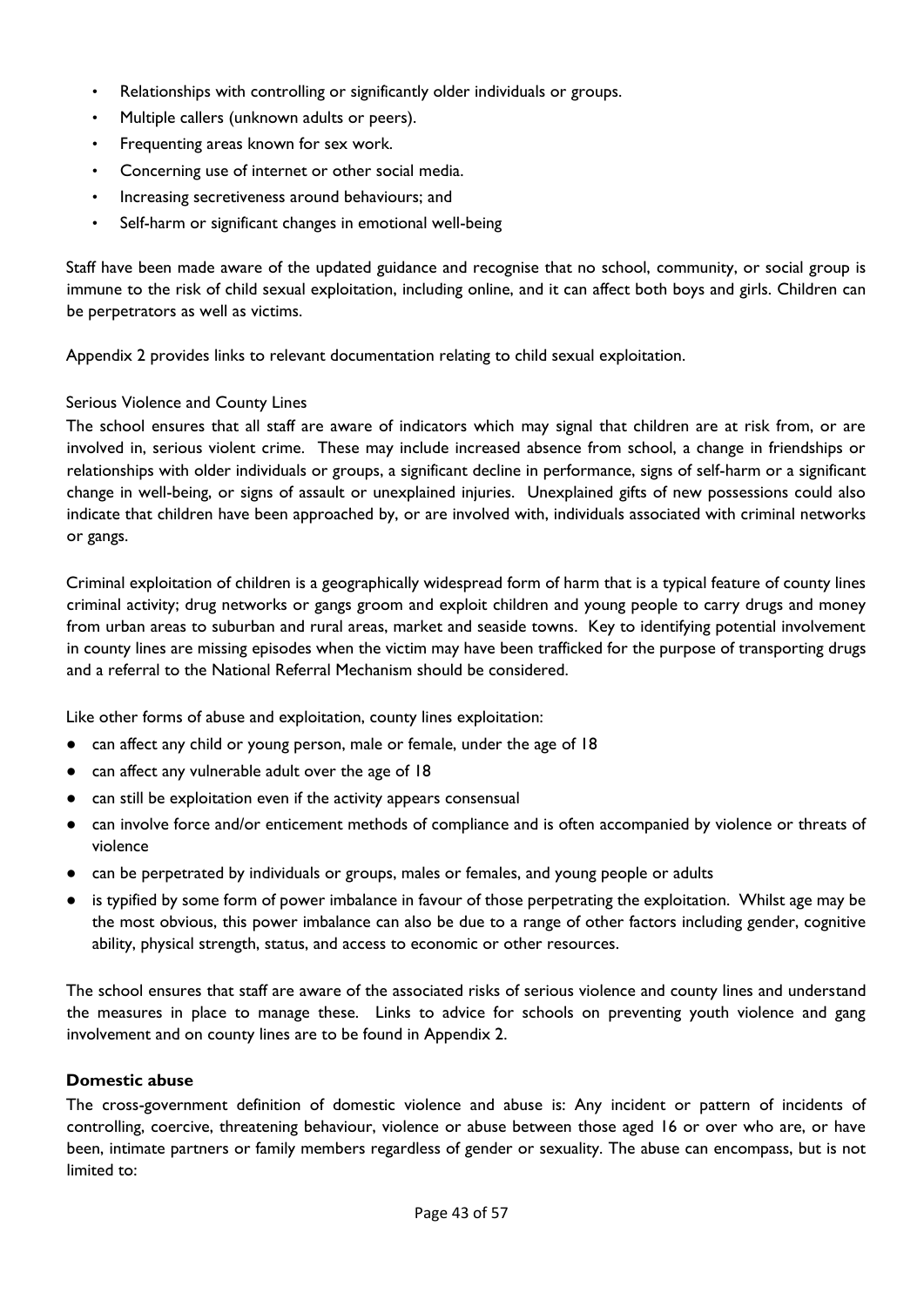- Relationships with controlling or significantly older individuals or groups.
- Multiple callers (unknown adults or peers).
- Frequenting areas known for sex work.
- Concerning use of internet or other social media.
- Increasing secretiveness around behaviours; and
- Self-harm or significant changes in emotional well-being

Staff have been made aware of the updated guidance and recognise that no school, community, or social group is immune to the risk of child sexual exploitation, including online, and it can affect both boys and girls. Children can be perpetrators as well as victims.

Appendix 2 provides links to relevant documentation relating to child sexual exploitation.

### Serious Violence and County Lines

The school ensures that all staff are aware of indicators which may signal that children are at risk from, or are involved in, serious violent crime. These may include increased absence from school, a change in friendships or relationships with older individuals or groups, a significant decline in performance, signs of self-harm or a significant change in well-being, or signs of assault or unexplained injuries. Unexplained gifts of new possessions could also indicate that children have been approached by, or are involved with, individuals associated with criminal networks or gangs.

Criminal exploitation of children is a geographically widespread form of harm that is a typical feature of county lines criminal activity; drug networks or gangs groom and exploit children and young people to carry drugs and money from urban areas to suburban and rural areas, market and seaside towns. Key to identifying potential involvement in county lines are missing episodes when the victim may have been trafficked for the purpose of transporting drugs and a referral to the National Referral Mechanism should be considered.

Like other forms of abuse and exploitation, county lines exploitation:

- can affect any child or young person, male or female, under the age of 18
- can affect any vulnerable adult over the age of 18
- can still be exploitation even if the activity appears consensual
- can involve force and/or enticement methods of compliance and is often accompanied by violence or threats of violence
- can be perpetrated by individuals or groups, males or females, and young people or adults
- is typified by some form of power imbalance in favour of those perpetrating the exploitation. Whilst age may be the most obvious, this power imbalance can also be due to a range of other factors including gender, cognitive ability, physical strength, status, and access to economic or other resources.

The school ensures that staff are aware of the associated risks of serious violence and county lines and understand the measures in place to manage these. Links to advice for schools on preventing youth violence and gang involvement and on county lines are to be found in Appendix 2.

### **Domestic abuse**

The cross-government definition of domestic violence and abuse is: Any incident or pattern of incidents of controlling, coercive, threatening behaviour, violence or abuse between those aged 16 or over who are, or have been, intimate partners or family members regardless of gender or sexuality. The abuse can encompass, but is not limited to: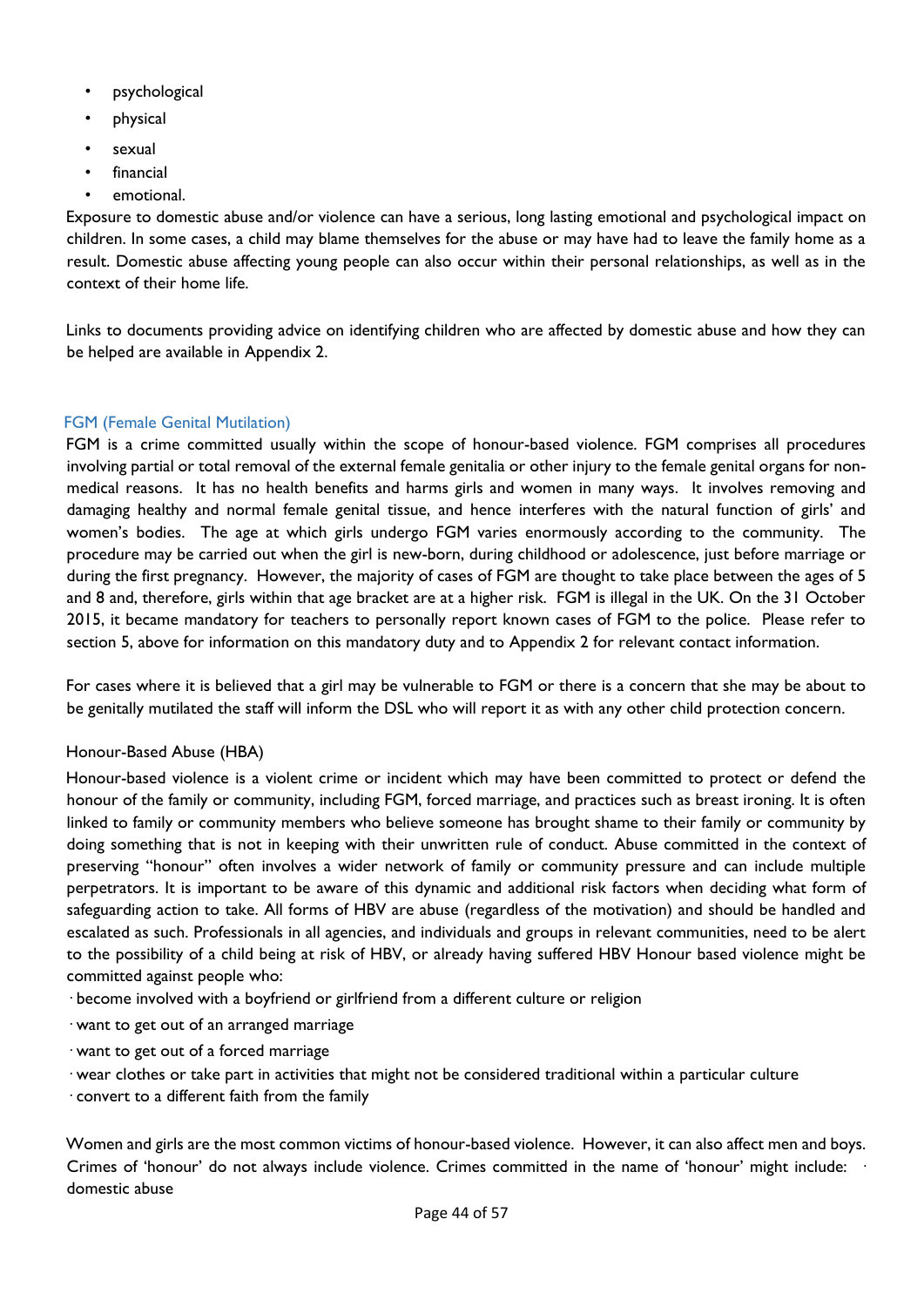- psychological
- physical
- sexual
- financial
- emotional.

Exposure to domestic abuse and/or violence can have a serious, long lasting emotional and psychological impact on children. In some cases, a child may blame themselves for the abuse or may have had to leave the family home as a result. Domestic abuse affecting young people can also occur within their personal relationships, as well as in the context of their home life.

Links to documents providing advice on identifying children who are affected by domestic abuse and how they can be helped are available in Appendix 2.

# <span id="page-43-0"></span>FGM (Female Genital Mutilation)

FGM is a crime committed usually within the scope of honour-based violence. FGM comprises all procedures involving partial or total removal of the external female genitalia or other injury to the female genital organs for nonmedical reasons. It has no health benefits and harms girls and women in many ways. It involves removing and damaging healthy and normal female genital tissue, and hence interferes with the natural function of girls' and women's bodies. The age at which girls undergo FGM varies enormously according to the community. The procedure may be carried out when the girl is new-born, during childhood or adolescence, just before marriage or during the first pregnancy. However, the majority of cases of FGM are thought to take place between the ages of 5 and 8 and, therefore, girls within that age bracket are at a higher risk. FGM is illegal in the UK. On the 31 October 2015, it became mandatory for teachers to personally report known cases of FGM to the police. Please refer to section 5, above for information on this mandatory duty and to Appendix 2 for relevant contact information.

For cases where it is believed that a girl may be vulnerable to FGM or there is a concern that she may be about to be genitally mutilated the staff will inform the DSL who will report it as with any other child protection concern.

### Honour-Based Abuse (HBA)

Honour-based violence is a violent crime or incident which may have been committed to protect or defend the honour of the family or community, including FGM, forced marriage, and practices such as breast ironing. It is often linked to family or community members who believe someone has brought shame to their family or community by doing something that is not in keeping with their unwritten rule of conduct. Abuse committed in the context of preserving "honour" often involves a wider network of family or community pressure and can include multiple perpetrators. It is important to be aware of this dynamic and additional risk factors when deciding what form of safeguarding action to take. All forms of HBV are abuse (regardless of the motivation) and should be handled and escalated as such. Professionals in all agencies, and individuals and groups in relevant communities, need to be alert to the possibility of a child being at risk of HBV, or already having suffered HBV Honour based violence might be committed against people who:

- · become involved with a boyfriend or girlfriend from a different culture or religion
- · want to get out of an arranged marriage
- · want to get out of a forced marriage
- · wear clothes or take part in activities that might not be considered traditional within a particular culture
- · convert to a different faith from the family

Women and girls are the most common victims of honour-based violence. However, it can also affect men and boys. Crimes of 'honour' do not always include violence. Crimes committed in the name of 'honour' might include: · domestic abuse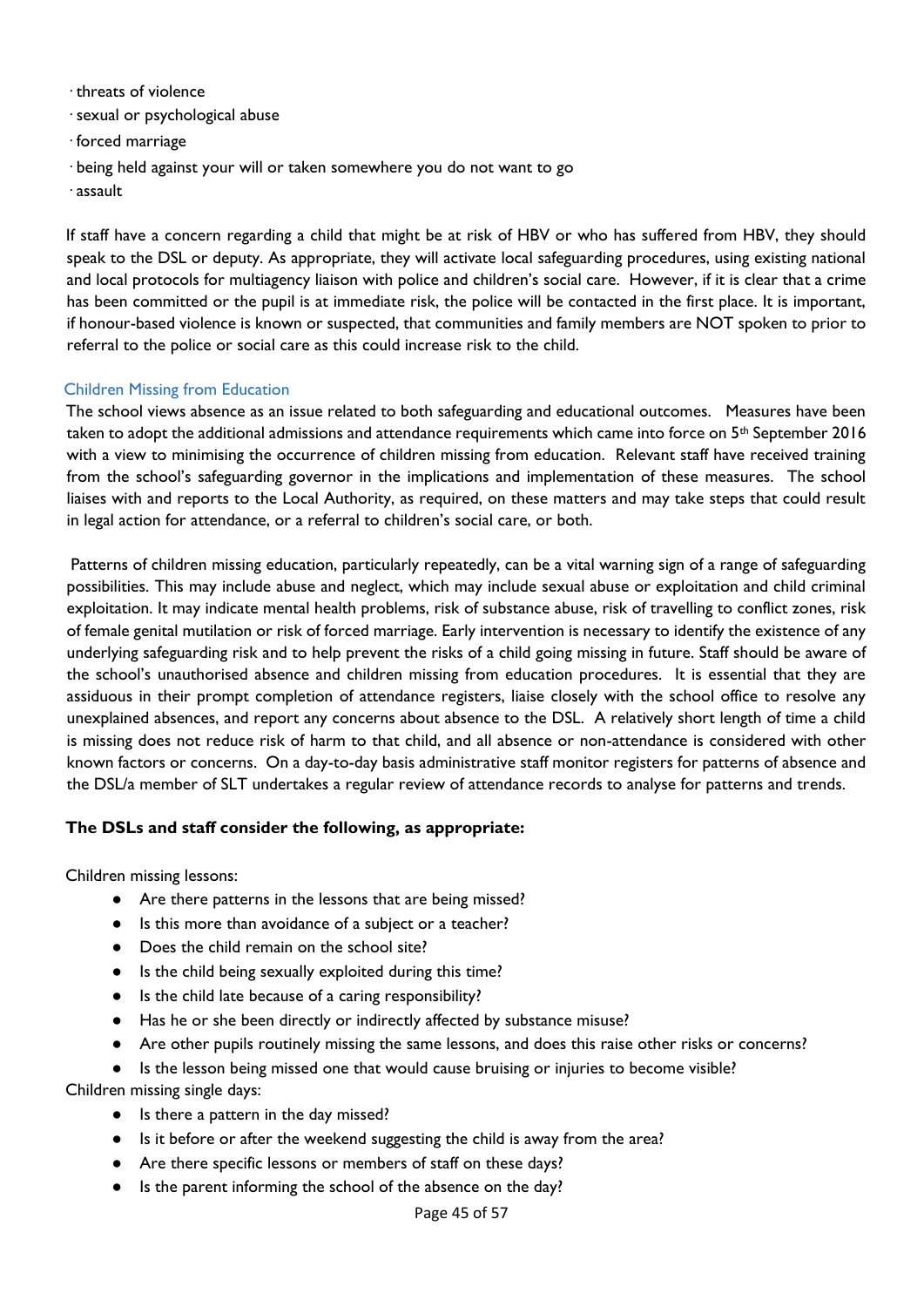- · threats of violence
- · sexual or psychological abuse
- · forced marriage
- · being held against your will or taken somewhere you do not want to go
- · assault

If staff have a concern regarding a child that might be at risk of HBV or who has suffered from HBV, they should speak to the DSL or deputy. As appropriate, they will activate local safeguarding procedures, using existing national and local protocols for multiagency liaison with police and children's social care. However, if it is clear that a crime has been committed or the pupil is at immediate risk, the police will be contacted in the first place. It is important, if honour-based violence is known or suspected, that communities and family members are NOT spoken to prior to referral to the police or social care as this could increase risk to the child.

### <span id="page-44-0"></span>Children Missing from Education

The school views absence as an issue related to both safeguarding and educational outcomes. Measures have been taken to adopt the additional admissions and attendance requirements which came into force on 5<sup>th</sup> September 2016 with a view to minimising the occurrence of children missing from education. Relevant staff have received training from the school's safeguarding governor in the implications and implementation of these measures. The school liaises with and reports to the Local Authority, as required, on these matters and may take steps that could result in legal action for attendance, or a referral to children's social care, or both.

Patterns of children missing education, particularly repeatedly, can be a vital warning sign of a range of safeguarding possibilities. This may include abuse and neglect, which may include sexual abuse or exploitation and child criminal exploitation. It may indicate mental health problems, risk of substance abuse, risk of travelling to conflict zones, risk of female genital mutilation or risk of forced marriage. Early intervention is necessary to identify the existence of any underlying safeguarding risk and to help prevent the risks of a child going missing in future. Staff should be aware of the school's unauthorised absence and children missing from education procedures. It is essential that they are assiduous in their prompt completion of attendance registers, liaise closely with the school office to resolve any unexplained absences, and report any concerns about absence to the DSL. A relatively short length of time a child is missing does not reduce risk of harm to that child, and all absence or non-attendance is considered with other known factors or concerns. On a day-to-day basis administrative staff monitor registers for patterns of absence and the DSL/a member of SLT undertakes a regular review of attendance records to analyse for patterns and trends.

# **The DSLs and staff consider the following, as appropriate:**

Children missing lessons:

- Are there patterns in the lessons that are being missed?
- Is this more than avoidance of a subject or a teacher?
- Does the child remain on the school site?
- Is the child being sexually exploited during this time?
- Is the child late because of a caring responsibility?
- Has he or she been directly or indirectly affected by substance misuse?
- Are other pupils routinely missing the same lessons, and does this raise other risks or concerns?
- Is the lesson being missed one that would cause bruising or injuries to become visible?

Children missing single days:

- Is there a pattern in the day missed?
- Is it before or after the weekend suggesting the child is away from the area?
- Are there specific lessons or members of staff on these days?
- Is the parent informing the school of the absence on the day?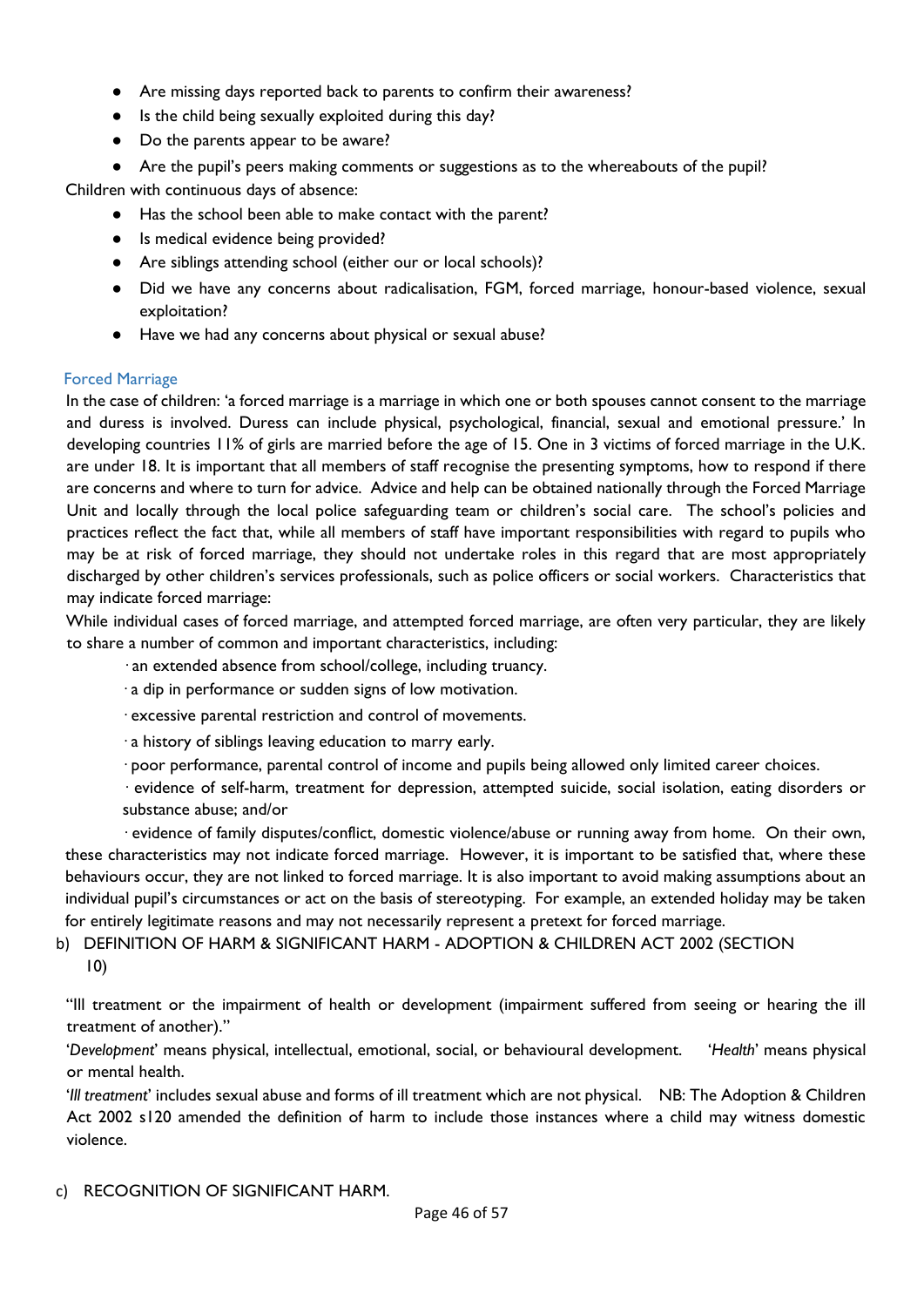- Are missing days reported back to parents to confirm their awareness?
- Is the child being sexually exploited during this day?
- Do the parents appear to be aware?
- Are the pupil's peers making comments or suggestions as to the whereabouts of the pupil?

Children with continuous days of absence:

- Has the school been able to make contact with the parent?
- Is medical evidence being provided?
- Are siblings attending school (either our or local schools)?
- Did we have any concerns about radicalisation, FGM, forced marriage, honour-based violence, sexual exploitation?
- Have we had any concerns about physical or sexual abuse?

# <span id="page-45-0"></span>Forced Marriage

In the case of children: 'a forced marriage is a marriage in which one or both spouses cannot consent to the marriage and duress is involved. Duress can include physical, psychological, financial, sexual and emotional pressure.' In developing countries 11% of girls are married before the age of 15. One in 3 victims of forced marriage in the U.K. are under 18. It is important that all members of staff recognise the presenting symptoms, how to respond if there are concerns and where to turn for advice. Advice and help can be obtained nationally through the Forced Marriage Unit and locally through the local police safeguarding team or children's social care. The school's policies and practices reflect the fact that, while all members of staff have important responsibilities with regard to pupils who may be at risk of forced marriage, they should not undertake roles in this regard that are most appropriately discharged by other children's services professionals, such as police officers or social workers. Characteristics that may indicate forced marriage:

While individual cases of forced marriage, and attempted forced marriage, are often very particular, they are likely to share a number of common and important characteristics, including:

· an extended absence from school/college, including truancy.

- · a dip in performance or sudden signs of low motivation.
- · excessive parental restriction and control of movements.
- · a history of siblings leaving education to marry early.
- · poor performance, parental control of income and pupils being allowed only limited career choices.

· evidence of self-harm, treatment for depression, attempted suicide, social isolation, eating disorders or substance abuse; and/or

· evidence of family disputes/conflict, domestic violence/abuse or running away from home. On their own, these characteristics may not indicate forced marriage. However, it is important to be satisfied that, where these behaviours occur, they are not linked to forced marriage. It is also important to avoid making assumptions about an individual pupil's circumstances or act on the basis of stereotyping. For example, an extended holiday may be taken for entirely legitimate reasons and may not necessarily represent a pretext for forced marriage.

### b) DEFINITION OF HARM & SIGNIFICANT HARM - ADOPTION & CHILDREN ACT 2002 (SECTION 10)

"Ill treatment or the impairment of health or development (impairment suffered from seeing or hearing the ill treatment of another)."

'*Development*' means physical, intellectual, emotional, social, or behavioural development. '*Health*' means physical or mental health.

'*Ill treatment*' includes sexual abuse and forms of ill treatment which are not physical. NB: The Adoption & Children Act 2002 s120 amended the definition of harm to include those instances where a child may witness domestic violence.

c) RECOGNITION OF SIGNIFICANT HARM.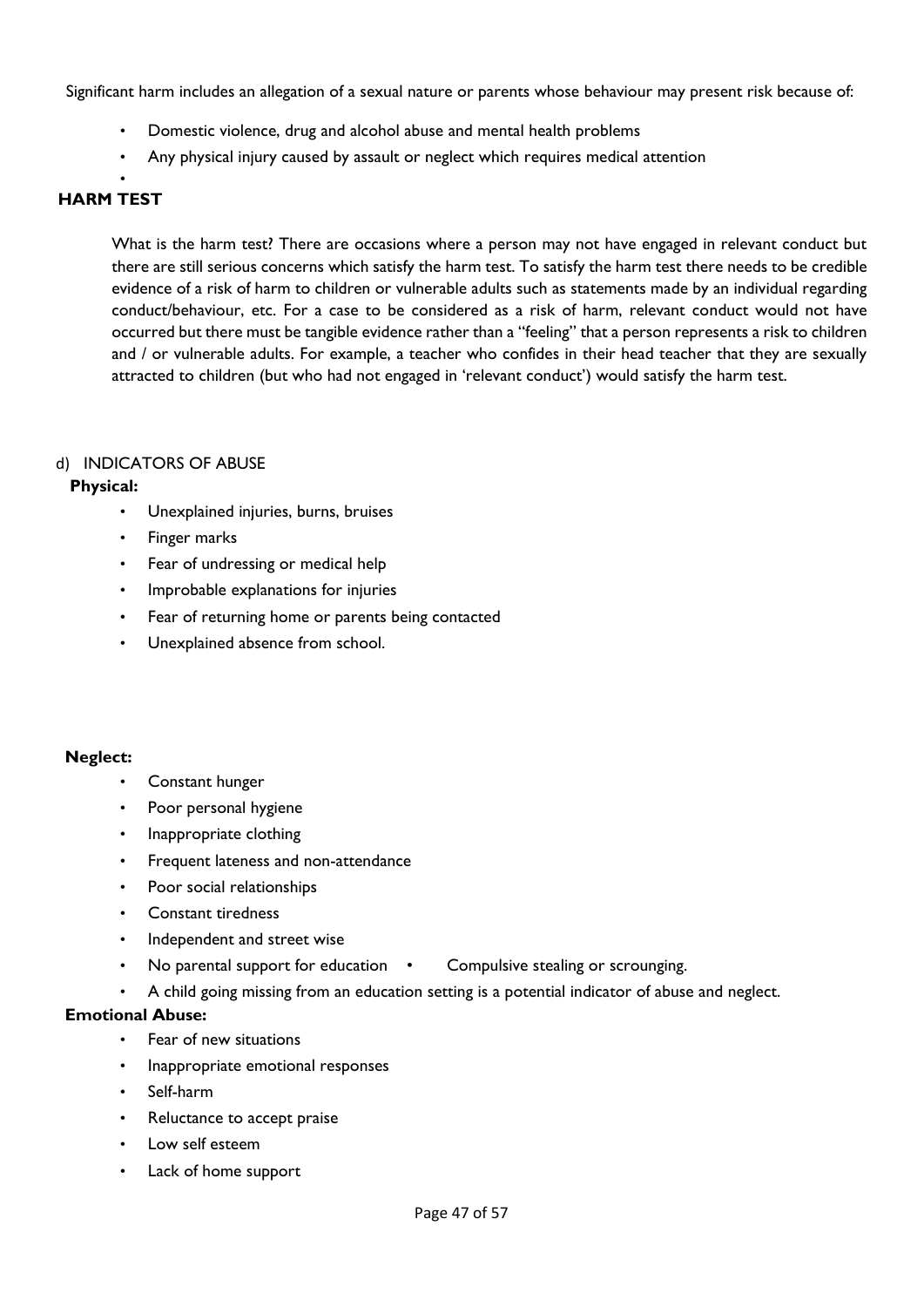Significant harm includes an allegation of a sexual nature or parents whose behaviour may present risk because of:

- Domestic violence, drug and alcohol abuse and mental health problems
- Any physical injury caused by assault or neglect which requires medical attention

#### • **HARM TEST**

What is the harm test? There are occasions where a person may not have engaged in relevant conduct but there are still serious concerns which satisfy the harm test. To satisfy the harm test there needs to be credible evidence of a risk of harm to children or vulnerable adults such as statements made by an individual regarding conduct/behaviour, etc. For a case to be considered as a risk of harm, relevant conduct would not have occurred but there must be tangible evidence rather than a "feeling" that a person represents a risk to children and / or vulnerable adults. For example, a teacher who confides in their head teacher that they are sexually attracted to children (but who had not engaged in 'relevant conduct') would satisfy the harm test.

### d) INDICATORS OF ABUSE

### **Physical:**

- Unexplained injuries, burns, bruises
- Finger marks
- Fear of undressing or medical help
- Improbable explanations for injuries
- Fear of returning home or parents being contacted
- Unexplained absence from school.

### **Neglect:**

- Constant hunger
- Poor personal hygiene
- Inappropriate clothing
- Frequent lateness and non-attendance
- Poor social relationships
- Constant tiredness
- Independent and street wise
- No parental support for education Compulsive stealing or scrounging.
- A child going missing from an education setting is a potential indicator of abuse and neglect.

### **Emotional Abuse:**

- Fear of new situations
- Inappropriate emotional responses
- Self-harm
- Reluctance to accept praise
- Low self esteem
- Lack of home support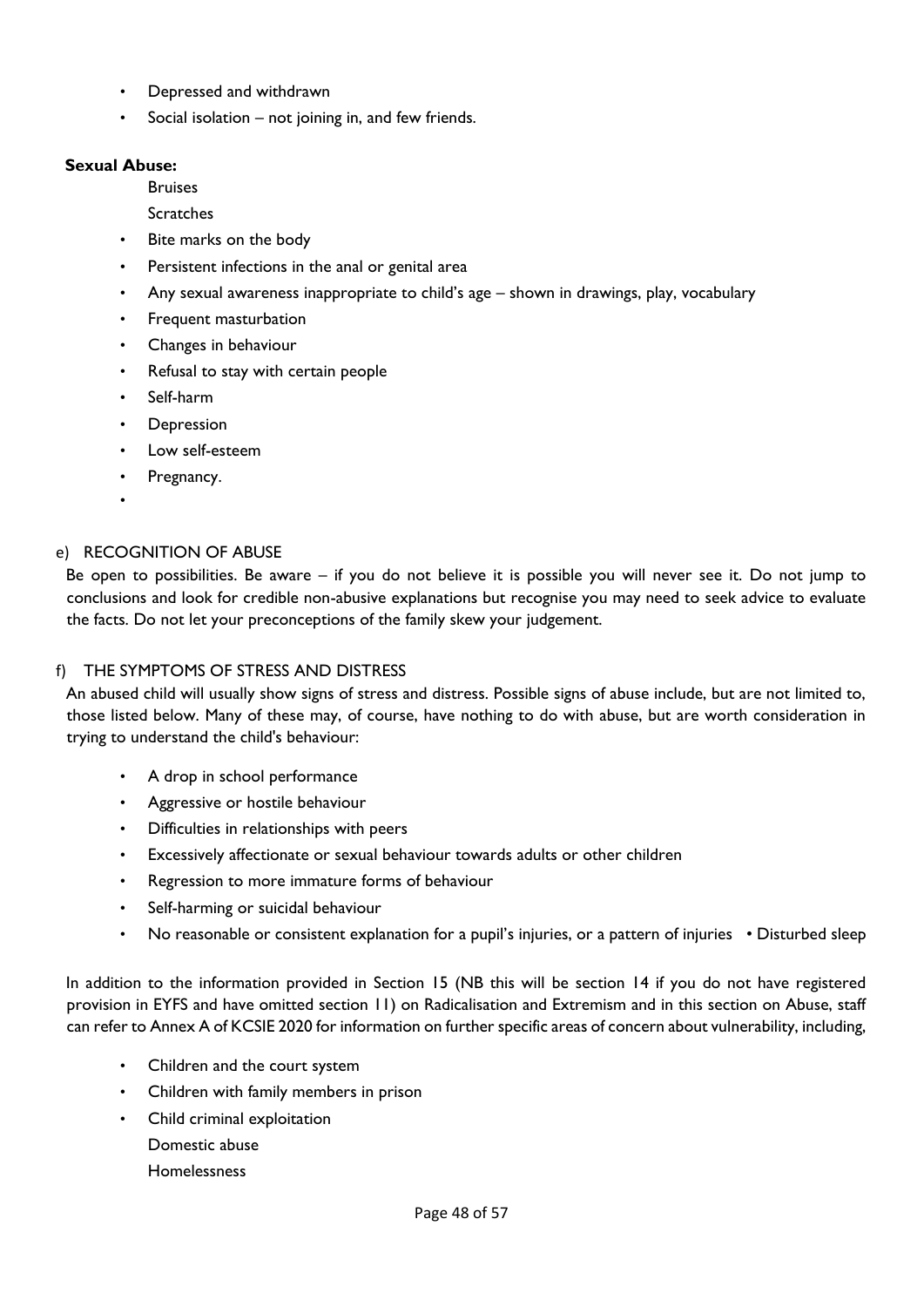- Depressed and withdrawn
- Social isolation not joining in, and few friends.

### **Sexual Abuse:**

Bruises

Scratches

- Bite marks on the body
- Persistent infections in the anal or genital area
- Any sexual awareness inappropriate to child's age shown in drawings, play, vocabulary
- Frequent masturbation
- Changes in behaviour
- Refusal to stay with certain people
- Self-harm
- **Depression**
- Low self-esteem
- Pregnancy.

# •

### e) RECOGNITION OF ABUSE

Be open to possibilities. Be aware – if you do not believe it is possible you will never see it. Do not jump to conclusions and look for credible non-abusive explanations but recognise you may need to seek advice to evaluate the facts. Do not let your preconceptions of the family skew your judgement.

### f) THE SYMPTOMS OF STRESS AND DISTRESS

An abused child will usually show signs of stress and distress. Possible signs of abuse include, but are not limited to, those listed below. Many of these may, of course, have nothing to do with abuse, but are worth consideration in trying to understand the child's behaviour:

- A drop in school performance
- Aggressive or hostile behaviour
- Difficulties in relationships with peers
- Excessively affectionate or sexual behaviour towards adults or other children
- Regression to more immature forms of behaviour
- Self-harming or suicidal behaviour
- No reasonable or consistent explanation for a pupil's injuries, or a pattern of injuries Disturbed sleep

In addition to the information provided in Section 15 (NB this will be section 14 if you do not have registered provision in EYFS and have omitted section 11) on Radicalisation and Extremism and in this section on Abuse, staff can refer to Annex A of KCSIE 2020 for information on further specific areas of concern about vulnerability, including,

- Children and the court system
- Children with family members in prison
- Child criminal exploitation Domestic abuse
	- Homelessness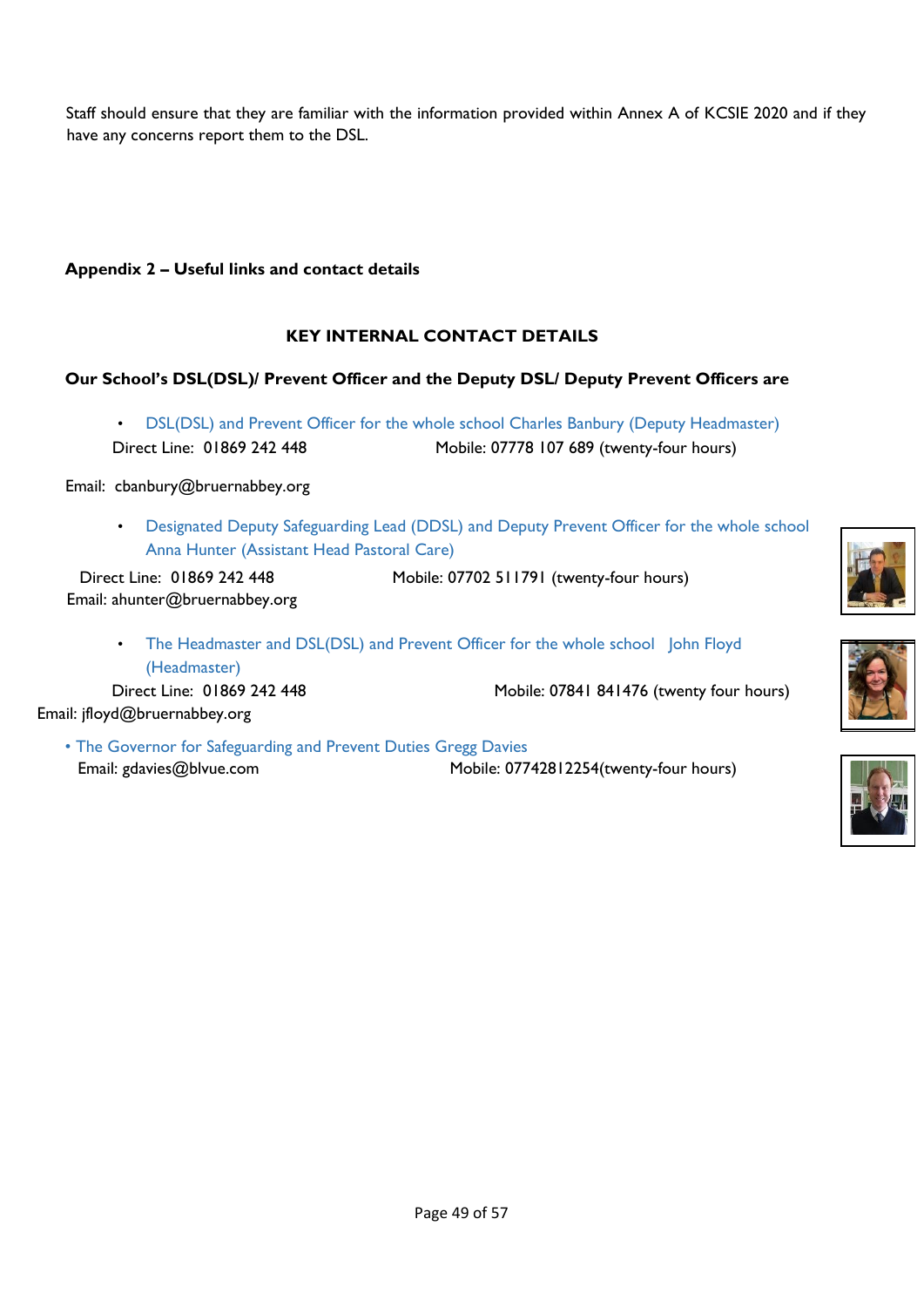Staff should ensure that they are familiar with the information provided within Annex A of KCSIE 2020 and if they have any concerns report them to the DSL.

# **Appendix 2 – Useful links and contact details**

# **KEY INTERNAL CONTACT DETAILS**

### <span id="page-48-0"></span>**Our School's DSL(DSL)/ Prevent Officer and the Deputy DSL/ Deputy Prevent Officers are**

• DSL(DSL) and Prevent Officer for the whole school Charles Banbury (Deputy Headmaster) Direct Line: 01869 242 448 Mobile: 07778 107 689 (twenty-four hours)

Email: cbanbury@bruernabbey.org

• Designated Deputy Safeguarding Lead (DDSL) and Deputy Prevent Officer for the whole school Anna Hunter (Assistant Head Pastoral Care)

Email: ahunter@bruernabbey.org

Direct Line: 01869 242 448 Mobile: 07702 511791 (twenty-four hours)

• The Headmaster and DSL(DSL) and Prevent Officer for the whole school John Floyd (Headmaster)

Email: jfloyd@bruernabbey.org

Direct Line: 01869 242 448 Mobile: 07841 841476 (twenty four hours)

<span id="page-48-1"></span>• The Governor for Safeguarding and Prevent Duties Gregg Davies Email: gdavies@blyue.com Mobile: 07742812254(twenty-four hours)

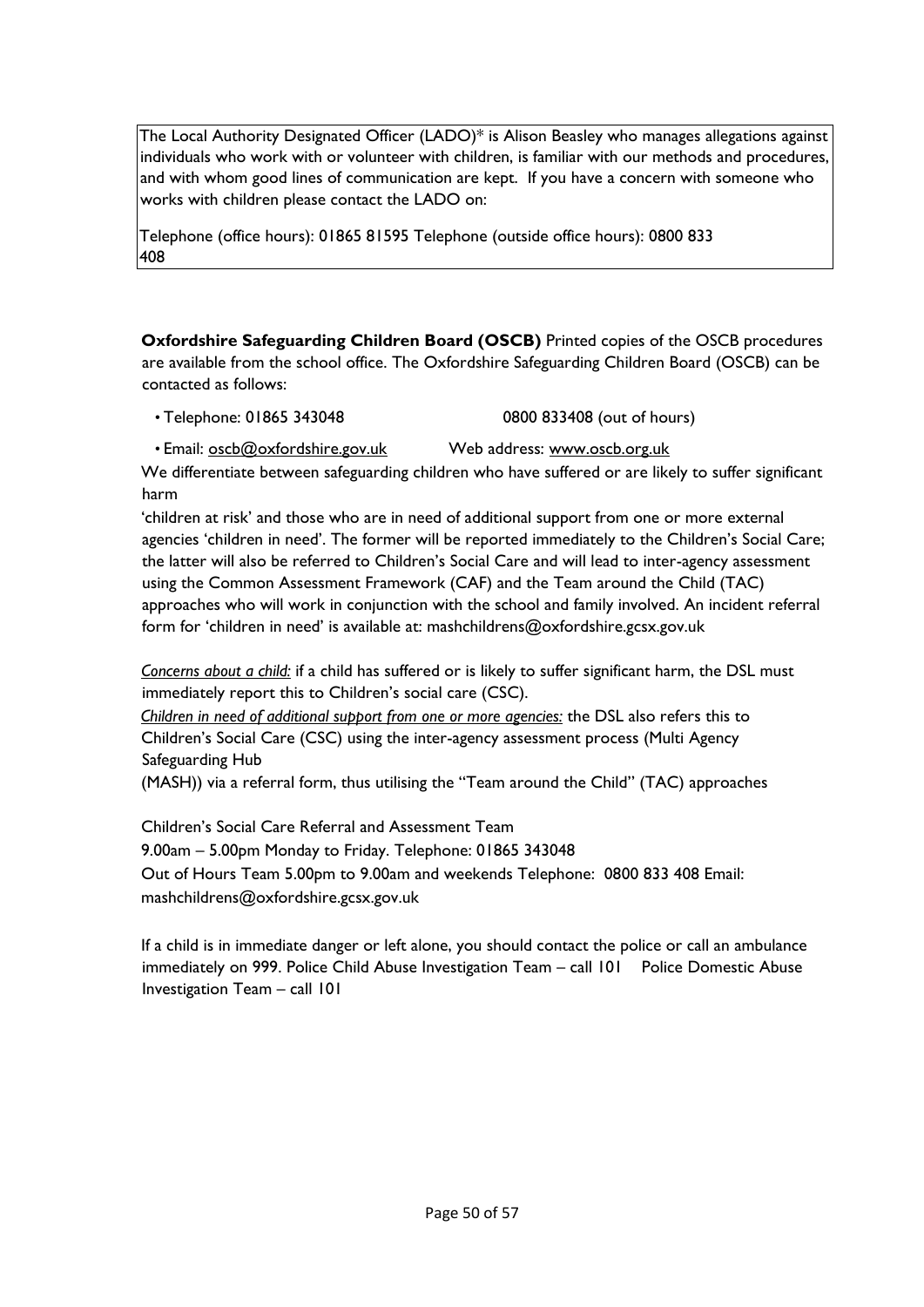The Local Authority Designated Officer (LADO)\* is Alison Beasley who manages allegations against individuals who work with or volunteer with children, is familiar with our methods and procedures, and with whom good lines of communication are kept. If you have a concern with someone who works with children please contact the LADO on:

Telephone (office hours): 01865 81595 Telephone (outside office hours): 0800 833 408

**Oxfordshire Safeguarding Children Board (OSCB)** Printed copies of the OSCB procedures are available from the school office. The Oxfordshire Safeguarding Children Board (OSCB) can be contacted as follows:

• Telephone: 01865 343048 0800 833408 (out of hours)

• Email: oscb@oxfordshire.gov.uk Web address: www.oscb.org.uk

We differentiate between safeguarding children who have suffered or are likely to suffer significant harm

'children at risk' and those who are in need of additional support from one or more external agencies 'children in need'. The former will be reported immediately to the Children's Social Care; the latter will also be referred to Children's Social Care and will lead to inter-agency assessment using the Common Assessment Framework (CAF) and the Team around the Child (TAC) approaches who will work in conjunction with the school and family involved. An incident referral form for 'children in need' is available at: mashchildrens@oxfordshire.gcsx.gov.uk

*Concerns about a child:* if a child has suffered or is likely to suffer significant harm, the DSL must immediately report this to Children's social care (CSC).

*Children in need of additional support from one or more agencies:* the DSL also refers this to Children's Social Care (CSC) using the inter-agency assessment process (Multi Agency Safeguarding Hub

(MASH)) via a referral form, thus utilising the "Team around the Child" (TAC) approaches

Children's Social Care Referral and Assessment Team 9.00am – 5.00pm Monday to Friday. Telephone: 01865 343048 Out of Hours Team 5.00pm to 9.00am and weekends Telephone: 0800 833 408 Email: mashchildrens@oxfordshire.gcsx.gov.uk

If a child is in immediate danger or left alone, you should contact the police or call an ambulance immediately on 999. Police Child Abuse Investigation Team – call 101 Police Domestic Abuse Investigation Team – call 101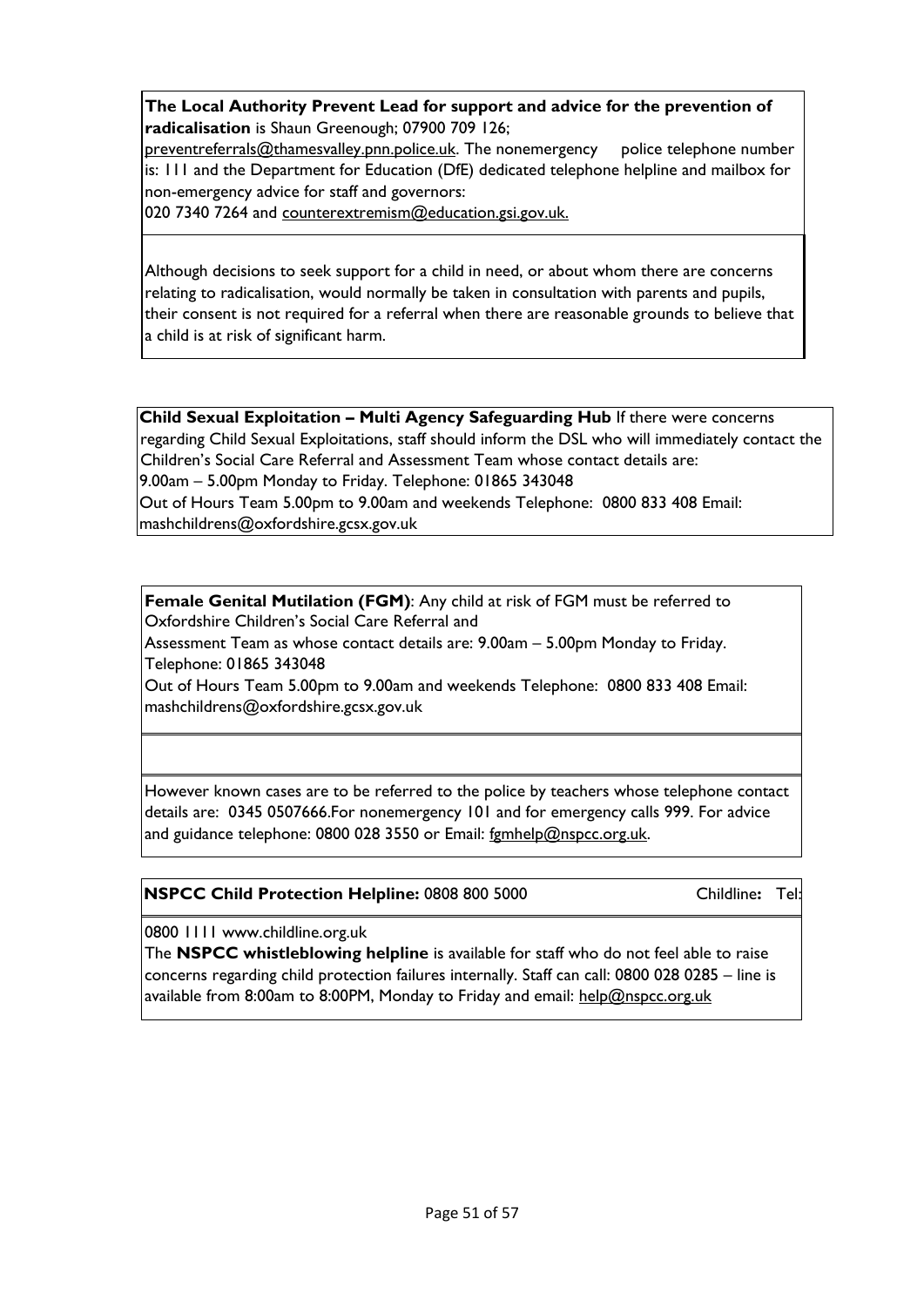**The Local Authority Prevent Lead for support and advice for the prevention of radicalisation** is Shaun Greenough; 07900 709 126;

preventreferrals@thamesvalley.pnn.police.uk. The nonemergency police telephone number is: 111 and the Department for Education (DfE) dedicated telephone helpline and mailbox for non-emergency advice for staff and governors:

020 7340 7264 and counterextremism@education.gsi.gov.uk.

Although decisions to seek support for a child in need, or about whom there are concerns relating to radicalisation, would normally be taken in consultation with parents and pupils, their consent is not required for a referral when there are reasonable grounds to believe that a child is at risk of significant harm.

**Child Sexual Exploitation – Multi Agency Safeguarding Hub** If there were concerns regarding Child Sexual Exploitations, staff should inform the DSL who will immediately contact the Children's Social Care Referral and Assessment Team whose contact details are: 9.00am – 5.00pm Monday to Friday. Telephone: 01865 343048 Out of Hours Team 5.00pm to 9.00am and weekends Telephone: 0800 833 408 Email:

mashchildrens@oxfordshire.gcsx.gov.uk

**Female Genital Mutilation (FGM)**: Any child at risk of FGM must be referred to Oxfordshire Children's Social Care Referral and

Assessment Team as whose contact details are: 9.00am – 5.00pm Monday to Friday. Telephone: 01865 343048

Out of Hours Team 5.00pm to 9.00am and weekends Telephone: 0800 833 408 Email: mashchildrens@oxfordshire.gcsx.gov.uk

However known cases are to be referred to the police by teachers whose telephone contact details are: 0345 0507666.For nonemergency 101 and for emergency calls 999. For advice and guidance telephone: 0800 028 3550 or Email: fgmhelp@nspcc.org.uk.

# **NSPCC Child Protection Helpline:** 0808 800 5000 Childline**:** Tel:

0800 1111 www.childline.org.uk

The **NSPCC whistleblowing helpline** is available for staff who do not feel able to raise concerns regarding child protection failures internally. Staff can call: 0800 028 0285 – line is available from 8:00am to 8:00PM, Monday to Friday and email: help@nspcc.org.uk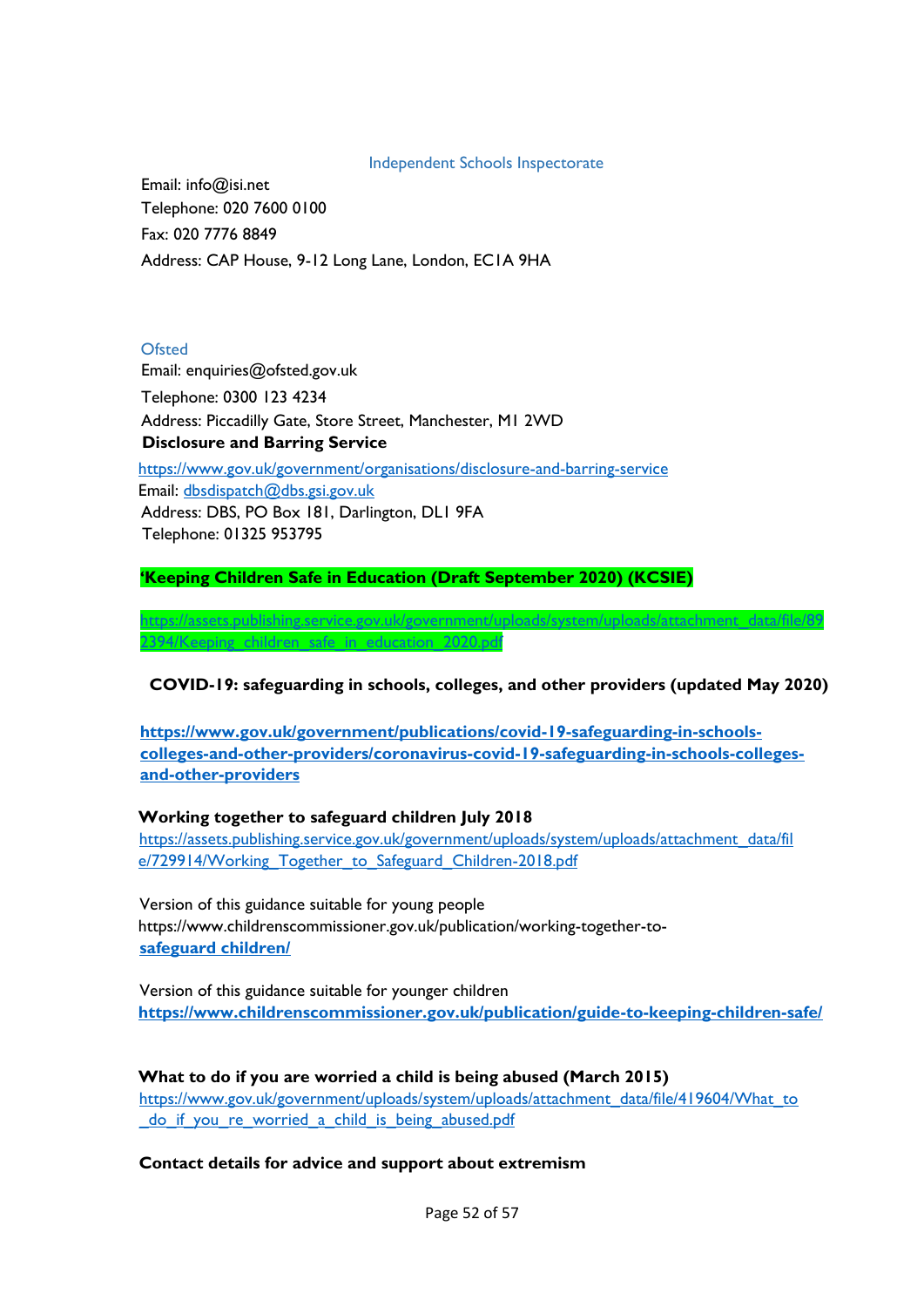Independent Schools Inspectorate

Email: info@isi.net Telephone: 020 7600 0100 Fax: 020 7776 8849 Address: CAP House, 9-12 Long Lane, London, EC1A 9HA

### <span id="page-51-0"></span>**Ofsted**

Email: enquiries@ofsted.gov.uk Telephone: 0300 123 4234 Address: Piccadilly Gate, Store Street, Manchester, M1 2WD **Disclosure and Barring Service** 

https://www.gov.uk/government/organisations/disclosure-and-barring-service Email: dbsdispatch@dbs.gsi.gov.uk Address: DBS, PO Box 181, Darlington, DL1 9FA Telephone: 01325 953795

**'Keeping Children Safe in Education (Draft September 2020) (KCSIE)** 

**COVID-19: safeguarding in schools, colleges, and other providers (updated May 2020)**

[https://assets.publishing.service.gov.uk/government/uploads/system/uploads/attachment\\_data/file/89](https://assets.publishing.service.gov.uk/government/uploads/system/uploads/attachment_data/file/892394/Keeping_children_safe_in_education_2020.pdf)

**[https://www.gov.uk/government/publications/covid-19-safeguarding-in-schools](https://www.gov.uk/government/publications/covid-19-safeguarding-in-schools-colleges-and-other-providers/coronavirus-covid-19-safeguarding-in-schools-colleges-and-other-providers)[colleges-and-other-providers/coronavirus-covid-19-safeguarding-in-schools-colleges](https://www.gov.uk/government/publications/covid-19-safeguarding-in-schools-colleges-and-other-providers/coronavirus-covid-19-safeguarding-in-schools-colleges-and-other-providers)[and-other-providers](https://www.gov.uk/government/publications/covid-19-safeguarding-in-schools-colleges-and-other-providers/coronavirus-covid-19-safeguarding-in-schools-colleges-and-other-providers)**

### **Working together to safeguard children July 2018**

[2394/Keeping\\_children\\_safe\\_in\\_education\\_2020.pdf](https://assets.publishing.service.gov.uk/government/uploads/system/uploads/attachment_data/file/892394/Keeping_children_safe_in_education_2020.pdf)

https://assets.publishing.service.gov.uk/government/uploads/system/uploads/attachment\_data/fil e/729914/Working Together to Safeguard Children-2018.pdf

Version of this guidance suitable for young people https://www.childrenscommissioner.gov.uk/publication/working-together-to**safeguard children/**

Version of this guidance suitable for younger children **https://www.childrenscommissioner.gov.uk/publication/guide-to-keeping-children-safe/**

**What to do if you are worried a child is being abused (March 2015)**  https://www.gov.uk/government/uploads/system/uploads/attachment\_data/file/419604/What\_to do if you re worried a child is being abused.pdf

**Contact details for advice and support about extremism**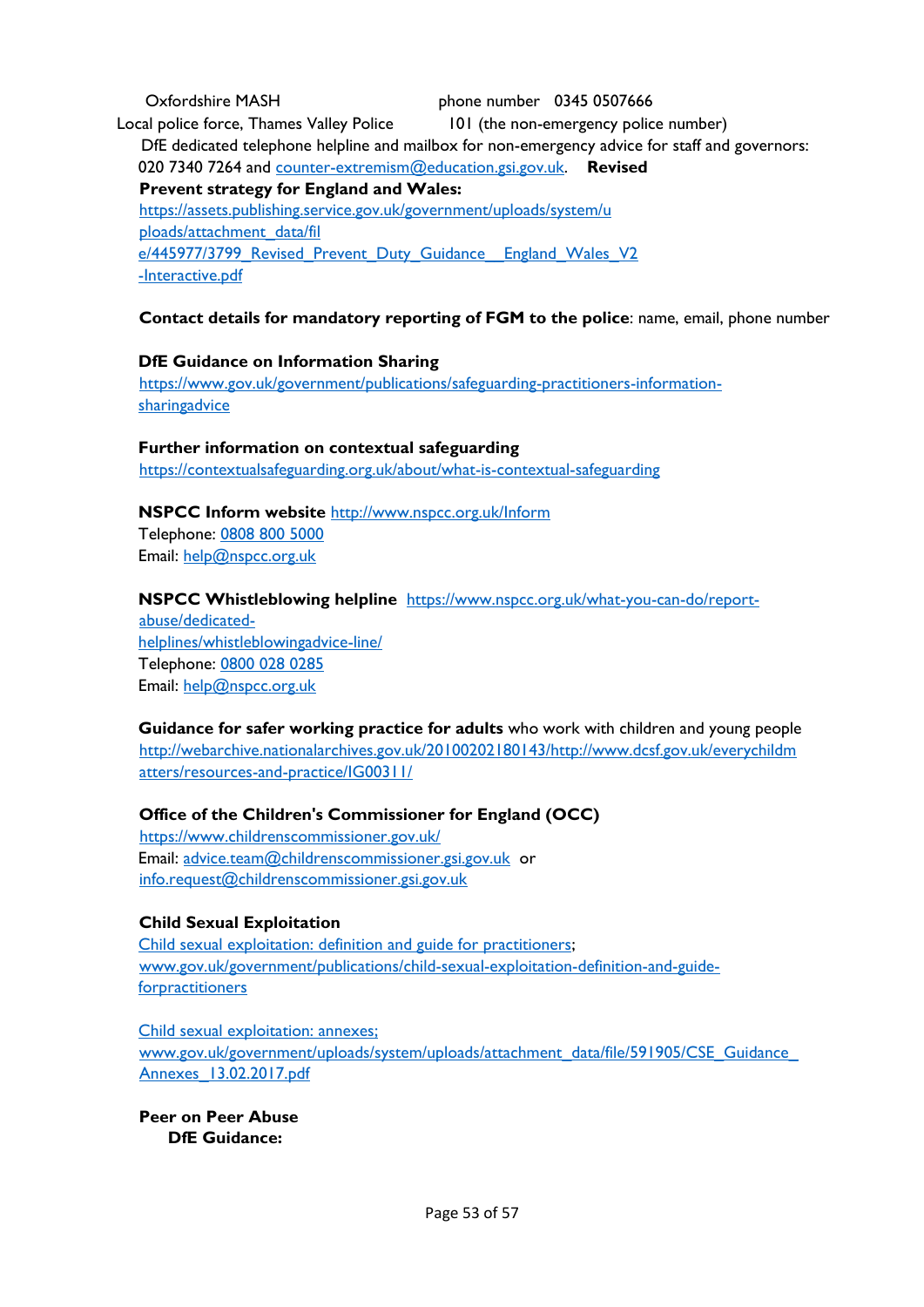Oxfordshire MASH phone number 0345 0507666 Local police force, Thames Valley Police 101 (the non-emergency police number) DfE dedicated telephone helpline and mailbox for non-emergency advice for staff and governors: 020 7340 7264 and counter-extremism@education.gsi.gov.uk. **Revised Prevent strategy for England and Wales:**  https://assets.publishing.service.gov.uk/government/uploads/system/u ploads/attachment\_data/fil e/445977/3799 Revised Prevent Duty Guidance England Wales V2 -Interactive.pdf

# **Contact details for mandatory reporting of FGM to the police**: name, email, phone number

**DfE Guidance on Information Sharing**  https://www.gov.uk/government/publications/safeguarding-practitioners-informationsharingadvice

**Further information on contextual safeguarding**  https://contextualsafeguarding.org.uk/about/what-is-contextual-safeguarding

**NSPCC Inform website** http://www.nspcc.org.uk/Inform Telephone: 0808 800 5000 Email: help@nspcc.org.uk

**NSPCC Whistleblowing helpline** https://www.nspcc.org.uk/what-you-can-do/report-

abuse/dedicatedhelplines/whistleblowingadvice-line/ Telephone: 0800 028 0285 Email: help@nspcc.org.uk

**Guidance for safer working practice for adults** who work with children and young people http://webarchive.nationalarchives.gov.uk/20100202180143/http://www.dcsf.gov.uk/everychildm atters/resources-and-practice/IG00311/

**Office of the Children's Commissioner for England (OCC)** 

https://www.childrenscommissioner.gov.uk/ Email: advice.team@childrenscommissioner.gsi.gov.uk or info.request@childrenscommissioner.gsi.gov.uk

### **Child Sexual Exploitation**

Child sexual exploitation: definition and guide for practitioners; www.gov.uk/government/publications/child-sexual-exploitation-definition-and-guide**forpractitioners** 

Child sexual exploitation: annexes; www.gov.uk/government/uploads/system/uploads/attachment\_data/file/591905/CSE\_Guidance Annexes\_13.02.2017.pdf

**Peer on Peer Abuse DfE Guidance:**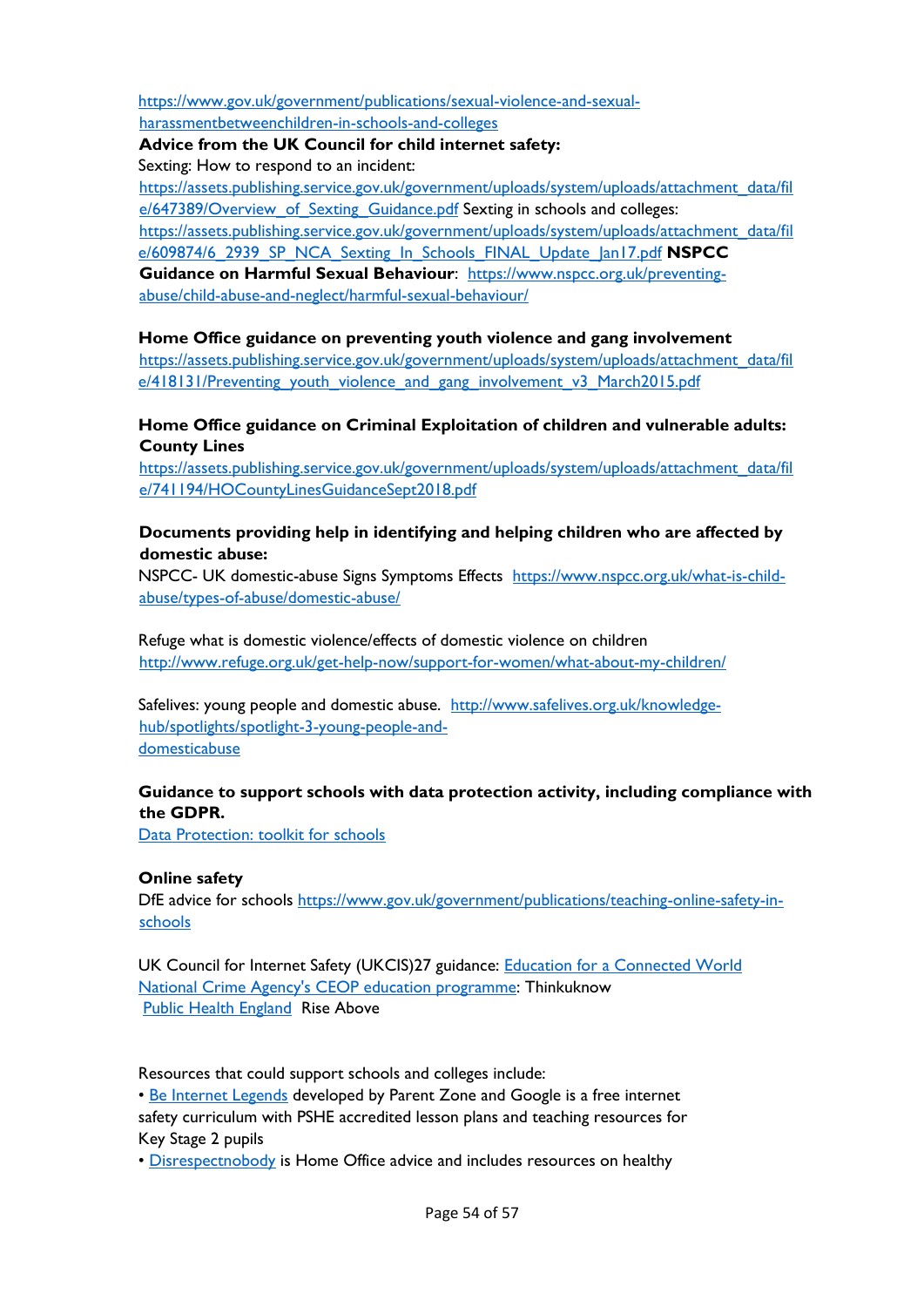#### https://www.gov.uk/government/publications/sexual-violence-and-sexualharassmentbetweenchildren-in-schools-and-colleges

### **Advice from the UK Council for child internet safety:**

Sexting: How to respond to an incident:

https://assets.publishing.service.gov.uk/government/uploads/system/uploads/attachment\_data/fil e/647389/Overview\_of\_Sexting\_Guidance.pdf Sexting in schools and colleges: https://assets.publishing.service.gov.uk/government/uploads/system/uploads/attachment\_data/fil e/609874/6\_2939\_SP\_NCA\_Sexting\_In\_Schools\_FINAL\_Update\_Jan17.pdf **NSPCC Guidance on Harmful Sexual Behaviour**: https://www.nspcc.org.uk/preventingabuse/child-abuse-and-neglect/harmful-sexual-behaviour/

#### **Home Office guidance on preventing youth violence and gang involvement**

https://assets.publishing.service.gov.uk/government/uploads/system/uploads/attachment\_data/fil e/418131/Preventing\_youth\_violence\_and\_gang\_involvement\_v3\_March2015.pdf

### **Home Office guidance on Criminal Exploitation of children and vulnerable adults: County Lines**

https://assets.publishing.service.gov.uk/government/uploads/system/uploads/attachment\_data/fil e/741194/HOCountyLinesGuidanceSept2018.pdf

### **Documents providing help in identifying and helping children who are affected by domestic abuse:**

NSPCC- UK domestic-abuse Signs Symptoms Effects https://www.nspcc.org.uk/what-is-childabuse/types-of-abuse/domestic-abuse/

Refuge what is domestic violence/effects of domestic violence on children http://www.refuge.org.uk/get-help-now/support-for-women/what-about-my-children/

Safelives: young people and domestic abuse. http://www.safelives.org.uk/knowledgehub/spotlights/spotlight-3-young-people-anddomesticabuse

### **Guidance to support schools with data protection activity, including compliance with the GDPR.**

[Data Protection: toolkit for schools](https://www.gov.uk/government/publications/data-protection-toolkit-for-schools)

#### **Online safety**

DfE advice for schools [https://www.gov.uk/government/publications/teaching-online-safety-in](https://www.gov.uk/government/publications/teaching-online-safety-in-schools)[schools](https://www.gov.uk/government/publications/teaching-online-safety-in-schools)

UK Council for Internet Safety (UKCIS)27 guidance: [Education for a Connected World](https://www.gov.uk/government/publications/education-for-a-connected-world) [National Crime Agency's CEOP education programme:](https://www.thinkuknow.co.uk/) Thinkuknow [Public Health England](https://campaignresources.phe.gov.uk/schools/topics/rise-above/overview) Rise Above

Resources that could support schools and colleges include:

• [Be Internet Legends](https://beinternetlegends.withgoogle.com/en_uk) developed by Parent Zone and Google is a free internet safety curriculum with PSHE accredited lesson plans and teaching resources for Key Stage 2 pupils

• [Disrespectnobody](https://www.disrespectnobody.co.uk/) is Home Office advice and includes resources on healthy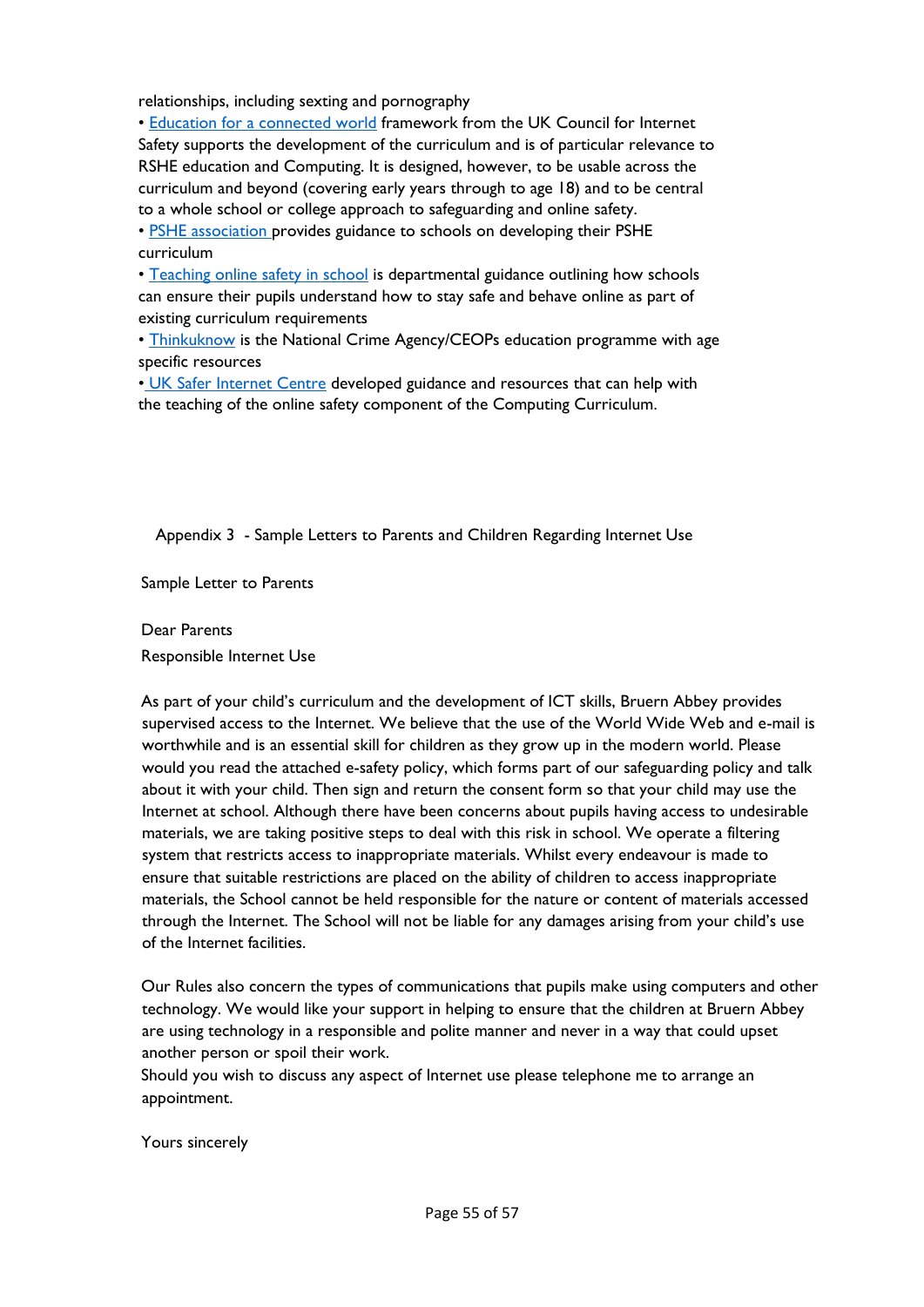relationships, including sexting and pornography

• [Education for a connected world](https://www.gov.uk/government/publications/education-for-a-connected-world) framework from the UK Council for Internet Safety supports the development of the curriculum and is of particular relevance to RSHE education and Computing. It is designed, however, to be usable across the curriculum and beyond (covering early years through to age 18) and to be central to a whole school or college approach to safeguarding and online safety.

• [PSHE association p](https://www.pshe-association.org.uk/?)rovides guidance to schools on developing their PSHE curriculum

• [Teaching online safety in school](https://www.gov.uk/government/publications/teaching-online-safety-in-schools) is departmental guidance outlining how schools can ensure their pupils understand how to stay safe and behave online as part of existing curriculum requirements

• [Thinkuknow](https://www.thinkuknow.co.uk/) is the National Crime Agency/CEOPs education programme with age specific resources

• [UK Safer Internet Centre](https://www.saferinternet.org.uk/) developed guidance and resources that can help with the teaching of the online safety component of the Computing Curriculum.

Appendix 3 - Sample Letters to Parents and Children Regarding Internet Use

Sample Letter to Parents

Dear Parents Responsible Internet Use

As part of your child's curriculum and the development of ICT skills, Bruern Abbey provides supervised access to the Internet. We believe that the use of the World Wide Web and e-mail is worthwhile and is an essential skill for children as they grow up in the modern world. Please would you read the attached e-safety policy, which forms part of our safeguarding policy and talk about it with your child. Then sign and return the consent form so that your child may use the Internet at school. Although there have been concerns about pupils having access to undesirable materials, we are taking positive steps to deal with this risk in school. We operate a filtering system that restricts access to inappropriate materials. Whilst every endeavour is made to ensure that suitable restrictions are placed on the ability of children to access inappropriate materials, the School cannot be held responsible for the nature or content of materials accessed through the Internet. The School will not be liable for any damages arising from your child's use of the Internet facilities.

Our Rules also concern the types of communications that pupils make using computers and other technology. We would like your support in helping to ensure that the children at Bruern Abbey are using technology in a responsible and polite manner and never in a way that could upset another person or spoil their work.

Should you wish to discuss any aspect of Internet use please telephone me to arrange an appointment.

Yours sincerely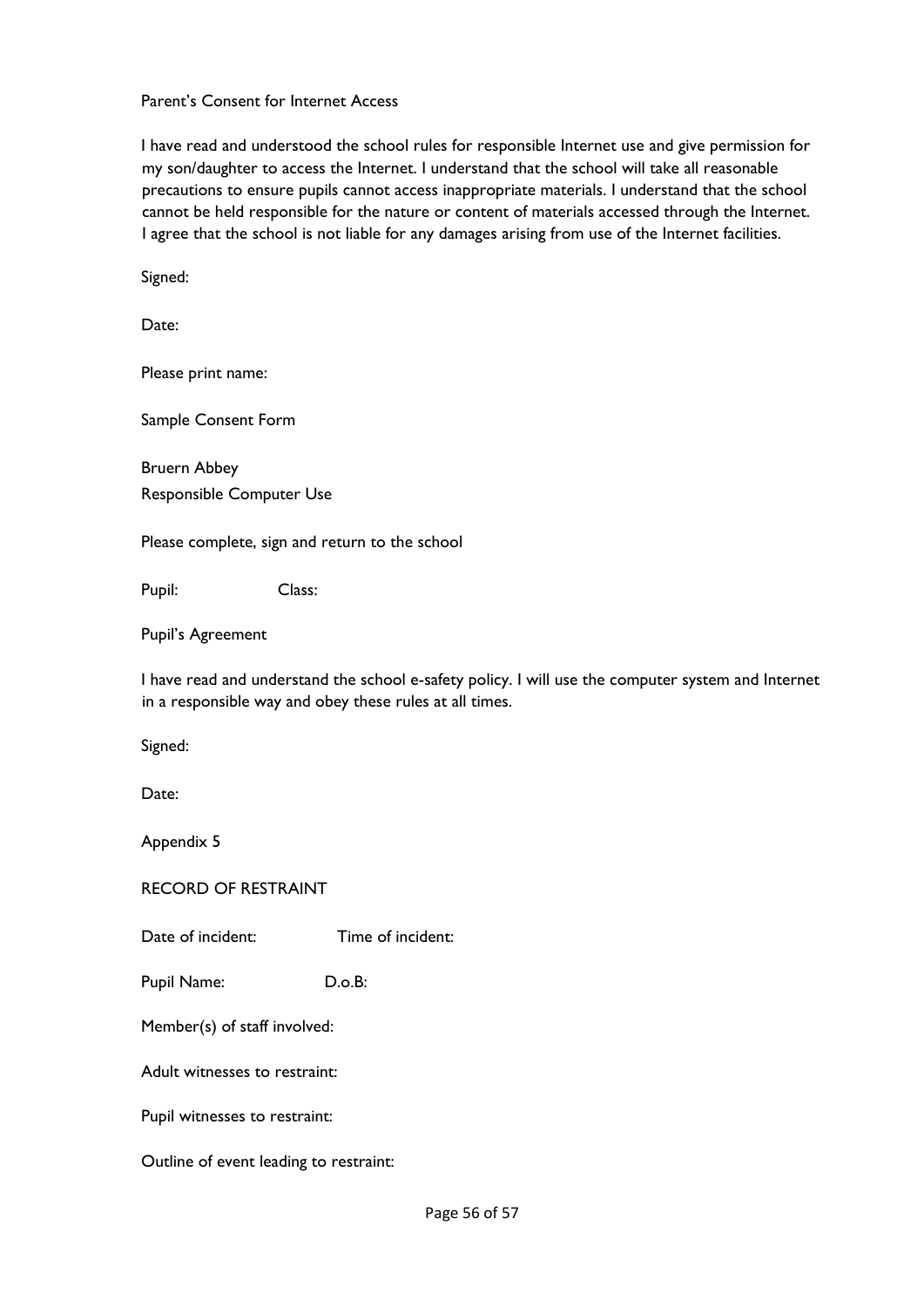#### Parent's Consent for Internet Access

I have read and understood the school rules for responsible Internet use and give permission for my son/daughter to access the Internet. I understand that the school will take all reasonable precautions to ensure pupils cannot access inappropriate materials. I understand that the school cannot be held responsible for the nature or content of materials accessed through the Internet. I agree that the school is not liable for any damages arising from use of the Internet facilities.

Signed:

Date:

Please print name:

Sample Consent Form

Bruern Abbey Responsible Computer Use

Please complete, sign and return to the school

Pupil: Class:

Pupil's Agreement

I have read and understand the school e-safety policy. I will use the computer system and Internet in a responsible way and obey these rules at all times.

Signed:

Date:

Appendix 5

RECORD OF RESTRAINT

Date of incident: Time of incident:

Pupil Name: D.o.B:

Member(s) of staff involved:

Adult witnesses to restraint:

Pupil witnesses to restraint:

Outline of event leading to restraint: